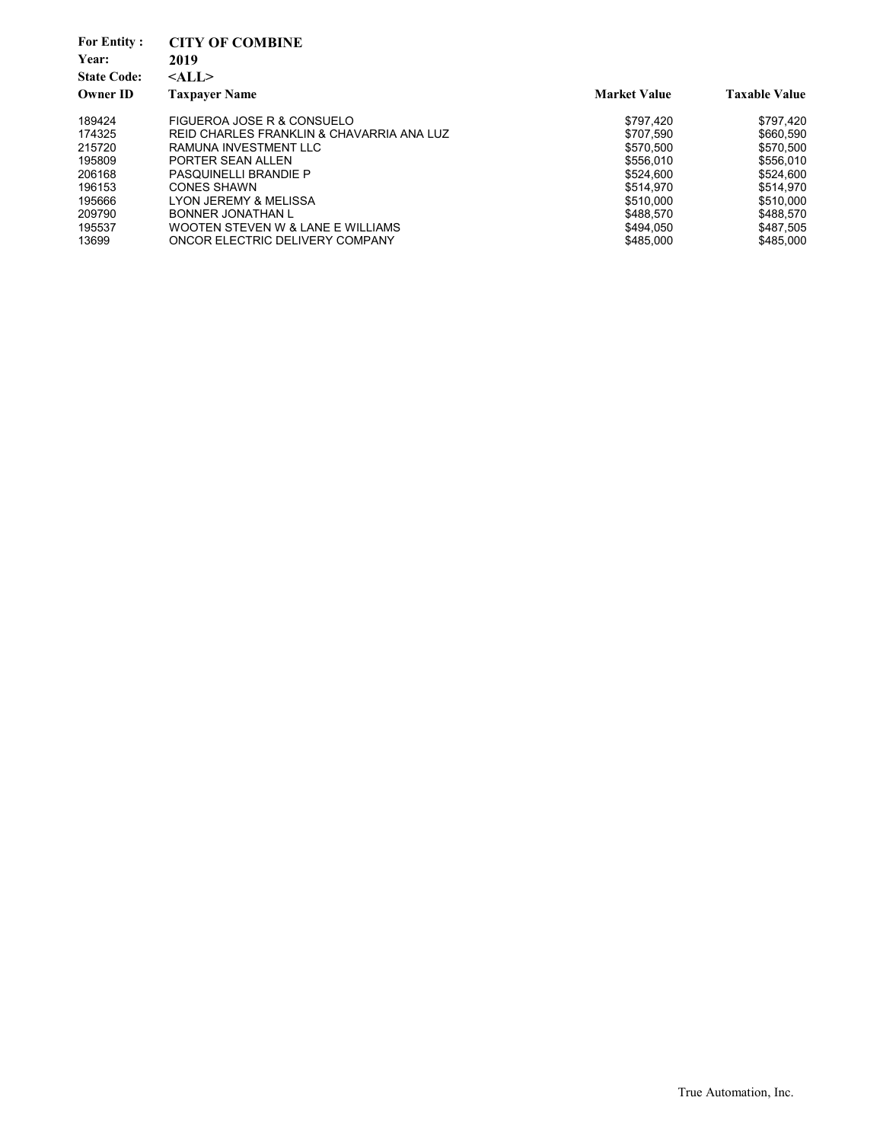| <b>For Entity:</b><br>Year:<br><b>State Code:</b><br><b>Owner ID</b> | <b>CITY OF COMBINE</b><br>2019<br>$<$ ALL $>$<br><b>Taxpayer Name</b> | <b>Market Value</b> | <b>Taxable Value</b> |
|----------------------------------------------------------------------|-----------------------------------------------------------------------|---------------------|----------------------|
|                                                                      |                                                                       |                     |                      |
| 189424                                                               | FIGUEROA JOSE R & CONSUELO                                            | \$797,420           | \$797.420            |
| 174325                                                               | REID CHARLES FRANKLIN & CHAVARRIA ANA LUZ                             | \$707.590           | \$660.590            |
| 215720                                                               | RAMUNA INVESTMENT LLC                                                 | \$570.500           | \$570.500            |
| 195809                                                               | PORTER SEAN ALLEN                                                     | \$556.010           | \$556,010            |
| 206168                                                               | <b>PASQUINELLI BRANDIE P</b>                                          | \$524.600           | \$524,600            |
| 196153                                                               | <b>CONES SHAWN</b>                                                    | \$514.970           | \$514.970            |
| 195666                                                               | LYON JEREMY & MELISSA                                                 | \$510,000           | \$510,000            |
| 209790                                                               | BONNER JONATHAN L                                                     | \$488.570           | \$488.570            |
| 195537                                                               | WOOTEN STEVEN W & LANE E WILLIAMS                                     | \$494.050           | \$487,505            |
| 13699                                                                | ONCOR ELECTRIC DELIVERY COMPANY                                       | \$485,000           | \$485,000            |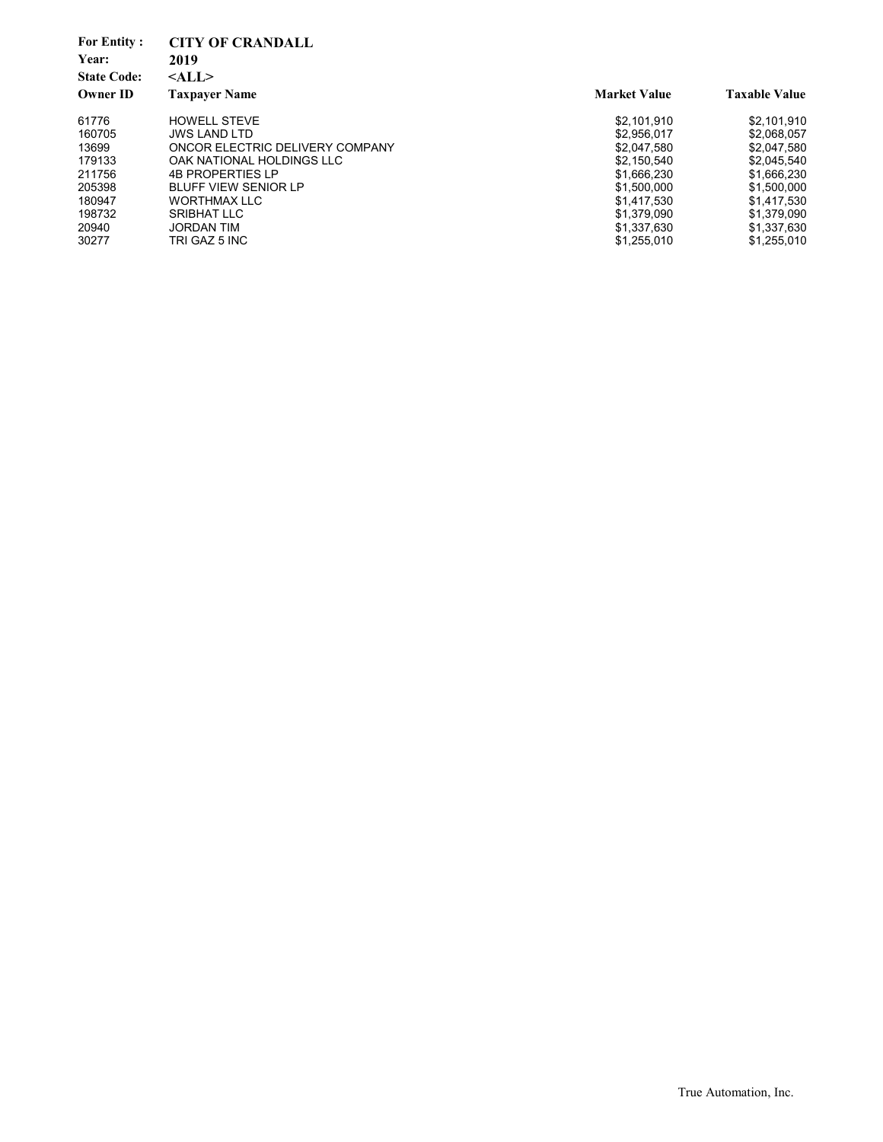| <b>For Entity:</b><br>Year:<br><b>State Code:</b><br><b>Owner ID</b> | <b>CITY OF CRANDALL</b><br>2019<br>$<$ ALL $>$<br><b>Taxpayer Name</b> | <b>Market Value</b> | <b>Taxable Value</b> |
|----------------------------------------------------------------------|------------------------------------------------------------------------|---------------------|----------------------|
| 61776                                                                | <b>HOWELL STEVE</b>                                                    | \$2.101.910         | \$2,101,910          |
| 160705                                                               | <b>JWS LAND LTD</b>                                                    | \$2.956.017         | \$2,068,057          |
| 13699                                                                | ONCOR ELECTRIC DELIVERY COMPANY                                        | \$2,047,580         | \$2,047,580          |
| 179133                                                               | OAK NATIONAL HOLDINGS LLC                                              | \$2.150.540         | \$2,045,540          |
| 211756                                                               | <b>4B PROPERTIES LP</b>                                                | \$1,666,230         | \$1,666,230          |
| 205398                                                               | <b>BLUFF VIEW SENIOR LP</b>                                            | \$1,500,000         | \$1,500,000          |
| 180947                                                               | <b>WORTHMAX LLC</b>                                                    | \$1,417,530         | \$1,417,530          |
| 198732                                                               | <b>SRIBHAT LLC</b>                                                     | \$1.379.090         | \$1.379.090          |
| 20940                                                                | <b>JORDAN TIM</b>                                                      | \$1.337.630         | \$1,337,630          |
| 30277                                                                | TRI GAZ 5 INC                                                          | \$1,255,010         | \$1,255,010          |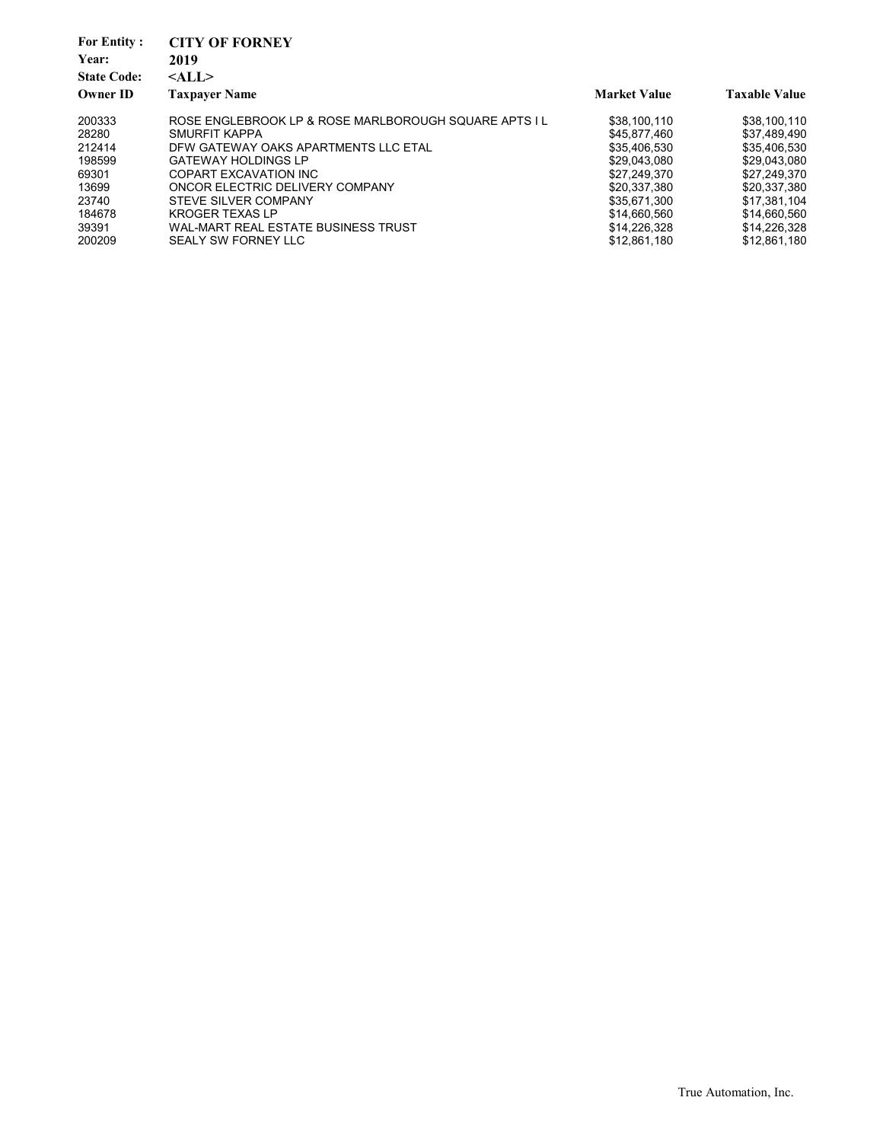| <b>For Entity:</b> | <b>CITY OF FORNEY</b>                                 |                     |                      |
|--------------------|-------------------------------------------------------|---------------------|----------------------|
| Year:              | 2019                                                  |                     |                      |
| <b>State Code:</b> | $<$ ALL $>$                                           |                     |                      |
| <b>Owner ID</b>    | <b>Taxpayer Name</b>                                  | <b>Market Value</b> | <b>Taxable Value</b> |
| 200333             | ROSE ENGLEBROOK LP & ROSE MARLBOROUGH SOUARE APTS I L | \$38,100,110        | \$38,100,110         |
| 28280              | SMURFIT KAPPA                                         | \$45,877,460        | \$37.489.490         |
| 212414             | DFW GATEWAY OAKS APARTMENTS LLC ETAL                  | \$35,406,530        | \$35,406,530         |
| 198599             | <b>GATEWAY HOLDINGS LP</b>                            | \$29,043,080        | \$29,043,080         |
| 69301              | COPART EXCAVATION INC                                 | \$27,249,370        | \$27.249.370         |
| 13699              | ONCOR ELECTRIC DELIVERY COMPANY                       | \$20.337.380        | \$20.337.380         |
| 23740              | STEVE SILVER COMPANY                                  | \$35,671,300        | \$17,381,104         |
| 184678             | <b>KROGER TEXAS LP</b>                                | \$14,660,560        | \$14.660.560         |
| 39391              | WAL-MART REAL ESTATE BUSINESS TRUST                   | \$14,226,328        | \$14,226,328         |
| 200209             | SEALY SW FORNEY LLC                                   | \$12,861,180        | \$12.861.180         |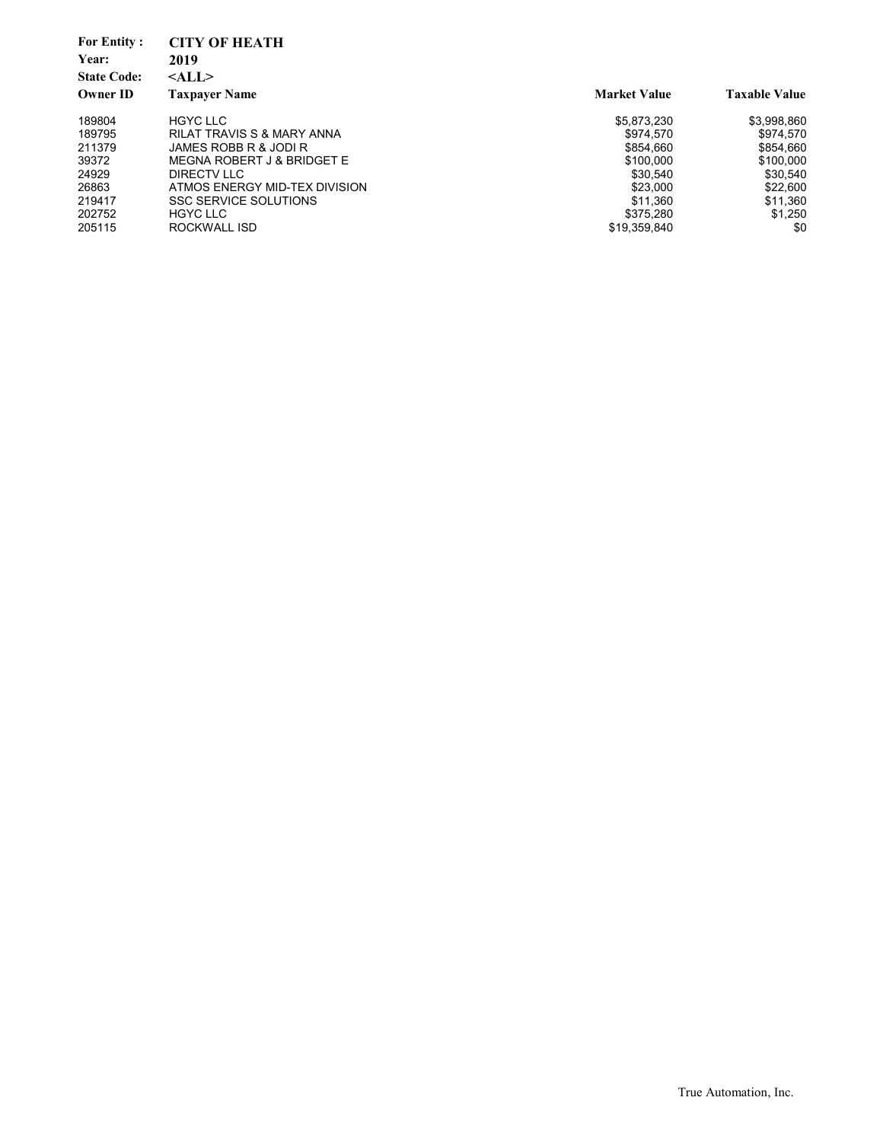| <b>For Entity:</b><br>Year: | <b>CITY OF HEATH</b><br>2019          |                     |                      |
|-----------------------------|---------------------------------------|---------------------|----------------------|
| <b>State Code:</b>          | $<$ ALL $>$                           |                     |                      |
| <b>Owner ID</b>             | <b>Taxpayer Name</b>                  | <b>Market Value</b> | <b>Taxable Value</b> |
| 189804                      | <b>HGYC LLC</b>                       | \$5,873,230         | \$3,998,860          |
| 189795                      | <b>RILAT TRAVIS S &amp; MARY ANNA</b> | \$974.570           | \$974.570            |
| 211379                      | JAMES ROBB R & JODI R                 | \$854.660           | \$854.660            |
| 39372                       | MEGNA ROBERT J & BRIDGET E            | \$100.000           | \$100.000            |
| 24929                       | DIRECTV LLC                           | \$30.540            | \$30.540             |
| 26863                       | ATMOS ENERGY MID-TEX DIVISION         | \$23,000            | \$22,600             |
| 219417                      | <b>SSC SERVICE SOLUTIONS</b>          | \$11.360            | \$11,360             |
| 202752                      | <b>HGYC LLC</b>                       | \$375.280           | \$1,250              |
| 205115                      | ROCKWALL ISD                          | \$19,359,840        | \$0                  |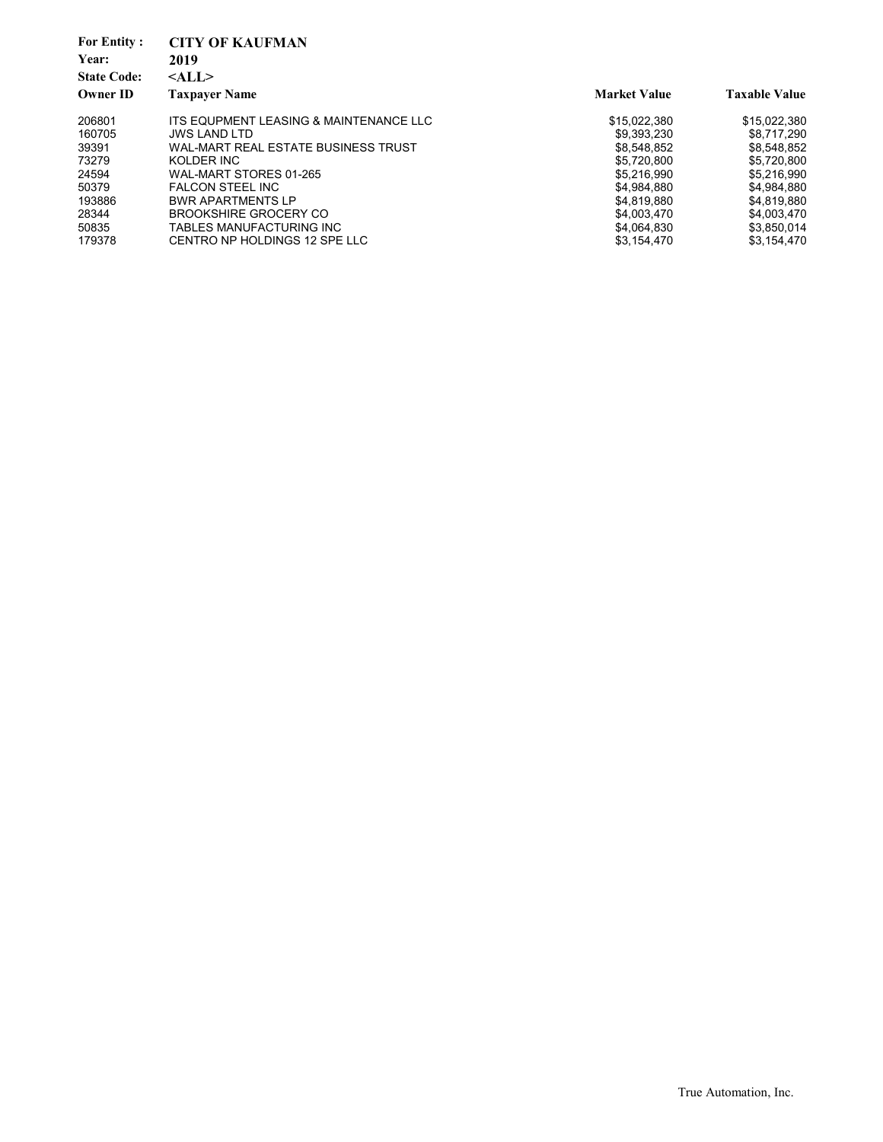| <b>CITY OF KAUFMAN</b>                 |                     |                      |
|----------------------------------------|---------------------|----------------------|
| 2019                                   |                     |                      |
| $<$ ALL $>$                            |                     |                      |
| <b>Taxpayer Name</b>                   | <b>Market Value</b> | <b>Taxable Value</b> |
| ITS EQUPMENT LEASING & MAINTENANCE LLC | \$15,022,380        | \$15,022,380         |
| <b>JWS LAND LTD</b>                    | \$9,393,230         | \$8,717,290          |
| WAL-MART REAL ESTATE BUSINESS TRUST    | \$8,548,852         | \$8,548,852          |
| KOLDER INC                             | \$5,720,800         | \$5,720,800          |
| WAL-MART STORES 01-265                 | \$5.216.990         | \$5.216.990          |
| <b>FALCON STEEL INC</b>                | \$4,984,880         | \$4.984.880          |
| <b>BWR APARTMENTS LP</b>               | \$4,819,880         | \$4,819,880          |
| <b>BROOKSHIRE GROCERY CO</b>           | \$4,003,470         | \$4,003,470          |
| TABLES MANUFACTURING INC               | \$4,064,830         | \$3,850,014          |
| CENTRO NP HOLDINGS 12 SPE LLC          | \$3,154,470         | \$3,154,470          |
|                                        |                     |                      |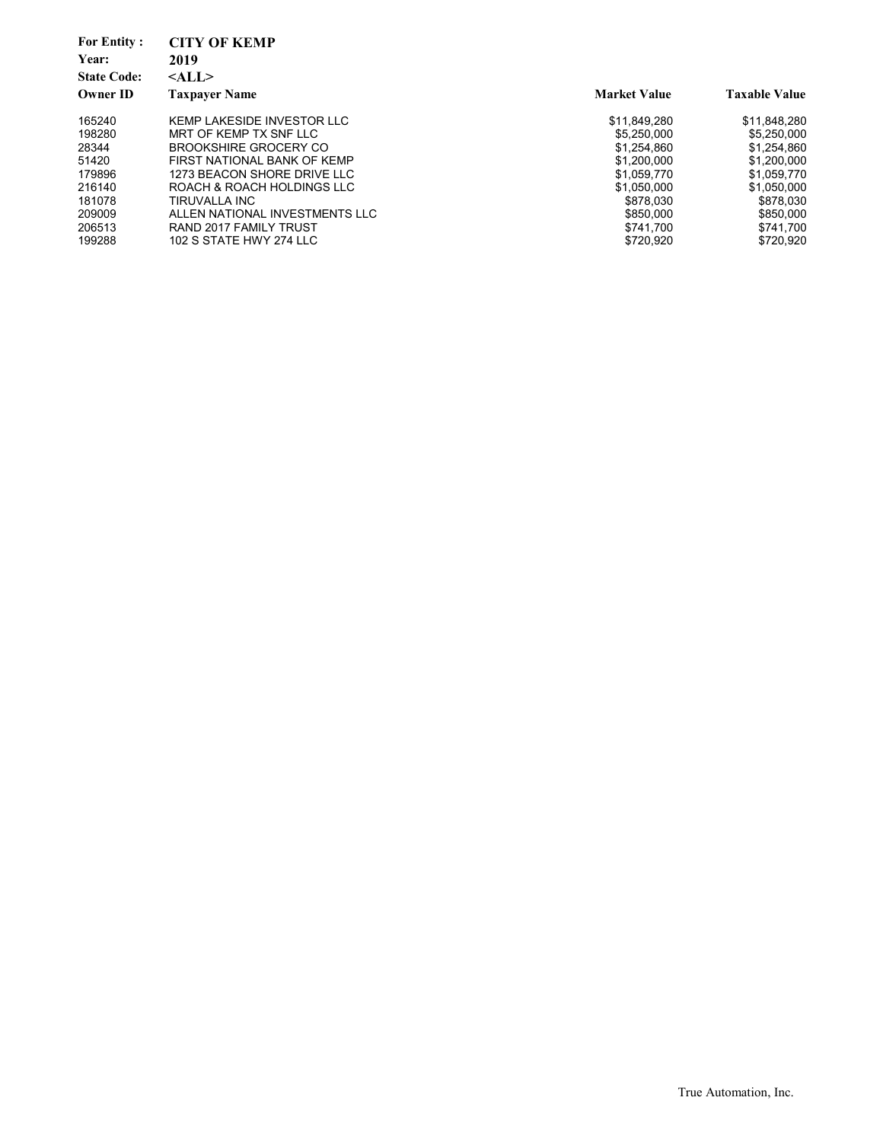| <b>For Entity:</b> | <b>CITY OF KEMP</b>            |                     |                      |
|--------------------|--------------------------------|---------------------|----------------------|
| Year:              | 2019                           |                     |                      |
| <b>State Code:</b> | $<$ ALL $>$                    |                     |                      |
| <b>Owner ID</b>    | <b>Taxpayer Name</b>           | <b>Market Value</b> | <b>Taxable Value</b> |
| 165240             | KEMP LAKESIDE INVESTOR LLC     | \$11.849.280        | \$11,848,280         |
| 198280             | MRT OF KEMP TX SNF LLC         | \$5,250,000         | \$5,250,000          |
| 28344              | <b>BROOKSHIRE GROCERY CO</b>   | \$1.254.860         | \$1,254,860          |
| 51420              | FIRST NATIONAL BANK OF KEMP    | \$1,200,000         | \$1,200,000          |
| 179896             | 1273 BEACON SHORE DRIVE LLC    | \$1,059,770         | \$1,059,770          |
| 216140             | ROACH & ROACH HOLDINGS LLC     | \$1.050.000         | \$1,050,000          |
| 181078             | TIRUVALLA INC                  | \$878,030           | \$878,030            |
| 209009             | ALLEN NATIONAL INVESTMENTS LLC | \$850,000           | \$850,000            |
| 206513             | RAND 2017 FAMILY TRUST         | \$741.700           | \$741.700            |
| 199288             | 102 S STATE HWY 274 LLC        | \$720.920           | \$720.920            |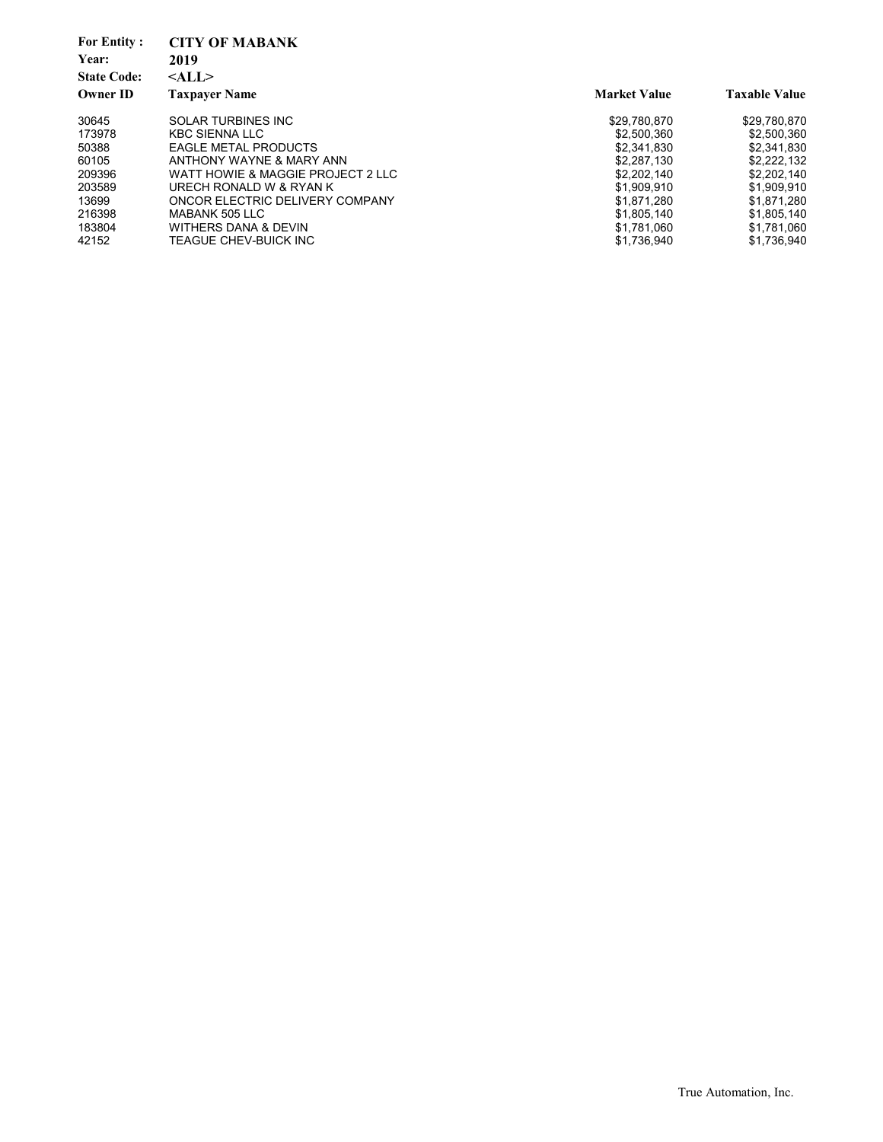| <b>For Entity:</b><br>Year:<br><b>State Code:</b><br><b>Owner ID</b> | <b>CITY OF MABANK</b><br>2019<br>$<$ ALL $>$<br><b>Taxpayer Name</b> | <b>Market Value</b> | <b>Taxable Value</b> |
|----------------------------------------------------------------------|----------------------------------------------------------------------|---------------------|----------------------|
| 30645                                                                | <b>SOLAR TURBINES INC</b>                                            | \$29,780,870        | \$29,780,870         |
| 173978                                                               | <b>KBC SIENNA LLC</b>                                                | \$2,500,360         | \$2,500,360          |
| 50388                                                                | <b>EAGLE METAL PRODUCTS</b>                                          | \$2.341.830         | \$2.341.830          |
| 60105                                                                | ANTHONY WAYNE & MARY ANN                                             | \$2.287.130         | \$2,222,132          |
| 209396                                                               | WATT HOWIE & MAGGIE PROJECT 2 LLC                                    | \$2.202.140         | \$2,202,140          |
| 203589                                                               | URECH RONALD W & RYAN K                                              | \$1,909,910         | \$1,909,910          |
| 13699                                                                | ONCOR ELECTRIC DELIVERY COMPANY                                      | \$1.871.280         | \$1,871,280          |
| 216398                                                               | MABANK 505 LLC                                                       | \$1,805,140         | \$1,805,140          |
| 183804                                                               | WITHERS DANA & DEVIN                                                 | \$1,781,060         | \$1,781,060          |
| 42152                                                                | TEAGUE CHEV-BUICK INC                                                | \$1,736,940         | \$1.736.940          |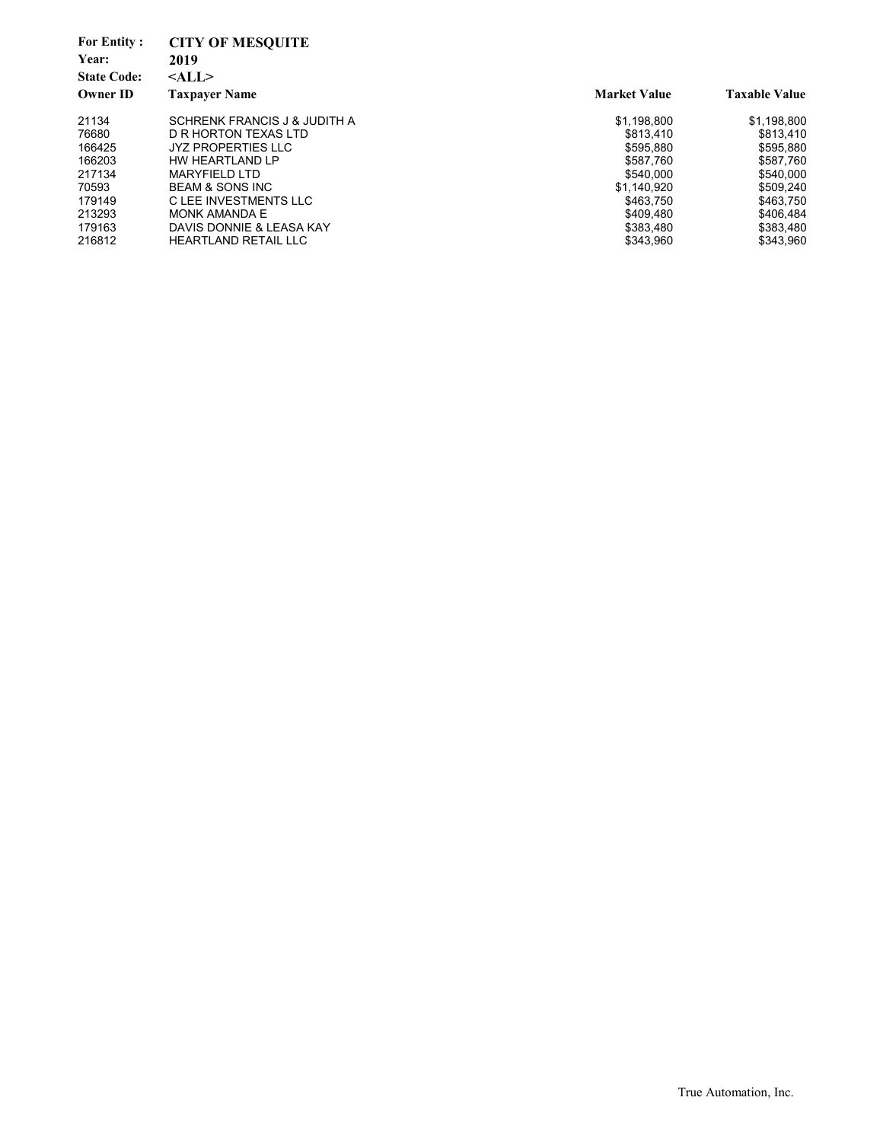| <b>For Entity:</b><br>Year:<br><b>State Code:</b> | <b>CITY OF MESQUITE</b><br>2019<br>$<$ ALL $>$ |                     |                      |
|---------------------------------------------------|------------------------------------------------|---------------------|----------------------|
| <b>Owner ID</b>                                   | <b>Taxpayer Name</b>                           | <b>Market Value</b> | <b>Taxable Value</b> |
| 21134                                             | SCHRENK FRANCIS J & JUDITH A                   | \$1,198,800         | \$1,198,800          |
| 76680                                             | D R HORTON TEXAS LTD                           | \$813.410           | \$813.410            |
| 166425                                            | <b>JYZ PROPERTIES LLC</b>                      | \$595.880           | \$595,880            |
| 166203                                            | HW HEARTLAND LP                                | \$587.760           | \$587,760            |
| 217134                                            | <b>MARYFIELD LTD</b>                           | \$540.000           | \$540,000            |
| 70593                                             | <b>BEAM &amp; SONS INC</b>                     | \$1.140.920         | \$509.240            |
| 179149                                            | C LEE INVESTMENTS LLC                          | \$463.750           | \$463,750            |
| 213293                                            | MONK AMANDA E                                  | \$409.480           | \$406.484            |
| 179163                                            | DAVIS DONNIE & LEASA KAY                       | \$383,480           | \$383,480            |
| 216812                                            | <b>HEARTLAND RETAIL LLC</b>                    | \$343,960           | \$343,960            |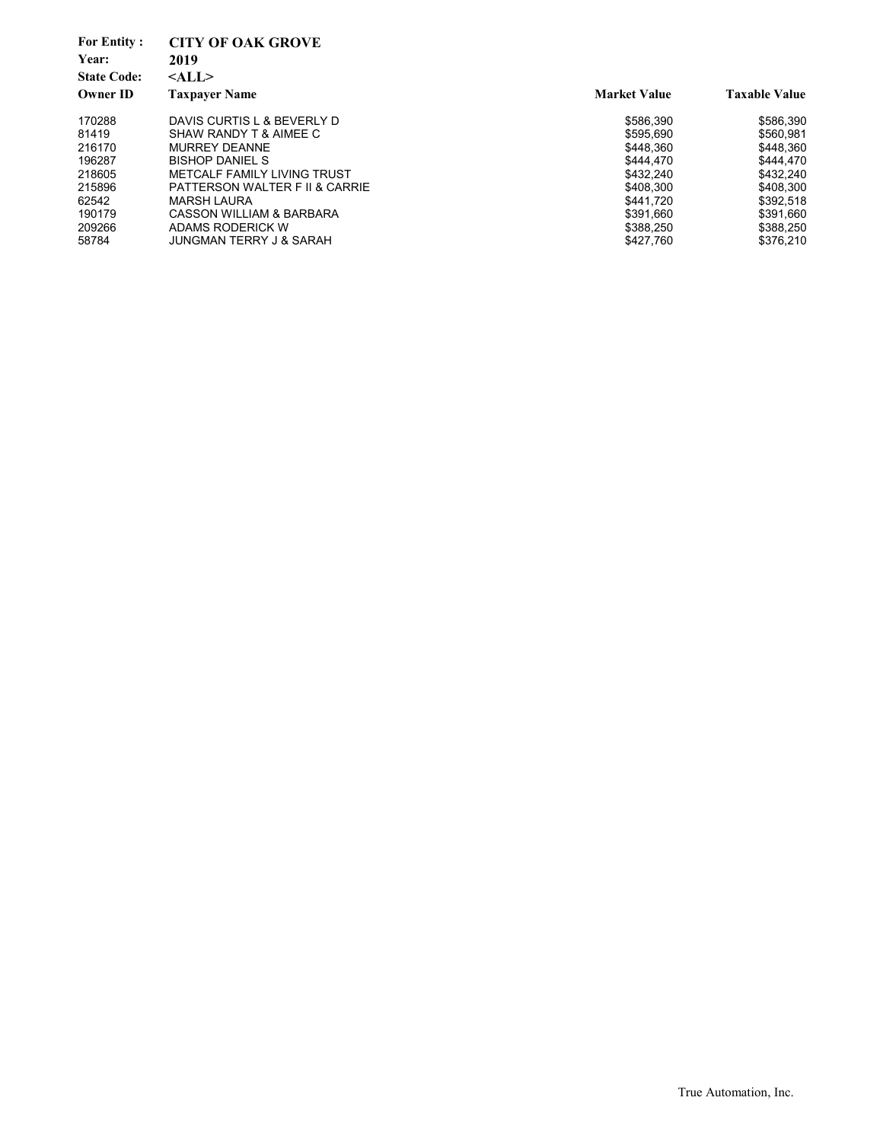| <b>For Entity:</b><br>Year:<br><b>State Code:</b> | <b>CITY OF OAK GROVE</b><br>2019<br>$<$ ALL $>$ |                     |                      |
|---------------------------------------------------|-------------------------------------------------|---------------------|----------------------|
| <b>Owner ID</b>                                   | <b>Taxpaver Name</b>                            | <b>Market Value</b> | <b>Taxable Value</b> |
| 170288                                            | DAVIS CURTIS L & BEVERLY D                      | \$586.390           | \$586,390            |
| 81419                                             | SHAW RANDY T & AIMEE C                          | \$595.690           | \$560,981            |
| 216170                                            | <b>MURREY DEANNE</b>                            | \$448.360           | \$448.360            |
| 196287                                            | <b>BISHOP DANIEL S</b>                          | \$444.470           | \$444.470            |
| 218605                                            | METCALF FAMILY LIVING TRUST                     | \$432.240           | \$432.240            |
| 215896                                            | PATTERSON WALTER F II & CARRIE                  | \$408.300           | \$408.300            |
| 62542                                             | MARSH LAURA                                     | \$441.720           | \$392.518            |
| 190179                                            | CASSON WILLIAM & BARBARA                        | \$391.660           | \$391.660            |
| 209266                                            | ADAMS RODERICK W                                | \$388.250           | \$388,250            |
| 58784                                             | <b>JUNGMAN TERRY J &amp; SARAH</b>              | \$427,760           | \$376,210            |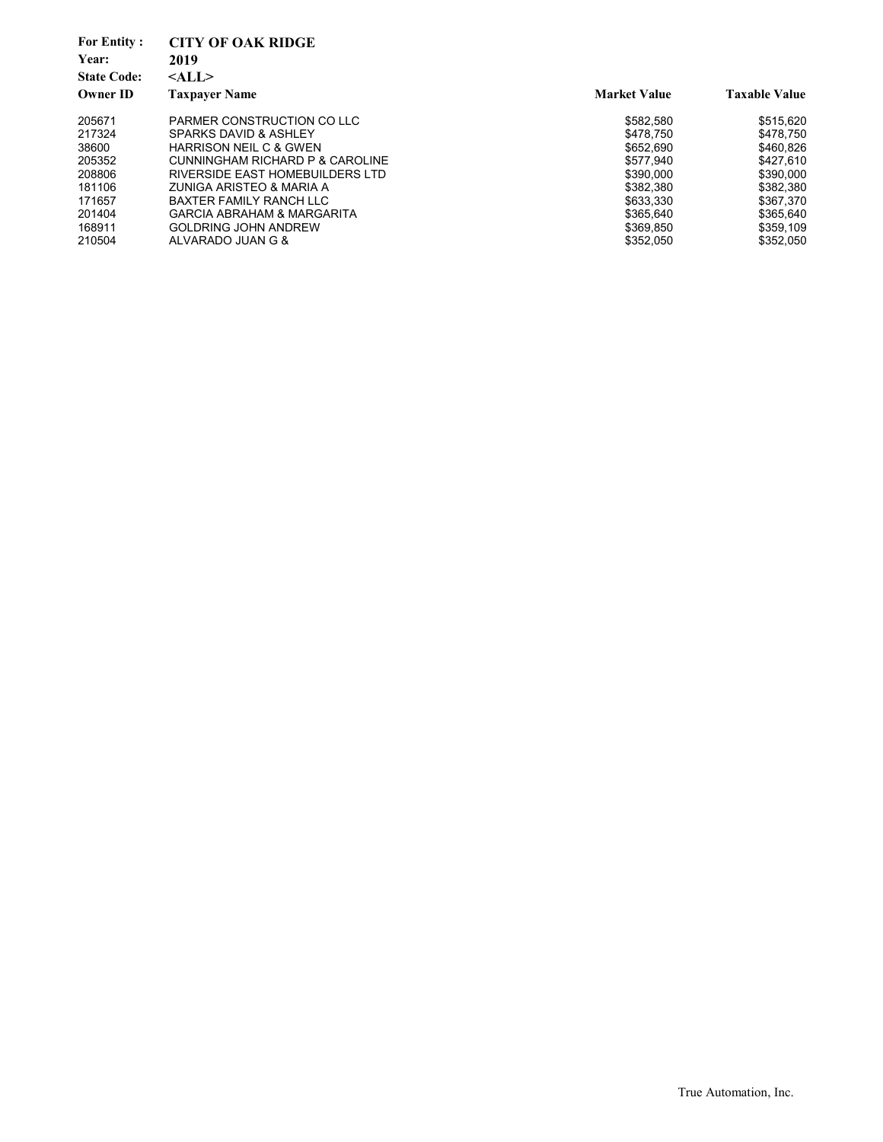| <b>For Entity:</b><br>Year:<br><b>State Code:</b> | <b>CITY OF OAK RIDGE</b><br>2019<br>$<$ ALL $>$ |                     |                      |
|---------------------------------------------------|-------------------------------------------------|---------------------|----------------------|
| <b>Owner ID</b>                                   | <b>Taxpayer Name</b>                            | <b>Market Value</b> | <b>Taxable Value</b> |
| 205671                                            | PARMER CONSTRUCTION CO LLC                      | \$582.580           | \$515,620            |
| 217324                                            | SPARKS DAVID & ASHLEY                           | \$478.750           | \$478.750            |
| 38600                                             | <b>HARRISON NEIL C &amp; GWEN</b>               | \$652.690           | \$460.826            |
| 205352                                            | CUNNINGHAM RICHARD P & CAROLINE                 | \$577.940           | \$427.610            |
| 208806                                            | RIVERSIDE EAST HOMEBUILDERS LTD                 | \$390,000           | \$390,000            |
| 181106                                            | ZUNIGA ARISTEO & MARIA A                        | \$382.380           | \$382,380            |
| 171657                                            | BAXTER FAMILY RANCH LLC                         | \$633.330           | \$367.370            |
| 201404                                            | GARCIA ABRAHAM & MARGARITA                      | \$365.640           | \$365.640            |
| 168911                                            | <b>GOLDRING JOHN ANDREW</b>                     | \$369.850           | \$359.109            |
| 210504                                            | ALVARADO JUAN G &                               | \$352.050           | \$352,050            |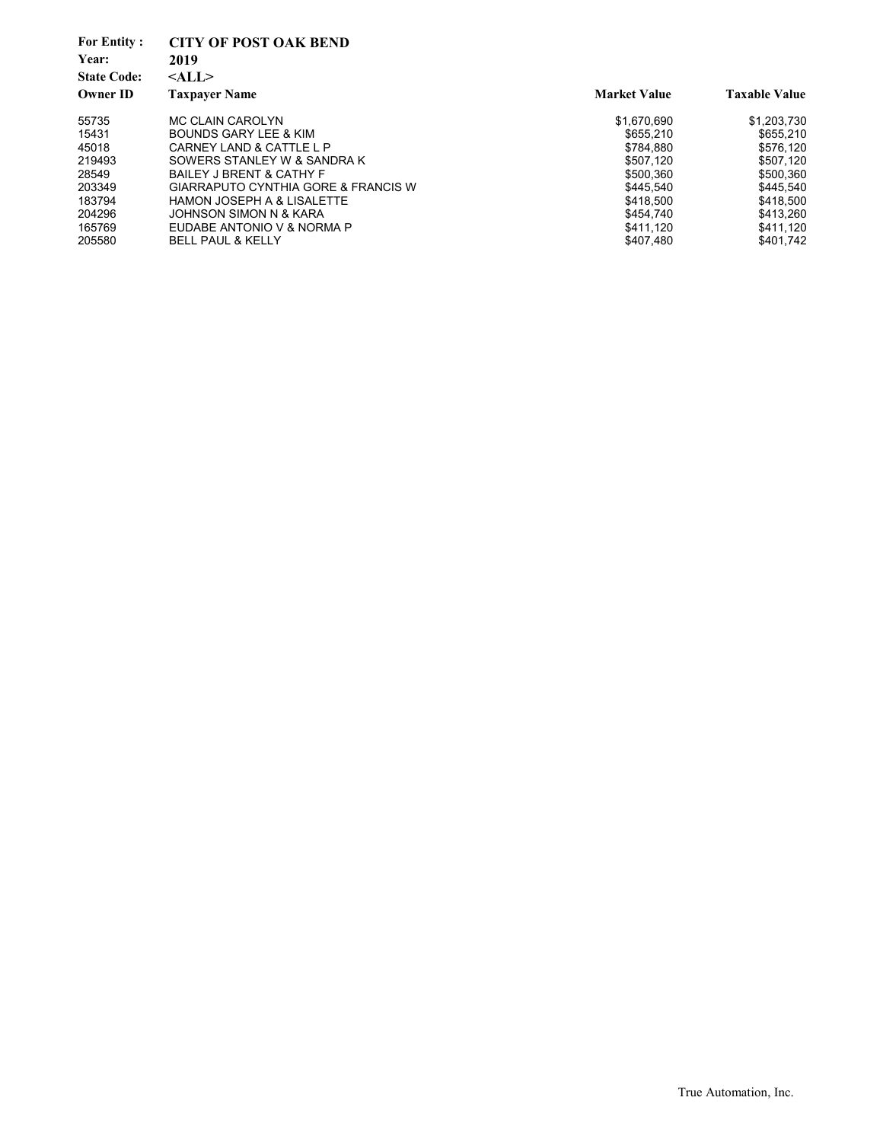| <b>For Entity:</b><br>Year:<br><b>State Code:</b> | <b>CITY OF POST OAK BEND</b><br>2019<br>$<$ ALL $>$ |                     |                      |
|---------------------------------------------------|-----------------------------------------------------|---------------------|----------------------|
| <b>Owner ID</b>                                   | <b>Taxpayer Name</b>                                | <b>Market Value</b> | <b>Taxable Value</b> |
| 55735                                             | MC CLAIN CAROLYN                                    | \$1.670.690         | \$1.203.730          |
| 15431                                             | BOUNDS GARY LEE & KIM                               | \$655.210           | \$655.210            |
| 45018                                             | CARNEY LAND & CATTLE LP                             | \$784.880           | \$576.120            |
| 219493                                            | SOWERS STANLEY W & SANDRA K                         | \$507.120           | \$507,120            |
| 28549                                             | <b>BAILEY J BRENT &amp; CATHY F</b>                 | \$500.360           | \$500,360            |
| 203349                                            | <b>GIARRAPUTO CYNTHIA GORE &amp; FRANCIS W</b>      | \$445.540           | \$445.540            |
| 183794                                            | <b>HAMON JOSEPH A &amp; LISALETTE</b>               | \$418.500           | \$418.500            |
| 204296                                            | JOHNSON SIMON N & KARA                              | \$454.740           | \$413.260            |
| 165769                                            | EUDABE ANTONIO V & NORMA P                          | \$411.120           | \$411,120            |
| 205580                                            | <b>BELL PAUL &amp; KELLY</b>                        | \$407.480           | \$401.742            |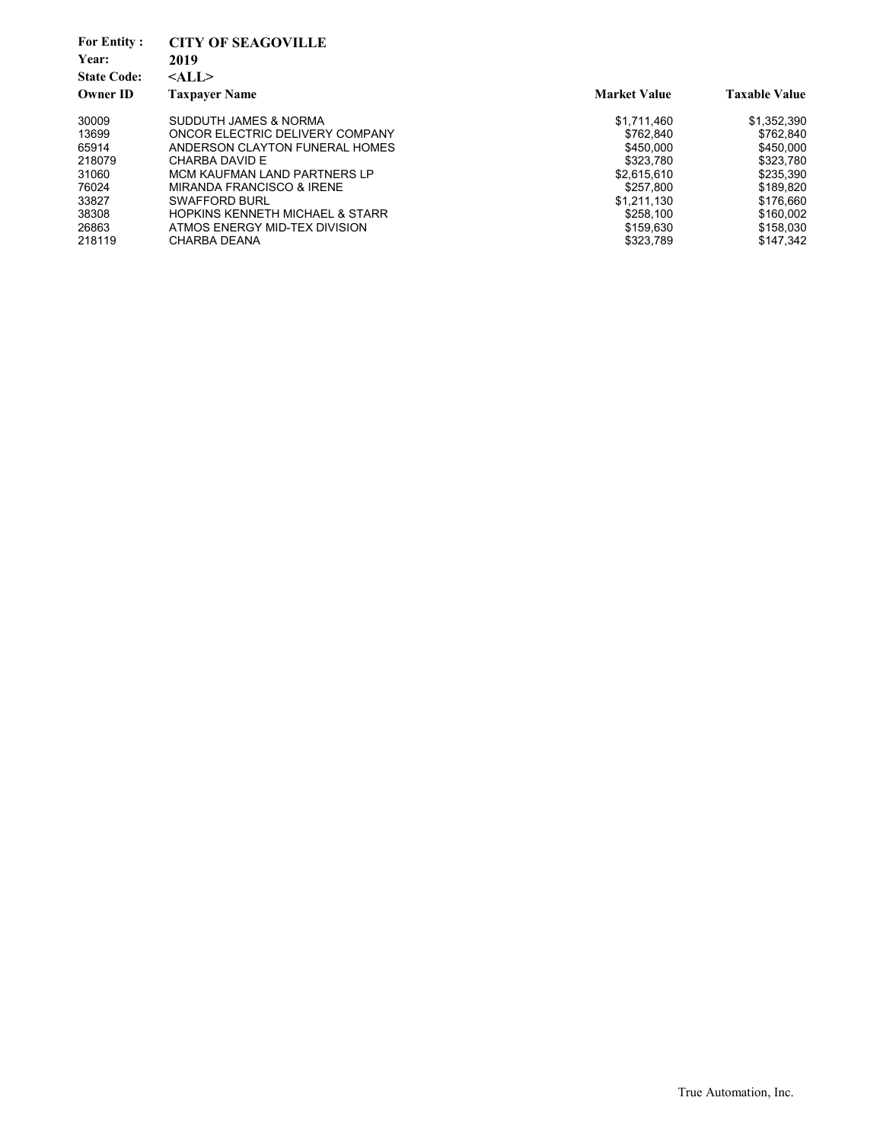| <b>For Entity:</b><br>Year:<br><b>State Code:</b> | <b>CITY OF SEAGOVILLE</b><br>2019<br>$<$ ALL $>$ |                     |                      |
|---------------------------------------------------|--------------------------------------------------|---------------------|----------------------|
| <b>Owner ID</b>                                   | <b>Taxpayer Name</b>                             | <b>Market Value</b> | <b>Taxable Value</b> |
| 30009                                             | SUDDUTH JAMES & NORMA                            | \$1,711,460         | \$1,352,390          |
| 13699                                             | ONCOR ELECTRIC DELIVERY COMPANY                  | \$762.840           | \$762.840            |
| 65914                                             | ANDERSON CLAYTON FUNERAL HOMES                   | \$450,000           | \$450,000            |
| 218079                                            | CHARBA DAVID E                                   | \$323.780           | \$323,780            |
| 31060                                             | MCM KAUFMAN LAND PARTNERS LP                     | \$2.615.610         | \$235.390            |
| 76024                                             | MIRANDA FRANCISCO & IRENE                        | \$257.800           | \$189.820            |
| 33827                                             | SWAFFORD BURL                                    | \$1,211,130         | \$176.660            |
| 38308                                             | <b>HOPKINS KENNETH MICHAEL &amp; STARR</b>       | \$258.100           | \$160.002            |
| 26863                                             | ATMOS ENERGY MID-TEX DIVISION                    | \$159.630           | \$158,030            |
| 218119                                            | CHARBA DEANA                                     | \$323.789           | \$147.342            |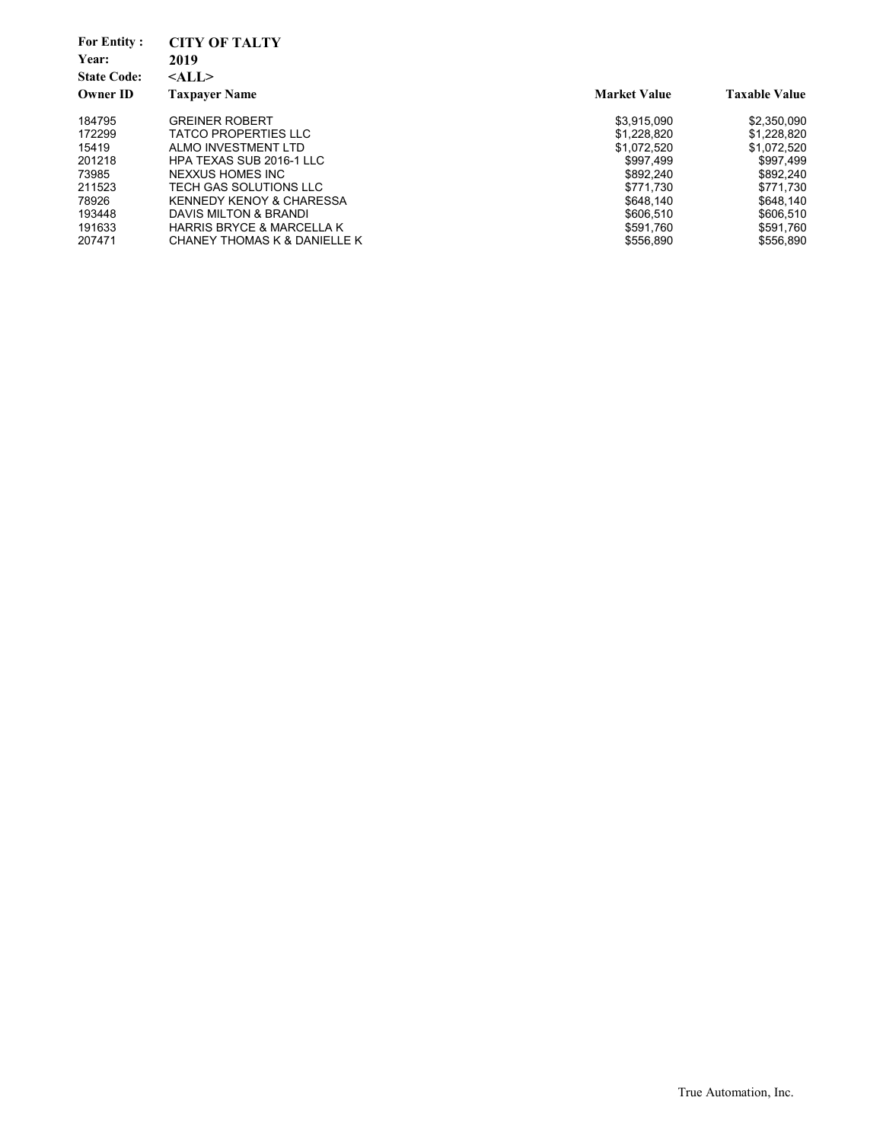| <b>For Entity:</b> | <b>CITY OF TALTY</b>                 |                     |                      |
|--------------------|--------------------------------------|---------------------|----------------------|
| Year:              | 2019                                 |                     |                      |
| <b>State Code:</b> | $<$ ALL $>$                          |                     |                      |
| <b>Owner ID</b>    | <b>Taxpayer Name</b>                 | <b>Market Value</b> | <b>Taxable Value</b> |
| 184795             | <b>GREINER ROBERT</b>                | \$3.915.090         | \$2,350,090          |
| 172299             | <b>TATCO PROPERTIES LLC</b>          | \$1,228,820         | \$1,228,820          |
| 15419              | ALMO INVESTMENT LTD                  | \$1.072.520         | \$1,072,520          |
| 201218             | <b>HPA TEXAS SUB 2016-1 LLC</b>      | \$997.499           | \$997,499            |
| 73985              | NEXXUS HOMES INC                     | \$892,240           | \$892,240            |
| 211523             | TECH GAS SOLUTIONS LLC               | \$771.730           | \$771.730            |
| 78926              | <b>KENNEDY KENOY &amp; CHARESSA</b>  | \$648.140           | \$648.140            |
| 193448             | DAVIS MILTON & BRANDI                | \$606.510           | \$606,510            |
| 191633             | <b>HARRIS BRYCE &amp; MARCELLA K</b> | \$591,760           | \$591,760            |
| 207471             | CHANEY THOMAS K & DANIELLE K         | \$556.890           | \$556.890            |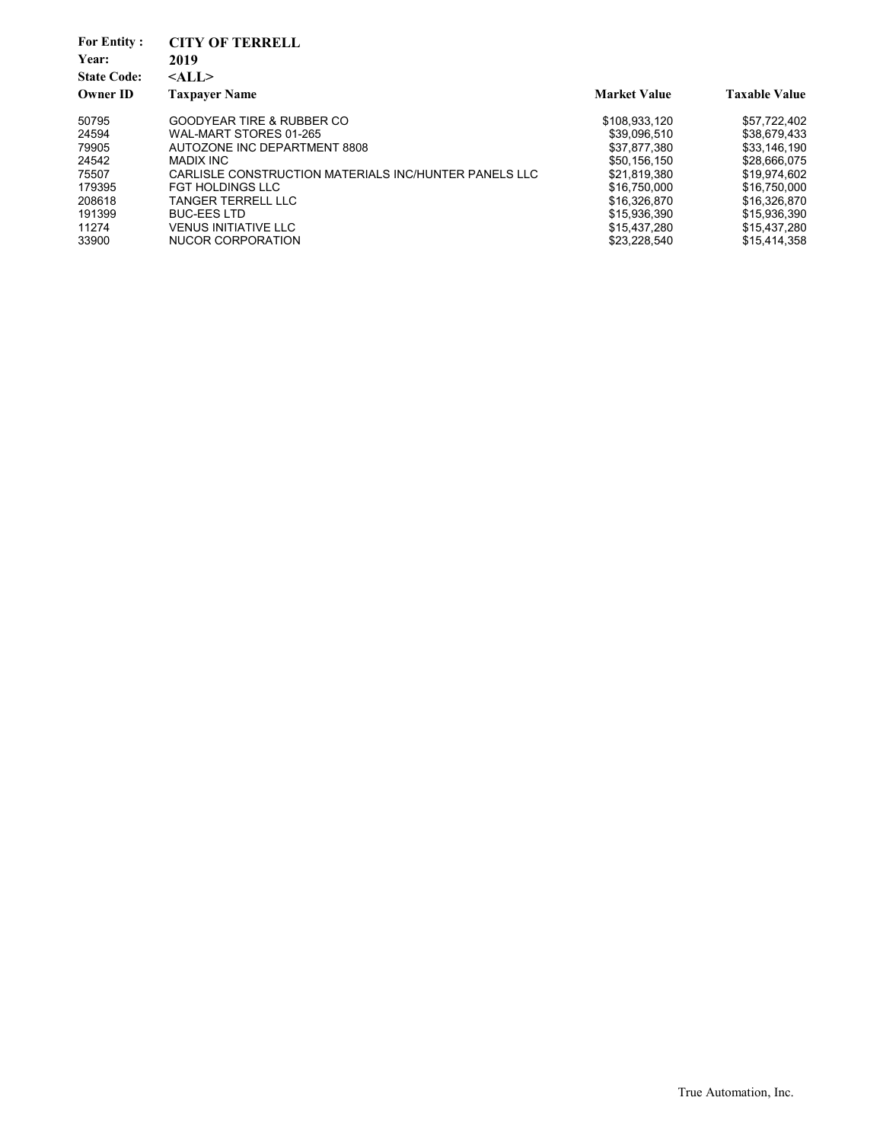| <b>For Entity:</b><br>Year:<br><b>State Code:</b><br><b>Owner ID</b> | <b>CITY OF TERRELL</b><br>2019<br>$<$ ALL $>$<br><b>Taxpayer Name</b> | <b>Market Value</b> | <b>Taxable Value</b> |
|----------------------------------------------------------------------|-----------------------------------------------------------------------|---------------------|----------------------|
| 50795                                                                | GOODYEAR TIRE & RUBBER CO                                             | \$108,933,120       | \$57,722,402         |
| 24594                                                                | WAL-MART STORES 01-265                                                | \$39.096.510        | \$38.679.433         |
| 79905                                                                | AUTOZONE INC DEPARTMENT 8808                                          | \$37.877.380        | \$33.146.190         |
| 24542                                                                | MADIX INC                                                             | \$50.156.150        | \$28,666,075         |
| 75507                                                                | CARLISLE CONSTRUCTION MATERIALS INC/HUNTER PANELS LLC                 | \$21,819,380        | \$19,974,602         |
| 179395                                                               | FGT HOLDINGS LLC                                                      | \$16.750.000        | \$16.750.000         |
| 208618                                                               | TANGER TERRELL LLC                                                    | \$16,326,870        | \$16,326,870         |
| 191399                                                               | <b>BUC-EES LTD</b>                                                    | \$15.936.390        | \$15,936,390         |
| 11274                                                                | <b>VENUS INITIATIVE LLC</b>                                           | \$15.437.280        | \$15,437,280         |
| 33900                                                                | NUCOR CORPORATION                                                     | \$23,228,540        | \$15,414,358         |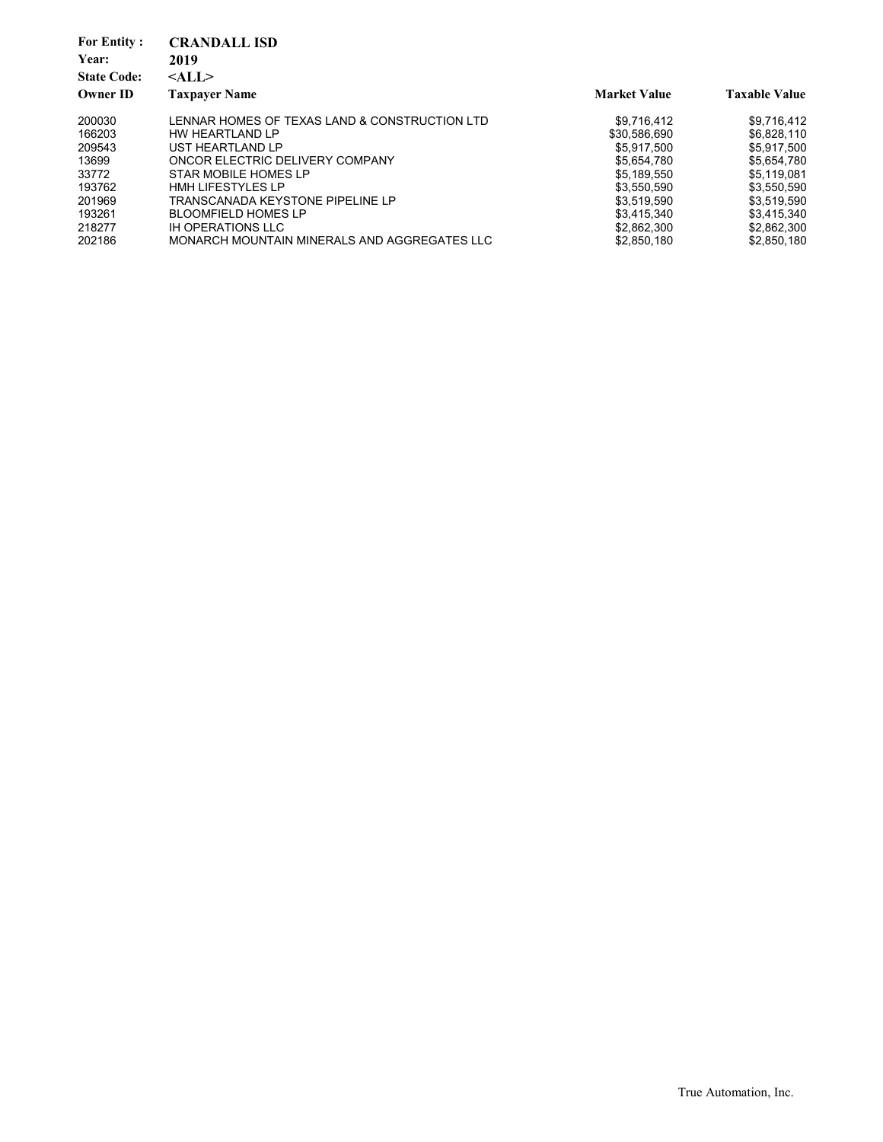| <b>CRANDALL ISD</b>                           |                     |                      |
|-----------------------------------------------|---------------------|----------------------|
| 2019                                          |                     |                      |
| $<$ ALL $>$                                   |                     |                      |
| <b>Taxpaver Name</b>                          | <b>Market Value</b> | <b>Taxable Value</b> |
| LENNAR HOMES OF TEXAS LAND & CONSTRUCTION LTD | \$9.716.412         | \$9.716.412          |
| HW HEARTLAND LP                               | \$30.586.690        | \$6,828,110          |
| UST HEARTLAND LP                              | \$5.917.500         | \$5.917.500          |
| ONCOR ELECTRIC DELIVERY COMPANY               | \$5.654.780         | \$5,654,780          |
| STAR MOBILE HOMES LP                          | \$5.189.550         | \$5.119.081          |
| <b>HMH LIFESTYLES LP</b>                      | \$3.550.590         | \$3.550.590          |
| TRANSCANADA KEYSTONE PIPELINE LP              | \$3,519,590         | \$3,519,590          |
| <b>BLOOMFIELD HOMES LP</b>                    | \$3.415.340         | \$3.415.340          |
| <b>IH OPERATIONS LLC</b>                      | \$2,862,300         | \$2,862,300          |
| MONARCH MOUNTAIN MINERALS AND AGGREGATES LLC  | \$2,850,180         | \$2.850.180          |
|                                               |                     |                      |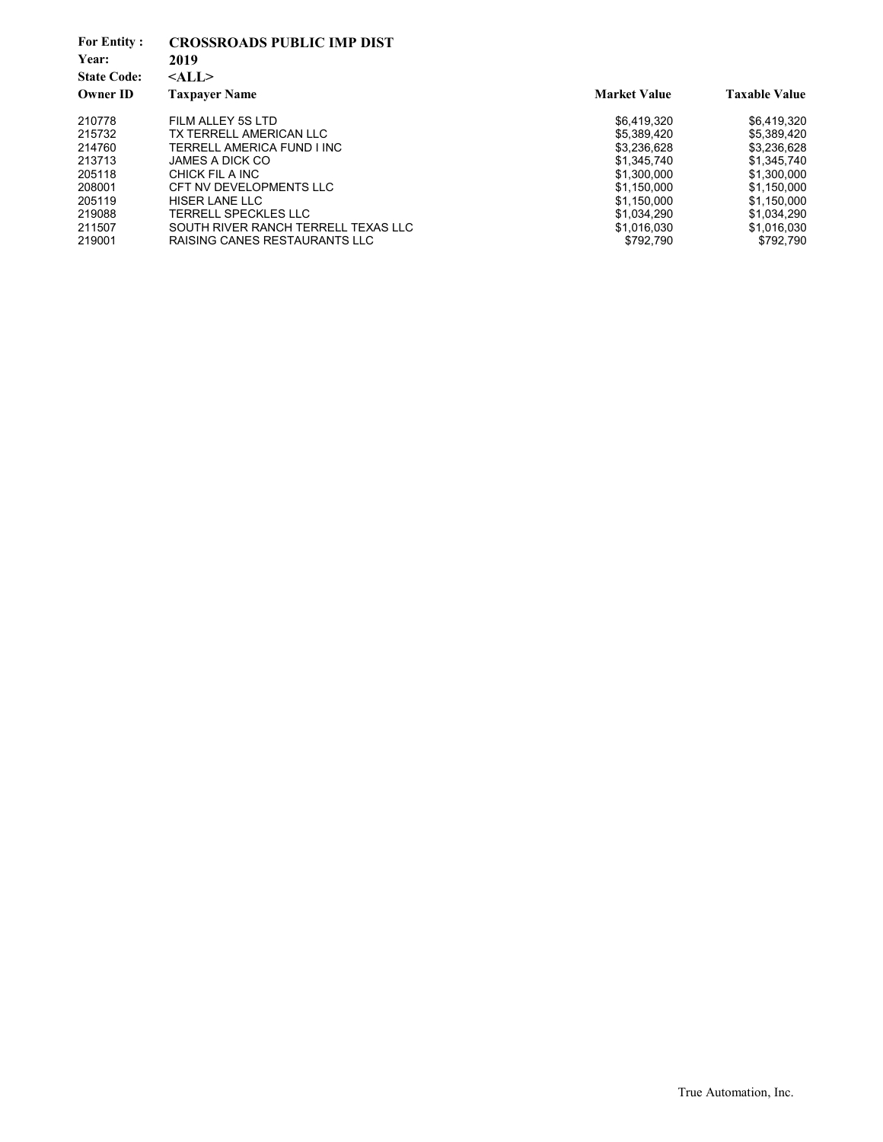| <b>For Entity:</b><br>Year:<br><b>State Code:</b><br><b>Owner ID</b> | <b>CROSSROADS PUBLIC IMP DIST</b><br>2019<br>$<$ ALL $>$<br><b>Taxpayer Name</b> | <b>Market Value</b> | <b>Taxable Value</b> |
|----------------------------------------------------------------------|----------------------------------------------------------------------------------|---------------------|----------------------|
|                                                                      |                                                                                  |                     |                      |
| 210778                                                               | FILM ALLEY 5S LTD                                                                | \$6.419.320         | \$6,419,320          |
| 215732                                                               | TX TERRELL AMERICAN LLC                                                          | \$5.389.420         | \$5.389.420          |
| 214760                                                               | TERRELL AMERICA FUND I INC                                                       | \$3,236,628         | \$3.236.628          |
| 213713                                                               | JAMES A DICK CO                                                                  | \$1.345.740         | \$1.345.740          |
| 205118                                                               | CHICK FIL A INC                                                                  | \$1,300,000         | \$1,300,000          |
| 208001                                                               | CFT NV DEVELOPMENTS LLC                                                          | \$1.150.000         | \$1.150.000          |
| 205119                                                               | HISER LANE LLC                                                                   | \$1,150,000         | \$1.150.000          |
| 219088                                                               | <b>TERRELL SPECKLES LLC</b>                                                      | \$1.034.290         | \$1.034.290          |
| 211507                                                               | SOUTH RIVER RANCH TERRELL TEXAS LLC                                              | \$1,016,030         | \$1,016,030          |
| 219001                                                               | RAISING CANES RESTAURANTS LLC                                                    | \$792.790           | \$792.790            |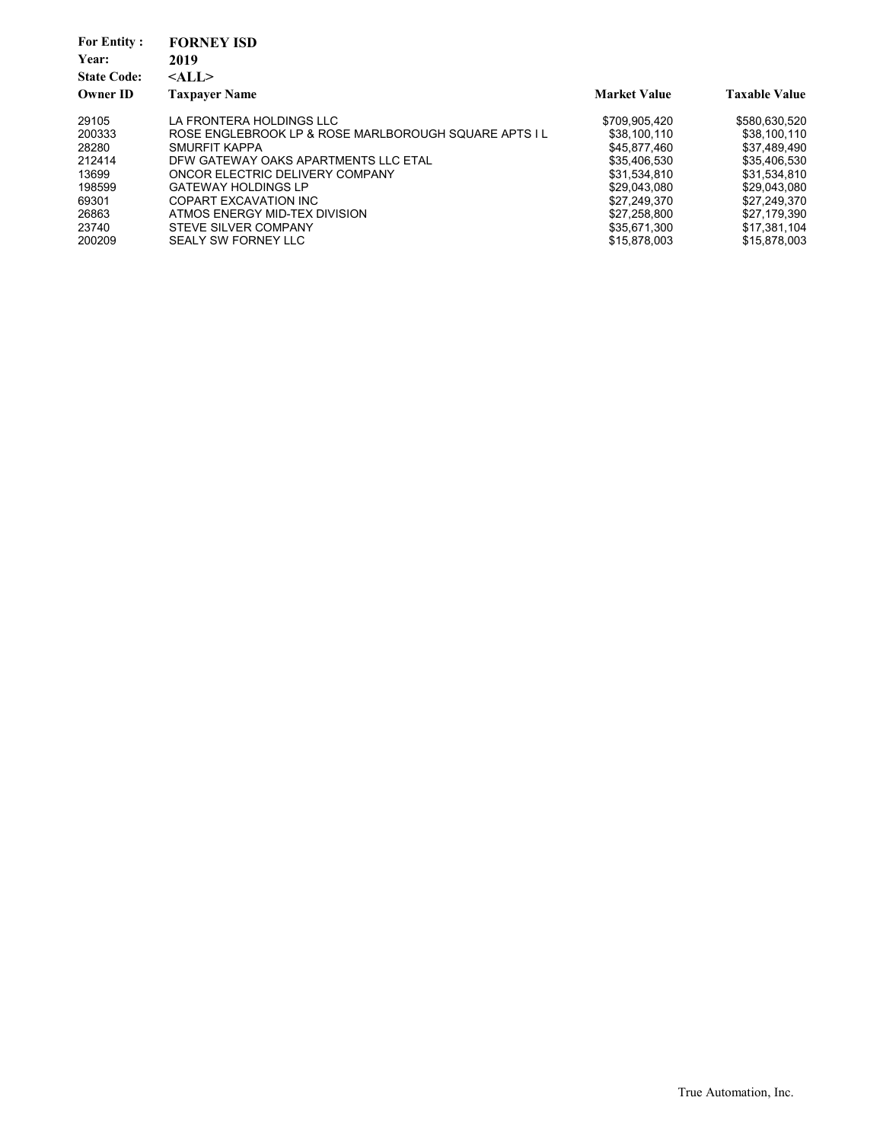| <b>For Entity:</b><br>Year:<br><b>State Code:</b><br><b>Owner ID</b> | <b>FORNEY ISD</b><br>2019<br>$<$ ALL $>$<br><b>Taxpayer Name</b> | <b>Market Value</b> | <b>Taxable Value</b> |
|----------------------------------------------------------------------|------------------------------------------------------------------|---------------------|----------------------|
| 29105                                                                | LA FRONTERA HOLDINGS LLC                                         | \$709.905.420       | \$580,630,520        |
|                                                                      |                                                                  |                     |                      |
| 200333                                                               | ROSE ENGLEBROOK LP & ROSE MARLBOROUGH SOUARE APTS I L            | \$38,100,110        | \$38,100,110         |
| 28280                                                                | <b>SMURFIT KAPPA</b>                                             | \$45,877,460        | \$37,489,490         |
| 212414                                                               | DFW GATEWAY OAKS APARTMENTS LLC ETAL                             | \$35,406,530        | \$35,406,530         |
| 13699                                                                | ONCOR ELECTRIC DELIVERY COMPANY                                  | \$31.534.810        | \$31,534,810         |
| 198599                                                               | <b>GATEWAY HOLDINGS LP</b>                                       | \$29.043.080        | \$29.043.080         |
| 69301                                                                | COPART EXCAVATION INC                                            | \$27,249,370        | \$27.249.370         |
| 26863                                                                | ATMOS ENERGY MID-TEX DIVISION                                    | \$27,258,800        | \$27,179,390         |
| 23740                                                                | STEVE SILVER COMPANY                                             | \$35,671,300        | \$17,381,104         |
| 200209                                                               | SEALY SW FORNEY LLC                                              | \$15.878.003        | \$15,878,003         |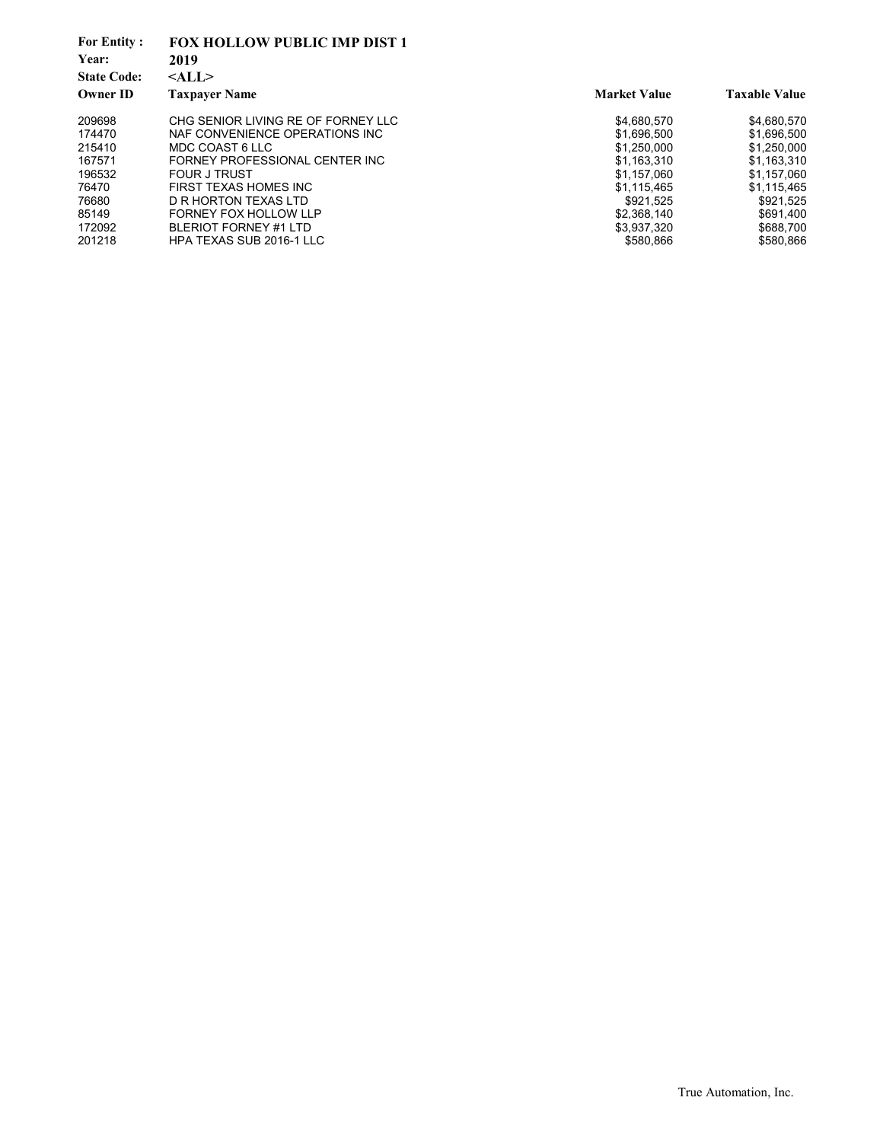| <b>For Entity:</b> | <b>FOX HOLLOW PUBLIC IMP DIST 1</b> |                     |                      |
|--------------------|-------------------------------------|---------------------|----------------------|
| Year:              | 2019                                |                     |                      |
| <b>State Code:</b> | $<$ ALL $>$                         |                     |                      |
| <b>Owner ID</b>    | <b>Taxpayer Name</b>                | <b>Market Value</b> | <b>Taxable Value</b> |
| 209698             | CHG SENIOR LIVING RE OF FORNEY LLC  | \$4,680,570         | \$4,680,570          |
| 174470             | NAF CONVENIENCE OPERATIONS INC      | \$1.696.500         | \$1.696.500          |
| 215410             | MDC COAST 6 LLC                     | \$1.250,000         | \$1,250,000          |
| 167571             | FORNEY PROFESSIONAL CENTER INC      | \$1,163,310         | \$1,163,310          |
| 196532             | <b>FOUR J TRUST</b>                 | \$1.157.060         | \$1.157.060          |
| 76470              | FIRST TEXAS HOMES INC               | \$1.115.465         | \$1.115.465          |
| 76680              | D R HORTON TEXAS LTD                | \$921.525           | \$921,525            |
| 85149              | FORNEY FOX HOLLOW LLP               | \$2,368,140         | \$691.400            |
| 172092             | <b>BLERIOT FORNEY #1 LTD</b>        | \$3,937,320         | \$688,700            |
| 201218             | HPA TEXAS SUB 2016-1 LLC            | \$580.866           | \$580,866            |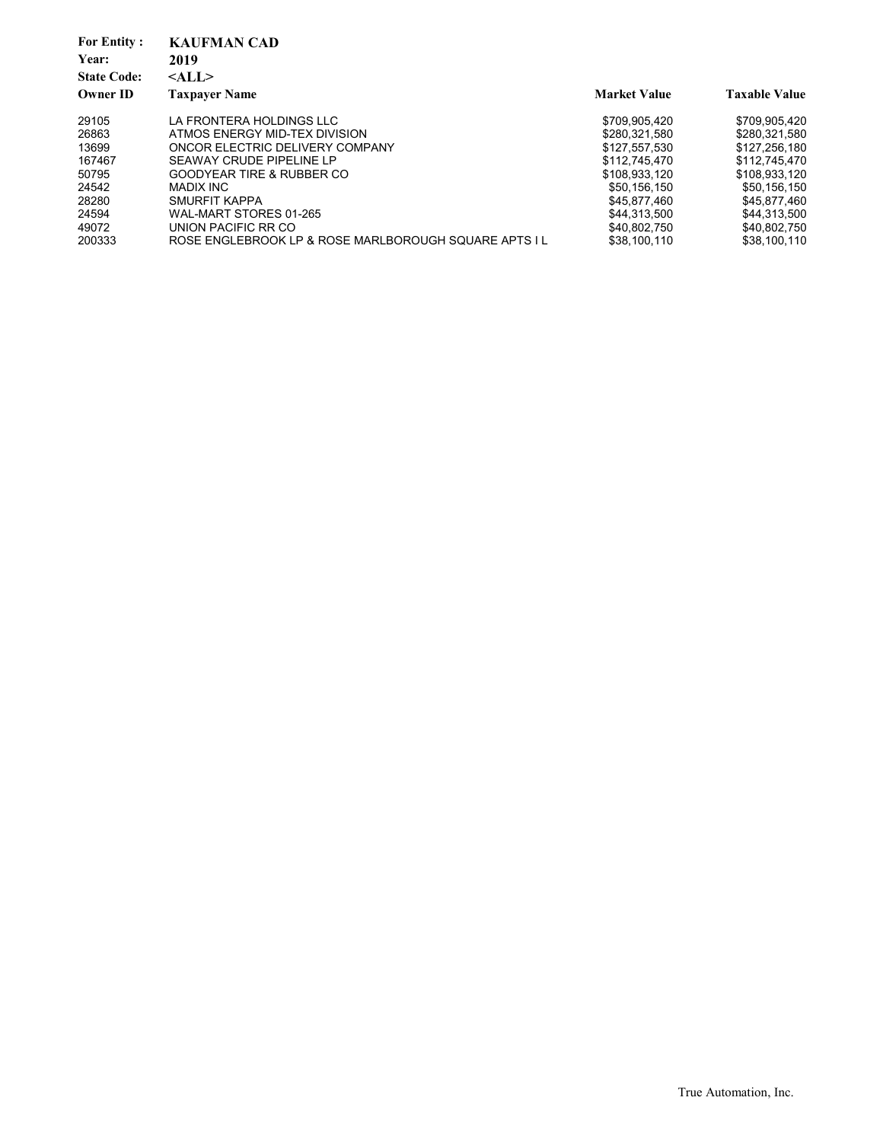| <b>KAUFMAN CAD</b>                                    |                     |                      |
|-------------------------------------------------------|---------------------|----------------------|
| 2019                                                  |                     |                      |
| $<$ ALL $>$                                           |                     |                      |
| <b>Taxpayer Name</b>                                  | <b>Market Value</b> | <b>Taxable Value</b> |
| LA FRONTERA HOLDINGS LLC                              | \$709.905.420       | \$709.905.420        |
| ATMOS ENERGY MID-TEX DIVISION                         | \$280.321.580       | \$280.321.580        |
| ONCOR ELECTRIC DELIVERY COMPANY                       | \$127.557.530       | \$127.256.180        |
| SEAWAY CRUDE PIPELINE LP                              | \$112,745,470       | \$112,745,470        |
| <b>GOODYEAR TIRE &amp; RUBBER CO</b>                  | \$108.933.120       | \$108.933.120        |
| MADIX INC                                             | \$50.156.150        | \$50.156.150         |
| SMURFIT KAPPA                                         | \$45.877.460        | \$45.877.460         |
| WAL-MART STORES 01-265                                | \$44.313.500        | \$44.313.500         |
| UNION PACIFIC RR CO                                   | \$40,802,750        | \$40,802,750         |
| ROSE ENGLEBROOK LP & ROSE MARLBOROUGH SQUARE APTS I L | \$38.100.110        | \$38.100.110         |
|                                                       |                     |                      |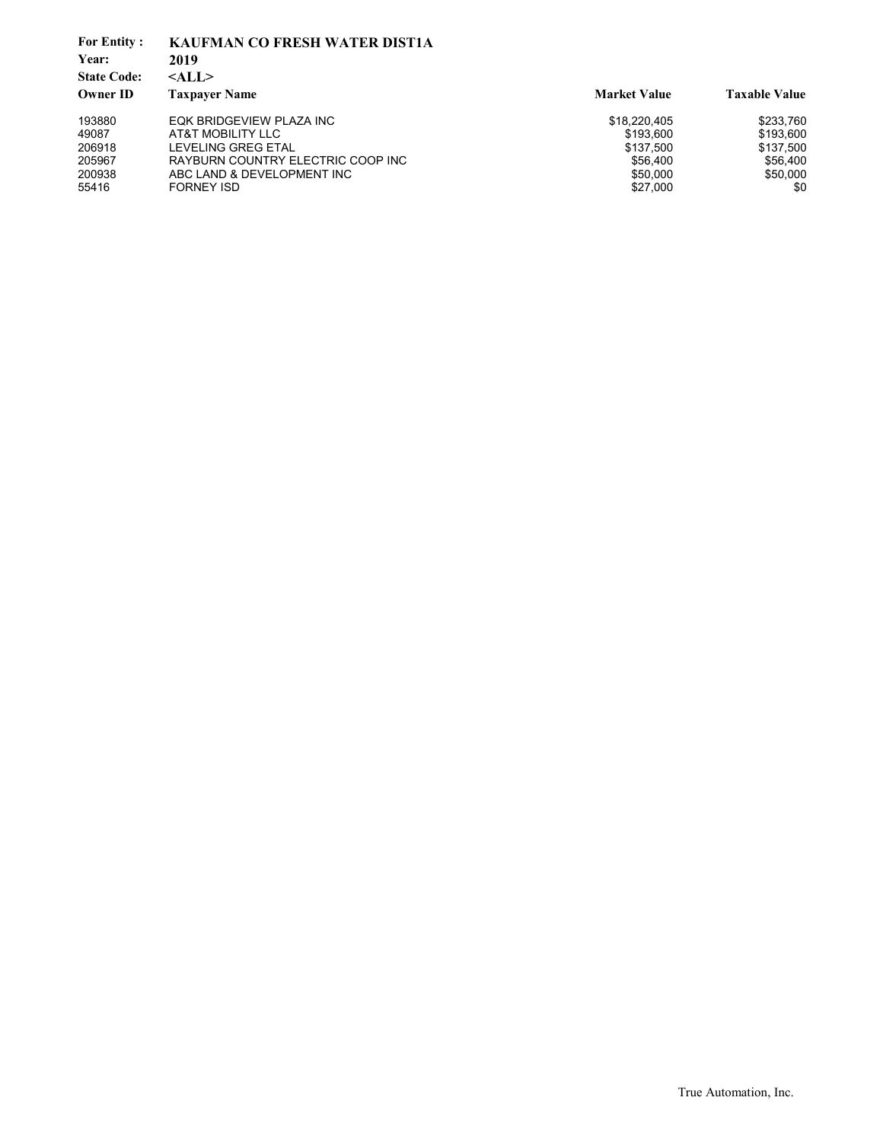| <b>For Entity:</b> | <b>KAUFMAN CO FRESH WATER DIST1A</b> |                     |                      |
|--------------------|--------------------------------------|---------------------|----------------------|
| Year:              | 2019                                 |                     |                      |
| <b>State Code:</b> | $<$ ALL $>$                          |                     |                      |
| <b>Owner ID</b>    | <b>Taxpayer Name</b>                 | <b>Market Value</b> | <b>Taxable Value</b> |
| 193880             | EQK BRIDGEVIEW PLAZA INC             | \$18,220,405        | \$233,760            |
| 49087              | AT&T MOBILITY LLC                    | \$193.600           | \$193,600            |
| 206918             | LEVELING GREG ETAL                   | \$137.500           | \$137,500            |
| 205967             | RAYBURN COUNTRY ELECTRIC COOP INC    | \$56,400            | \$56,400             |
| 200938             | ABC LAND & DEVELOPMENT INC           | \$50,000            | \$50,000             |
| 55416              | <b>FORNEY ISD</b>                    | \$27,000            | \$0                  |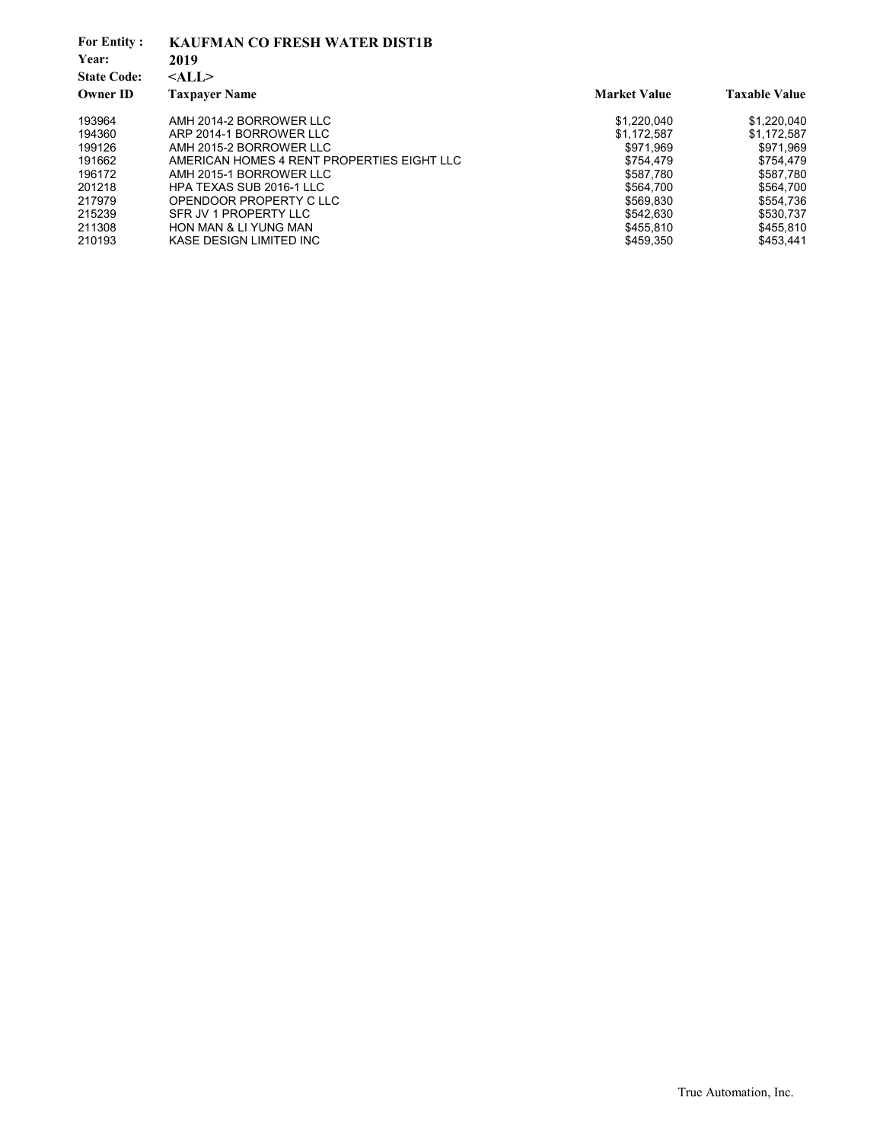| <b>For Entity:</b> | <b>KAUFMAN CO FRESH WATER DIST1B</b>       |                     |                      |
|--------------------|--------------------------------------------|---------------------|----------------------|
| Year:              | 2019                                       |                     |                      |
| <b>State Code:</b> | $<$ ALL $>$                                |                     |                      |
| <b>Owner ID</b>    | <b>Taxpayer Name</b>                       | <b>Market Value</b> | <b>Taxable Value</b> |
| 193964             | AMH 2014-2 BORROWER LLC                    | \$1,220,040         | \$1,220,040          |
| 194360             | ARP 2014-1 BORROWER LLC                    | \$1,172,587         | \$1,172,587          |
| 199126             | AMH 2015-2 BORROWER LLC                    | \$971.969           | \$971.969            |
| 191662             | AMERICAN HOMES 4 RENT PROPERTIES EIGHT LLC | \$754,479           | \$754,479            |
| 196172             | AMH 2015-1 BORROWER LLC                    | \$587.780           | \$587.780            |
| 201218             | HPA TEXAS SUB 2016-1 LLC                   | \$564.700           | \$564,700            |
| 217979             | OPENDOOR PROPERTY C LLC                    | \$569,830           | \$554,736            |
| 215239             | SFR JV 1 PROPERTY LLC                      | \$542.630           | \$530,737            |
| 211308             | <b>HON MAN &amp; LI YUNG MAN</b>           | \$455,810           | \$455,810            |
| 210193             | KASE DESIGN LIMITED INC                    | \$459,350           | \$453,441            |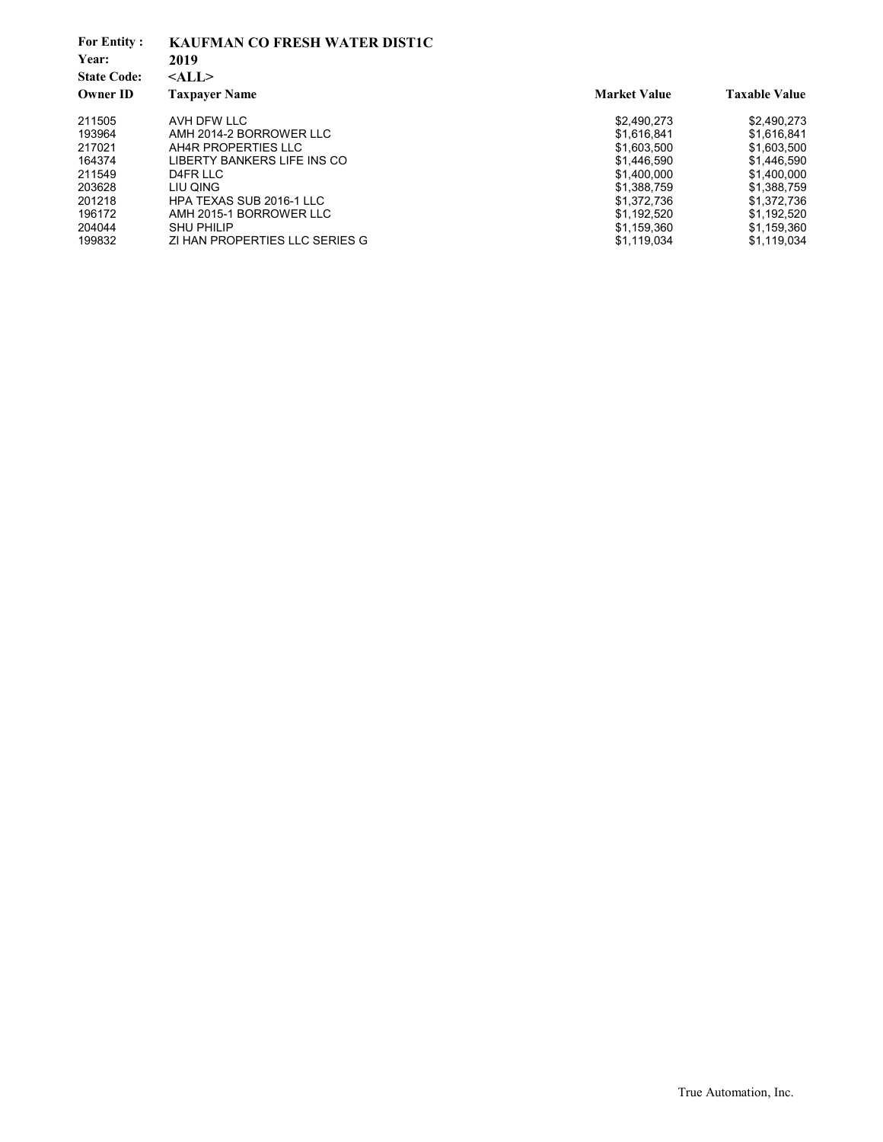| <b>For Entity:</b><br>Year:<br><b>State Code:</b> | <b>KAUFMAN CO FRESH WATER DIST1C</b><br>2019<br>$<$ ALL $>$ |                     |                      |
|---------------------------------------------------|-------------------------------------------------------------|---------------------|----------------------|
| <b>Owner ID</b>                                   | <b>Taxpayer Name</b>                                        | <b>Market Value</b> | <b>Taxable Value</b> |
| 211505                                            | AVH DFW LLC                                                 | \$2,490,273         | \$2,490,273          |
| 193964                                            | AMH 2014-2 BORROWER LLC                                     | \$1.616.841         | \$1.616.841          |
| 217021                                            | AH4R PROPERTIES LLC                                         | \$1,603,500         | \$1,603,500          |
| 164374                                            | LIBERTY BANKERS LIFE INS CO                                 | \$1.446.590         | \$1,446.590          |
| 211549                                            | D4FR LLC                                                    | \$1,400,000         | \$1.400.000          |
| 203628                                            | LIU QING                                                    | \$1,388,759         | \$1.388.759          |
| 201218                                            | HPA TEXAS SUB 2016-1 LLC                                    | \$1,372,736         | \$1,372,736          |
| 196172                                            | AMH 2015-1 BORROWER LLC                                     | \$1.192.520         | \$1.192.520          |
| 204044                                            | <b>SHU PHILIP</b>                                           | \$1,159,360         | \$1,159,360          |
| 199832                                            | ZI HAN PROPERTIES LLC SERIES G                              | \$1,119,034         | \$1,119,034          |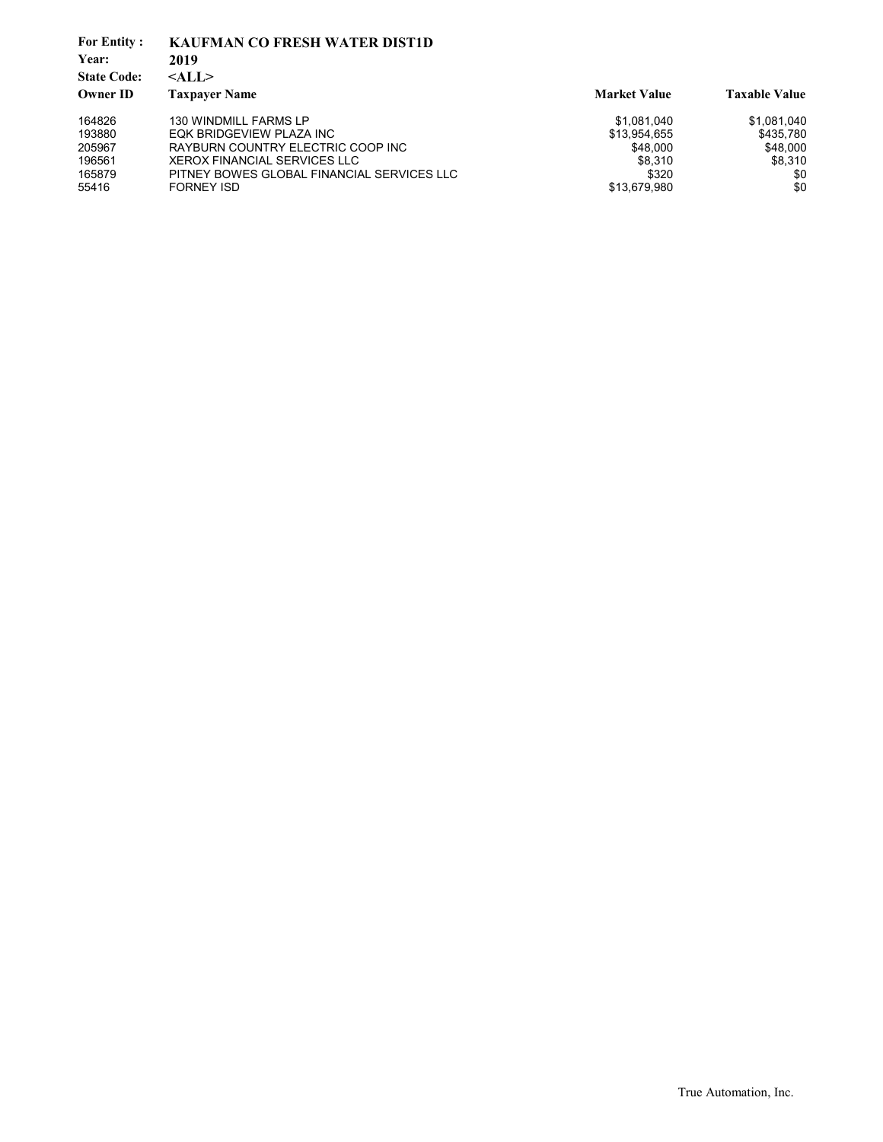| <b>For Entity:</b> | <b>KAUFMAN CO FRESH WATER DIST1D</b>       |                     |                      |
|--------------------|--------------------------------------------|---------------------|----------------------|
| Year:              | 2019                                       |                     |                      |
| <b>State Code:</b> | $<$ ALL $>$                                |                     |                      |
| <b>Owner ID</b>    | <b>Taxpaver Name</b>                       | <b>Market Value</b> | <b>Taxable Value</b> |
| 164826             | 130 WINDMILL FARMS LP                      | \$1,081,040         | \$1,081,040          |
| 193880             | EQK BRIDGEVIEW PLAZA INC                   | \$13,954,655        | \$435,780            |
| 205967             | RAYBURN COUNTRY ELECTRIC COOP INC          | \$48,000            | \$48,000             |
| 196561             | XEROX FINANCIAL SERVICES LLC               | \$8.310             | \$8,310              |
| 165879             | PITNEY BOWES GLOBAL FINANCIAL SERVICES LLC | \$320               | \$0                  |
| 55416              | <b>FORNEY ISD</b>                          | \$13,679,980        | \$0                  |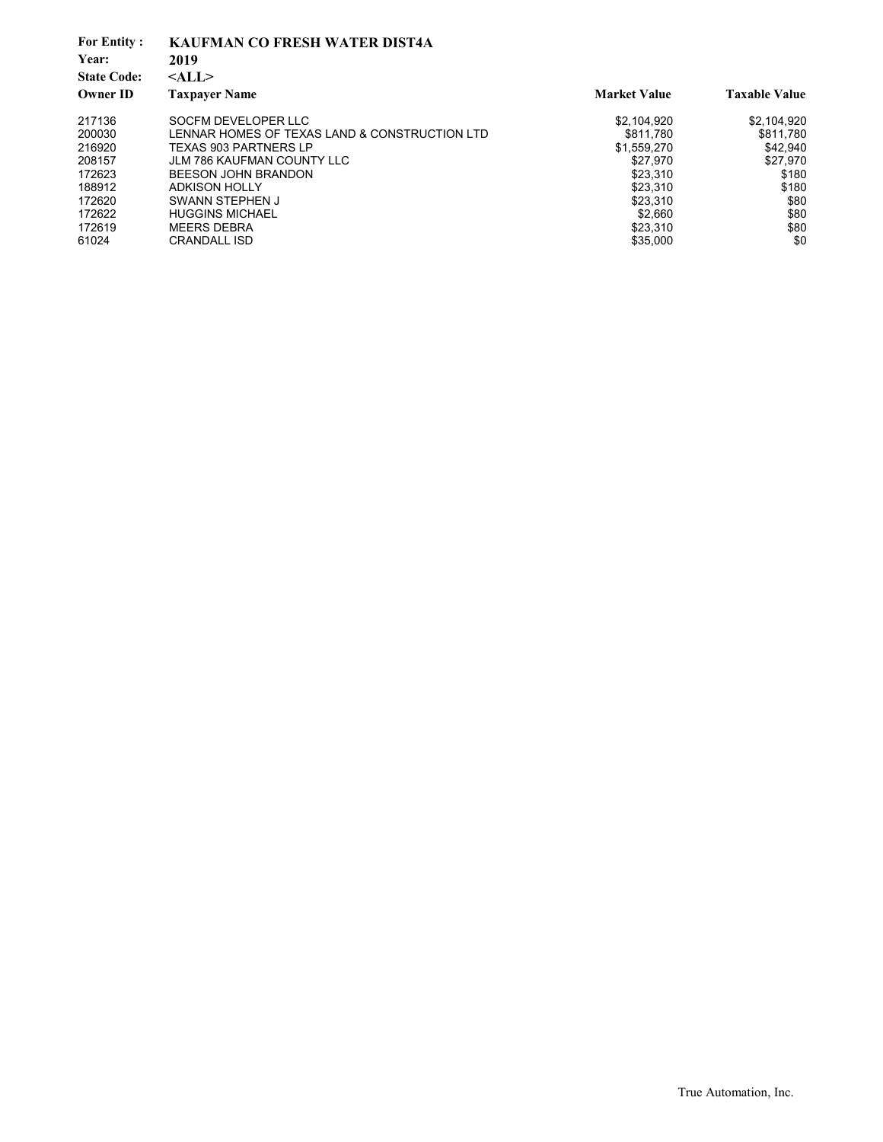| <b>For Entity:</b><br>Year:<br><b>State Code:</b><br><b>Owner ID</b> | <b>KAUFMAN CO FRESH WATER DIST4A</b><br>2019<br>$<$ ALL $>$<br><b>Taxpayer Name</b> | <b>Market Value</b> | <b>Taxable Value</b> |
|----------------------------------------------------------------------|-------------------------------------------------------------------------------------|---------------------|----------------------|
| 217136                                                               | SOCFM DEVELOPER LLC                                                                 | \$2,104,920         | \$2,104,920          |
| 200030                                                               | LENNAR HOMES OF TEXAS LAND & CONSTRUCTION LTD                                       | \$811.780           | \$811.780            |
| 216920                                                               | <b>TEXAS 903 PARTNERS LP</b>                                                        | \$1,559,270         | \$42,940             |
| 208157                                                               | <b>JLM 786 KAUFMAN COUNTY LLC</b>                                                   | \$27.970            | \$27,970             |
| 172623                                                               | <b>BEESON JOHN BRANDON</b>                                                          | \$23.310            | \$180                |
| 188912                                                               | <b>ADKISON HOLLY</b>                                                                | \$23.310            | \$180                |
| 172620                                                               | SWANN STEPHEN J                                                                     | \$23,310            | \$80                 |
| 172622                                                               | <b>HUGGINS MICHAEL</b>                                                              | \$2.660             | \$80                 |
| 172619                                                               | <b>MEERS DEBRA</b>                                                                  | \$23,310            | \$80                 |
| 61024                                                                | <b>CRANDALL ISD</b>                                                                 | \$35,000            | \$0                  |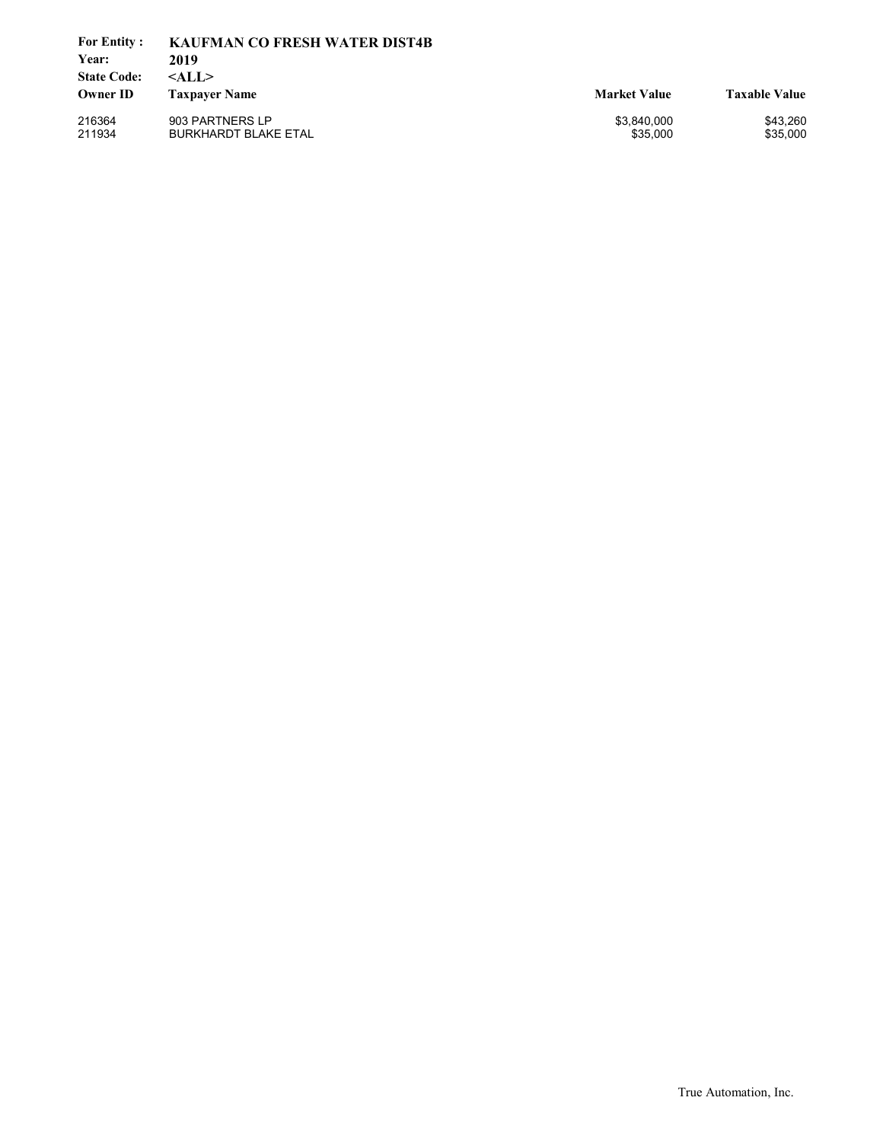| <b>For Entity:</b><br>Year:           | <b>KAUFMAN CO FRESH WATER DIST4B</b><br>2019   |                         |                      |
|---------------------------------------|------------------------------------------------|-------------------------|----------------------|
| <b>State Code:</b><br><b>Owner ID</b> | $<$ ALL $>$<br><b>Taxpayer Name</b>            | <b>Market Value</b>     | <b>Taxable Value</b> |
| 216364<br>211934                      | 903 PARTNERS LP<br><b>BURKHARDT BLAKE ETAL</b> | \$3,840,000<br>\$35,000 | \$43.260<br>\$35,000 |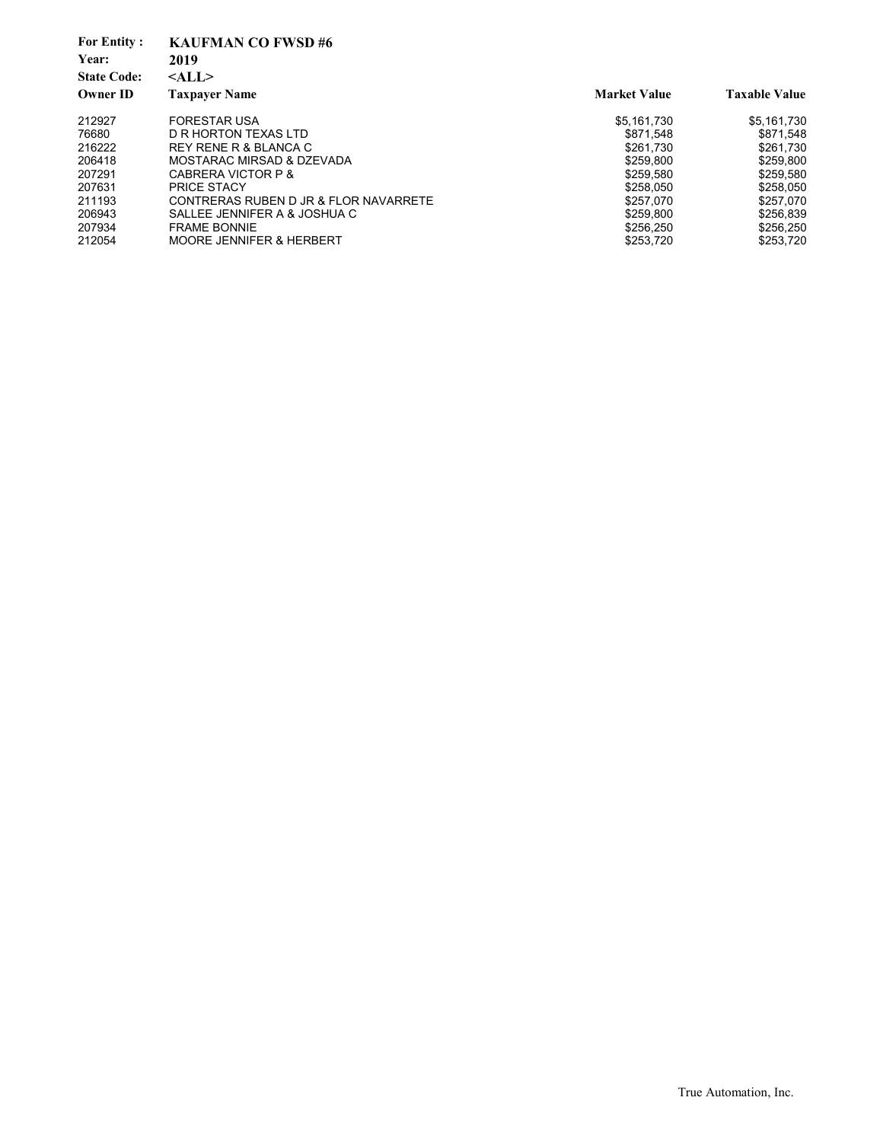| <b>For Entity:</b><br>Year:<br><b>State Code:</b><br><b>Owner ID</b> | <b>KAUFMAN CO FWSD #6</b><br>2019<br>$<$ ALL $>$<br><b>Taxpayer Name</b> | <b>Market Value</b> | <b>Taxable Value</b> |
|----------------------------------------------------------------------|--------------------------------------------------------------------------|---------------------|----------------------|
| 212927                                                               | <b>FORESTAR USA</b>                                                      | \$5,161,730         | \$5,161,730          |
| 76680                                                                | D R HORTON TEXAS LTD                                                     | \$871,548           | \$871.548            |
| 216222                                                               | REY RENE R & BLANCA C                                                    | \$261.730           | \$261.730            |
| 206418                                                               | MOSTARAC MIRSAD & DZEVADA                                                | \$259.800           | \$259.800            |
| 207291                                                               | CABRERA VICTOR P &                                                       | \$259.580           | \$259,580            |
| 207631                                                               | <b>PRICE STACY</b>                                                       | \$258.050           | \$258,050            |
| 211193                                                               | CONTRERAS RUBEN D JR & FLOR NAVARRETE                                    | \$257.070           | \$257.070            |
| 206943                                                               | SALLEE JENNIFER A & JOSHUA C                                             | \$259.800           | \$256.839            |
| 207934                                                               | <b>FRAME BONNIE</b>                                                      | \$256,250           | \$256,250            |
| 212054                                                               | <b>MOORE JENNIFER &amp; HERBERT</b>                                      | \$253.720           | \$253.720            |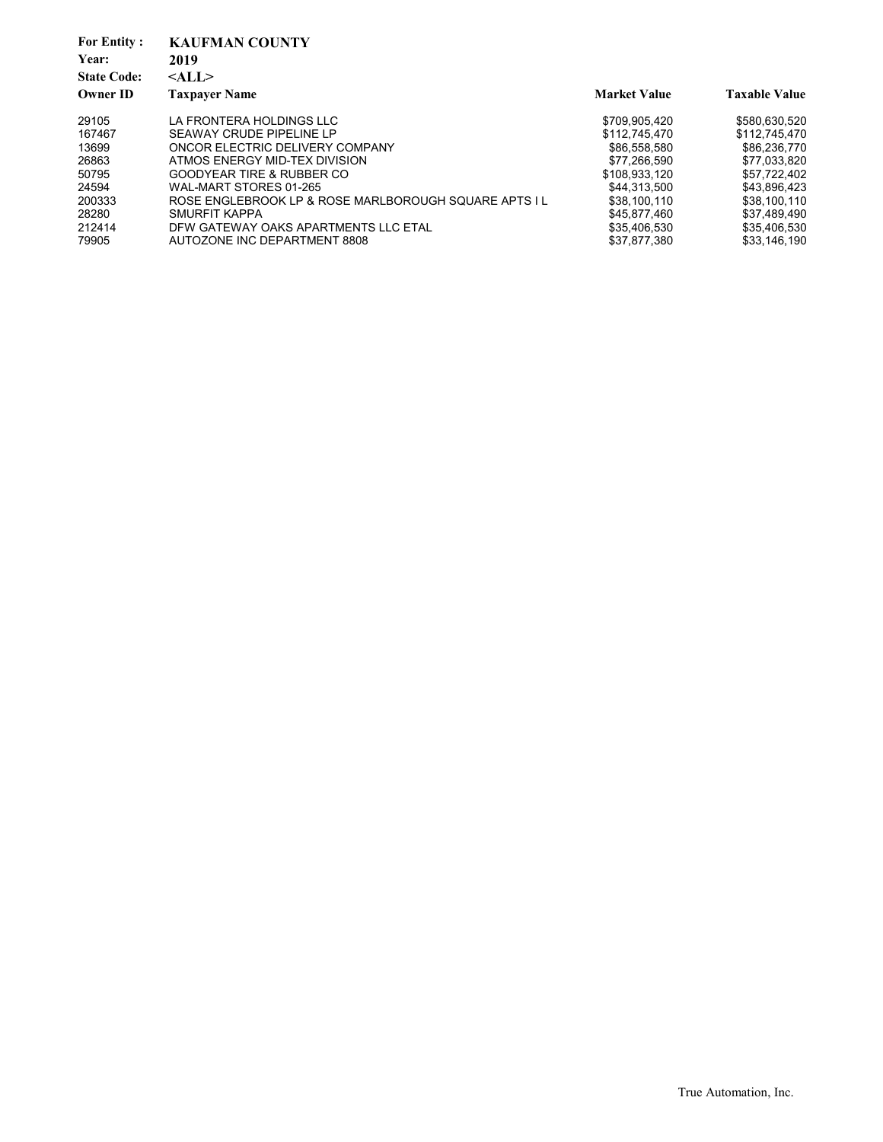| <b>For Entity:</b> | <b>KAUFMAN COUNTY</b>                                |                     |                      |
|--------------------|------------------------------------------------------|---------------------|----------------------|
| Year:              | 2019                                                 |                     |                      |
| <b>State Code:</b> | $<$ ALL $>$                                          |                     |                      |
| <b>Owner ID</b>    | <b>Taxpayer Name</b>                                 | <b>Market Value</b> | <b>Taxable Value</b> |
| 29105              | LA FRONTERA HOLDINGS LLC                             | \$709,905,420       | \$580,630,520        |
| 167467             | SEAWAY CRUDE PIPELINE LP                             | \$112,745,470       | \$112.745.470        |
| 13699              | ONCOR ELECTRIC DELIVERY COMPANY                      | \$86,558,580        | \$86,236,770         |
| 26863              | ATMOS ENERGY MID-TEX DIVISION                        | \$77.266.590        | \$77,033,820         |
| 50795              | GOODYEAR TIRE & RUBBER CO                            | \$108.933.120       | \$57,722,402         |
| 24594              | WAL-MART STORES 01-265                               | \$44.313.500        | \$43.896.423         |
| 200333             | ROSE ENGLEBROOK LP & ROSE MARLBOROUGH SQUARE APTS IL | \$38,100,110        | \$38.100.110         |
| 28280              | SMURFIT KAPPA                                        | \$45,877,460        | \$37,489,490         |
| 212414             | DFW GATEWAY OAKS APARTMENTS LLC ETAL                 | \$35,406,530        | \$35,406,530         |
| 79905              | AUTOZONE INC DEPARTMENT 8808                         | \$37,877,380        | \$33.146.190         |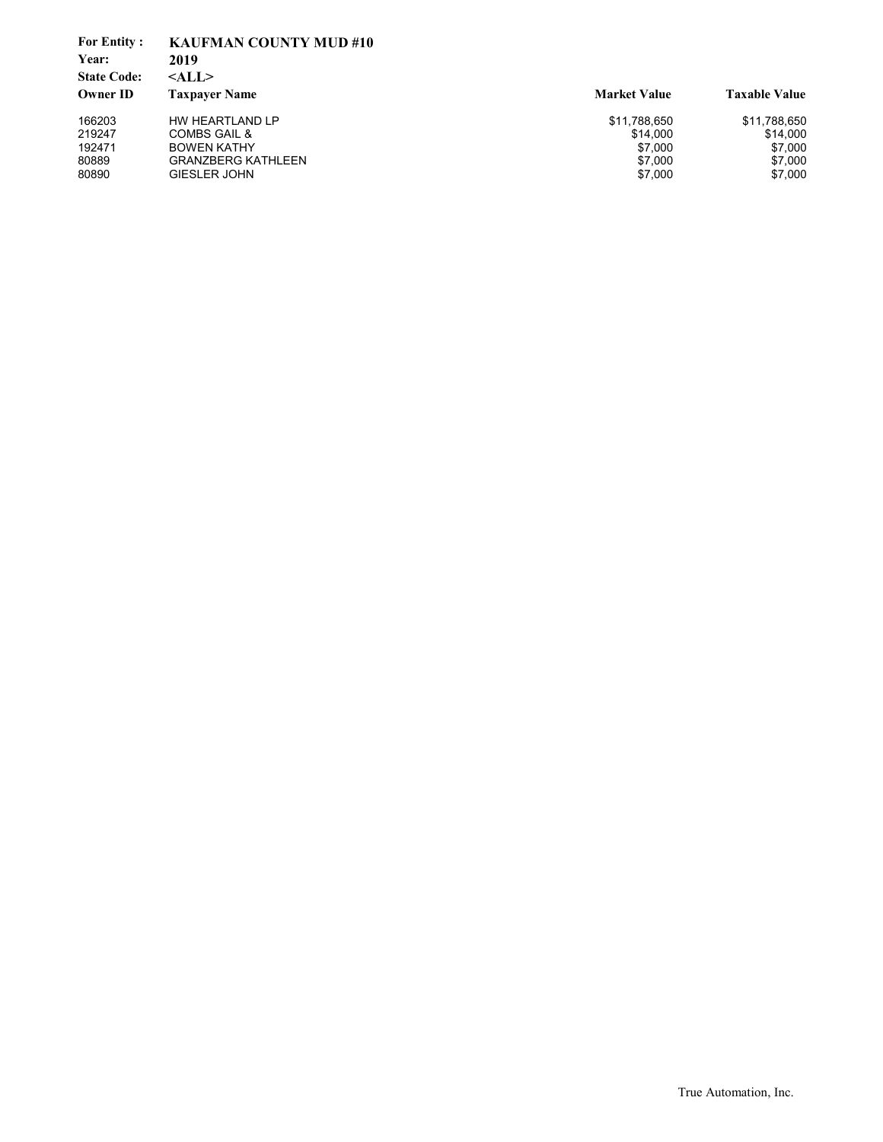| <b>For Entity:</b> | <b>KAUFMAN COUNTY MUD #10</b> |                     |                      |
|--------------------|-------------------------------|---------------------|----------------------|
| Year:              | 2019                          |                     |                      |
| <b>State Code:</b> | $<$ ALL $>$                   |                     |                      |
| <b>Owner ID</b>    | <b>Taxpayer Name</b>          | <b>Market Value</b> | <b>Taxable Value</b> |
| 166203             | HW HEARTLAND LP               | \$11,788,650        | \$11,788,650         |
| 219247             | COMBS GAIL &                  | \$14.000            | \$14,000             |
| 192471             | <b>BOWEN KATHY</b>            | \$7.000             | \$7,000              |
| 80889              | GRANZBERG KATHLEEN            | \$7,000             | \$7,000              |
| 80890              | <b>GIESLER JOHN</b>           | \$7,000             | \$7,000              |
|                    |                               |                     |                      |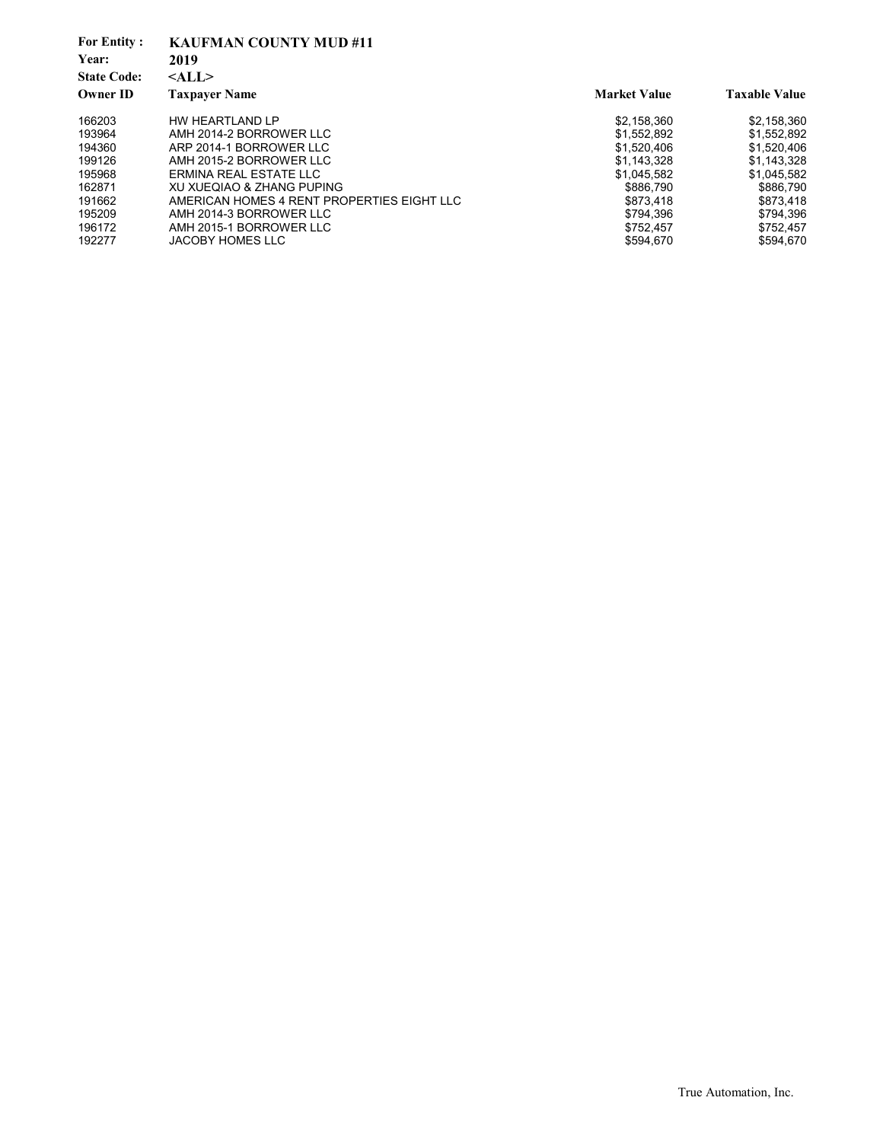| <b>For Entity:</b> | <b>KAUFMAN COUNTY MUD #11</b>              |                     |                      |
|--------------------|--------------------------------------------|---------------------|----------------------|
| Year:              | 2019                                       |                     |                      |
| <b>State Code:</b> | $<$ ALL $>$                                |                     |                      |
| <b>Owner ID</b>    | <b>Taxpayer Name</b>                       | <b>Market Value</b> | <b>Taxable Value</b> |
| 166203             | HW HEARTLAND LP                            | \$2,158,360         | \$2,158,360          |
| 193964             | AMH 2014-2 BORROWER LLC                    | \$1.552.892         | \$1.552.892          |
| 194360             | ARP 2014-1 BORROWER LLC                    | \$1.520.406         | \$1.520.406          |
| 199126             | AMH 2015-2 BORROWER LLC                    | \$1,143,328         | \$1,143,328          |
| 195968             | ERMINA REAL ESTATE LLC                     | \$1,045,582         | \$1,045,582          |
| 162871             | XU XUEQIAO & ZHANG PUPING                  | \$886.790           | \$886.790            |
| 191662             | AMERICAN HOMES 4 RENT PROPERTIES EIGHT LLC | \$873.418           | \$873.418            |
| 195209             | AMH 2014-3 BORROWER LLC                    | \$794.396           | \$794,396            |
| 196172             | AMH 2015-1 BORROWER LLC                    | \$752,457           | \$752,457            |
| 192277             | JACOBY HOMES LLC                           | \$594.670           | \$594.670            |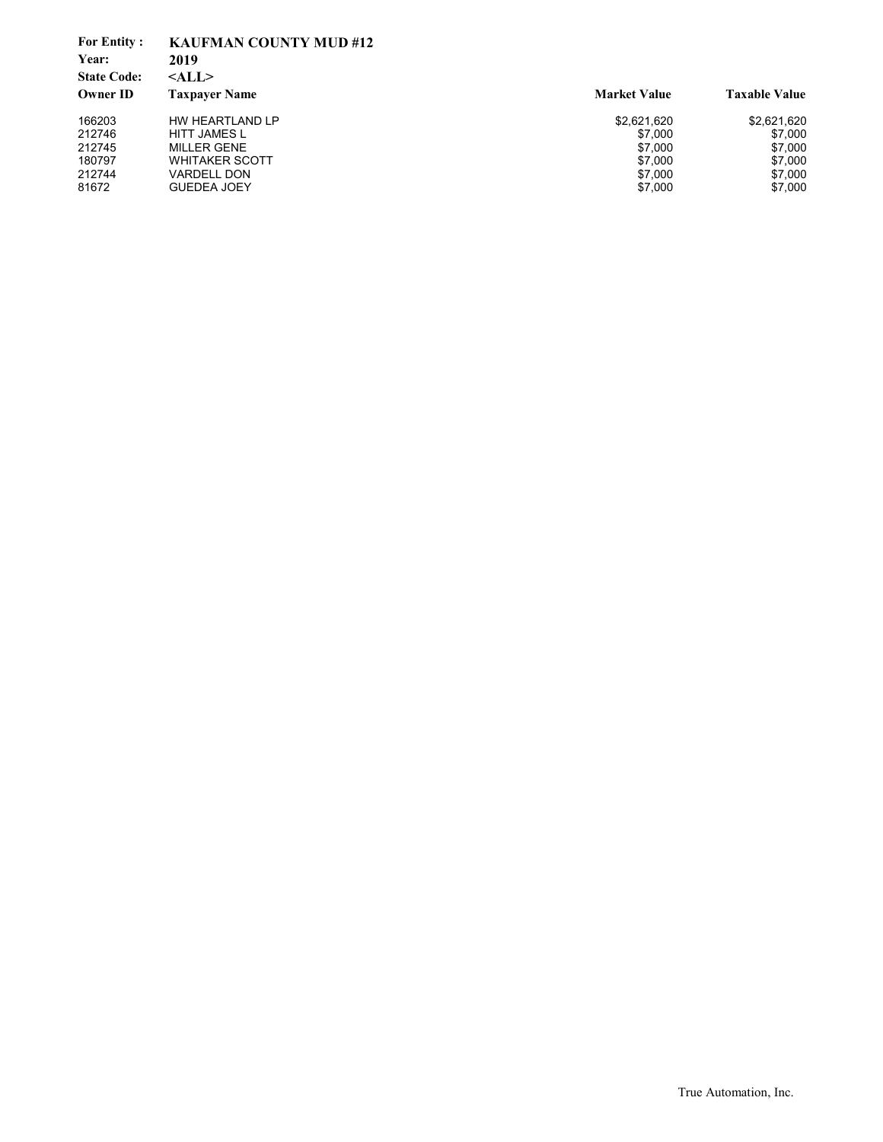| <b>For Entity:</b> | <b>KAUFMAN COUNTY MUD #12</b> |                     |                      |
|--------------------|-------------------------------|---------------------|----------------------|
| Year:              | 2019                          |                     |                      |
| <b>State Code:</b> | $<$ ALL $>$                   |                     |                      |
| Owner ID           | <b>Taxpayer Name</b>          | <b>Market Value</b> | <b>Taxable Value</b> |
| 166203             | HW HEARTLAND LP               | \$2,621,620         | \$2,621,620          |
| 212746             | <b>HITT JAMES L</b>           | \$7,000             | \$7,000              |
| 212745             | <b>MILLER GENE</b>            | \$7.000             | \$7,000              |
| 180797             | <b>WHITAKER SCOTT</b>         | \$7,000             | \$7,000              |
| 212744             | VARDELL DON                   | \$7,000             | \$7,000              |
| 81672              | <b>GUEDEA JOEY</b>            | \$7,000             | \$7,000              |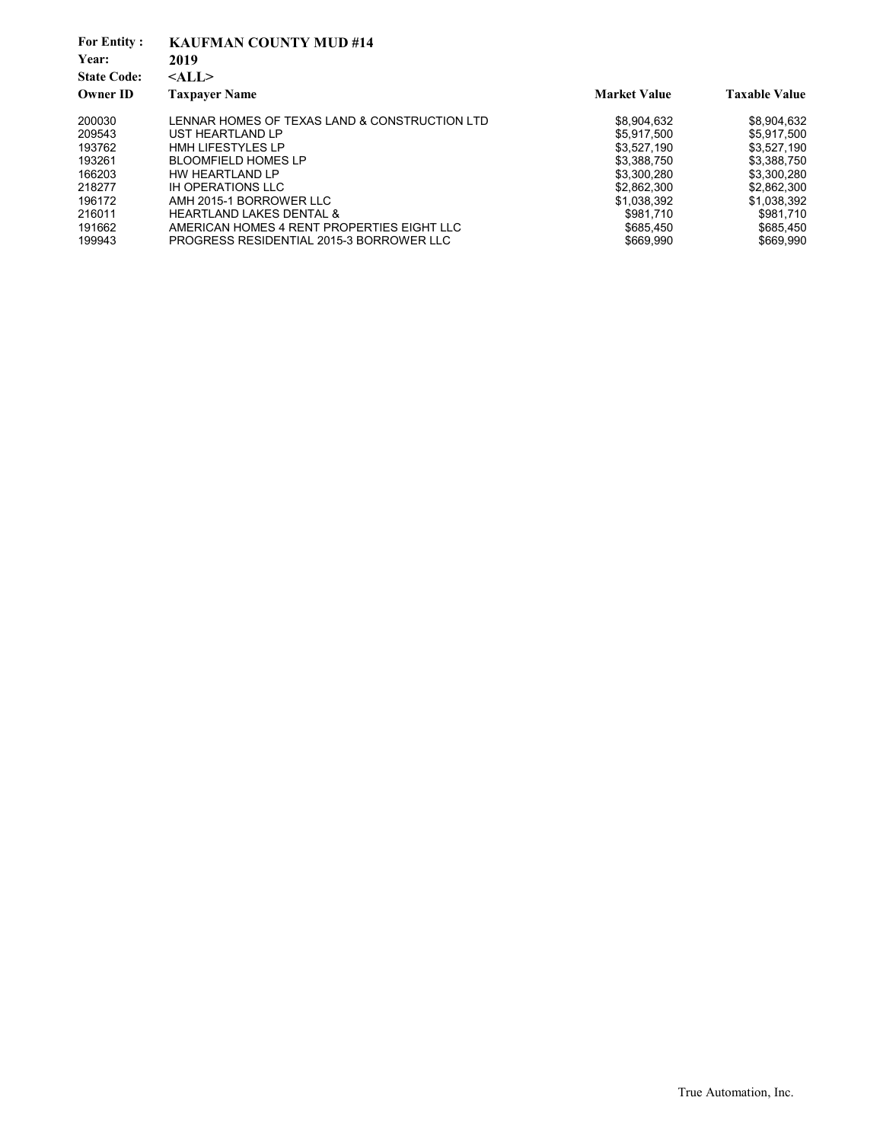| <b>For Entity:</b><br>Year:<br><b>State Code:</b><br><b>Owner ID</b> | <b>KAUFMAN COUNTY MUD #14</b><br>2019<br>$<$ ALL $>$<br><b>Taxpayer Name</b> | <b>Market Value</b> | <b>Taxable Value</b> |
|----------------------------------------------------------------------|------------------------------------------------------------------------------|---------------------|----------------------|
| 200030                                                               | LENNAR HOMES OF TEXAS LAND & CONSTRUCTION LTD                                | \$8,904,632         | \$8,904,632          |
| 209543                                                               | UST HEARTLAND LP                                                             | \$5.917.500         | \$5,917,500          |
| 193762                                                               | <b>HMH LIFESTYLES LP</b>                                                     | \$3,527,190         | \$3,527,190          |
| 193261                                                               | <b>BLOOMFIELD HOMES LP</b>                                                   | \$3,388,750         | \$3,388,750          |
| 166203                                                               | HW HEARTLAND LP                                                              | \$3,300,280         | \$3.300.280          |
| 218277                                                               | <b>IH OPERATIONS LLC</b>                                                     | \$2,862,300         | \$2,862,300          |
| 196172                                                               | AMH 2015-1 BORROWER LLC                                                      | \$1,038,392         | \$1,038,392          |
| 216011                                                               | <b>HEARTLAND LAKES DENTAL &amp;</b>                                          | \$981.710           | \$981.710            |
| 191662                                                               | AMERICAN HOMES 4 RENT PROPERTIES EIGHT LLC                                   | \$685.450           | \$685.450            |
| 199943                                                               | PROGRESS RESIDENTIAL 2015-3 BORROWER LLC                                     | \$669.990           | \$669.990            |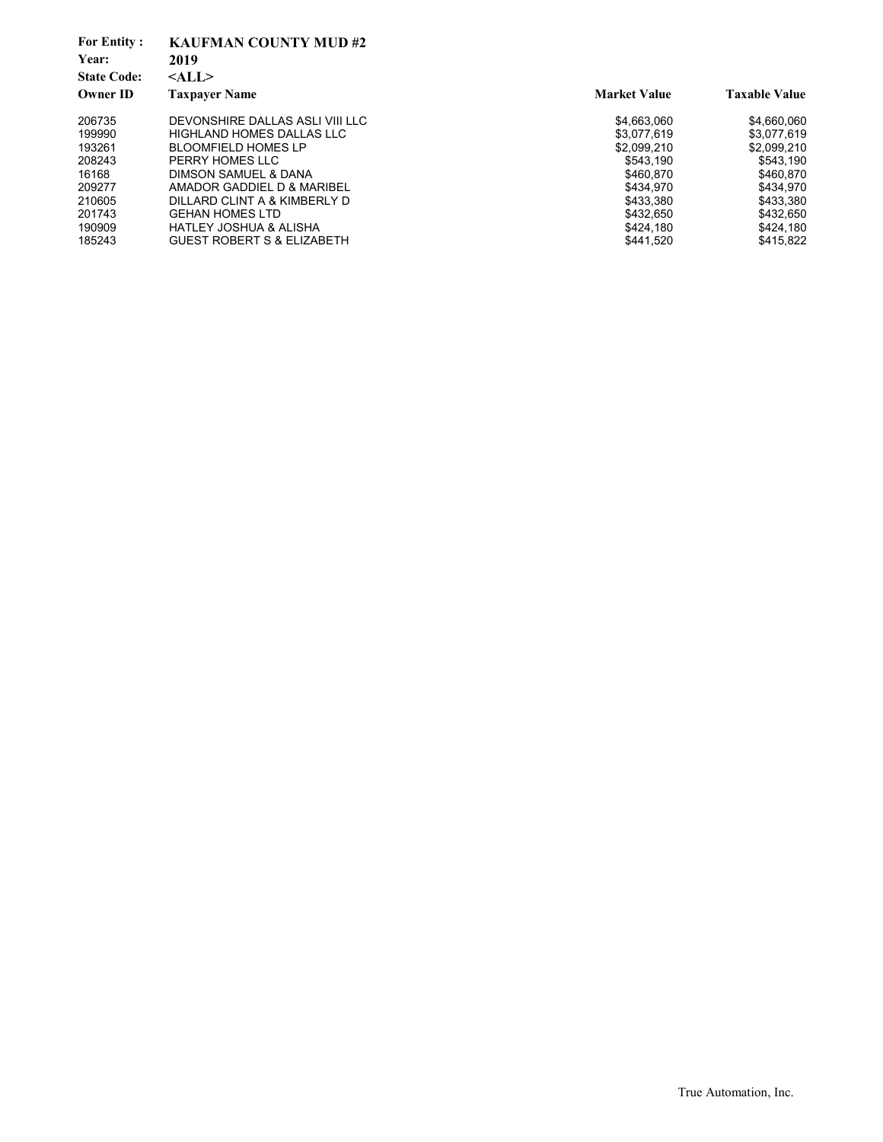| <b>For Entity:</b><br>Year:<br><b>State Code:</b> | <b>KAUFMAN COUNTY MUD#2</b><br>2019<br>$<$ ALL $>$ |                     |                      |
|---------------------------------------------------|----------------------------------------------------|---------------------|----------------------|
| <b>Owner ID</b>                                   | <b>Taxpayer Name</b>                               | <b>Market Value</b> | <b>Taxable Value</b> |
| 206735                                            | DEVONSHIRE DALLAS ASLI VIII LLC                    | \$4,663,060         | \$4,660,060          |
| 199990                                            | <b>HIGHLAND HOMES DALLAS LLC</b>                   | \$3.077.619         | \$3,077,619          |
| 193261                                            | <b>BLOOMFIELD HOMES LP</b>                         | \$2,099,210         | \$2,099,210          |
| 208243                                            | PERRY HOMES LLC                                    | \$543.190           | \$543,190            |
| 16168                                             | DIMSON SAMUEL & DANA                               | \$460.870           | \$460.870            |
| 209277                                            | AMADOR GADDIEL D & MARIBEL                         | \$434.970           | \$434.970            |
| 210605                                            | DILLARD CLINT A & KIMBERLY D                       | \$433,380           | \$433,380            |
| 201743                                            | <b>GEHAN HOMES LTD</b>                             | \$432.650           | \$432.650            |
| 190909                                            | <b>HATLEY JOSHUA &amp; ALISHA</b>                  | \$424.180           | \$424.180            |
| 185243                                            | <b>GUEST ROBERT S &amp; ELIZABETH</b>              | \$441.520           | \$415,822            |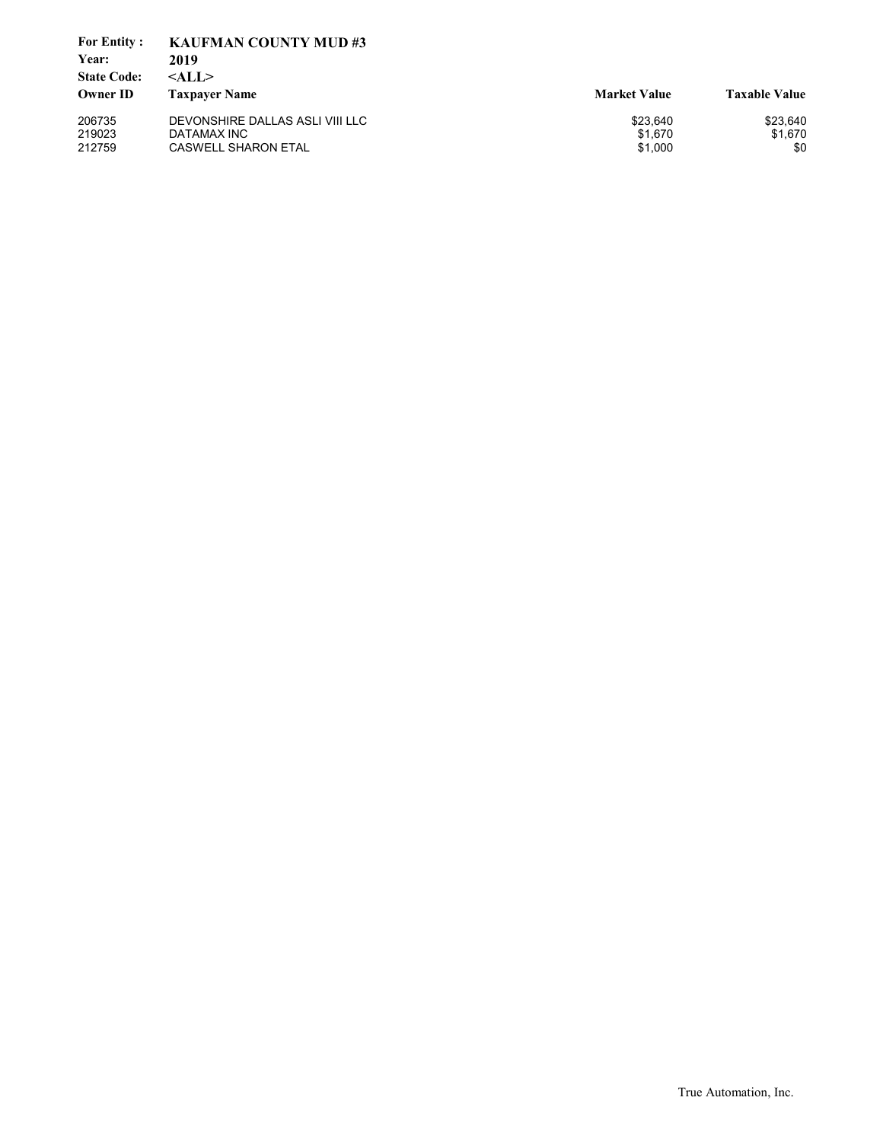| <b>For Entity:</b> | <b>KAUFMAN COUNTY MUD#3</b>     |                     |                      |
|--------------------|---------------------------------|---------------------|----------------------|
| Year:              | 2019                            |                     |                      |
| <b>State Code:</b> | $<$ ALL $>$                     |                     |                      |
| <b>Owner ID</b>    | <b>Taxpayer Name</b>            | <b>Market Value</b> | <b>Taxable Value</b> |
| 206735             | DEVONSHIRE DALLAS ASLI VIII LLC | \$23.640            | \$23,640             |
| 219023             | DATAMAX INC                     | \$1.670             | \$1.670              |
| 212759             | <b>CASWELL SHARON ETAL</b>      | \$1,000             | \$0                  |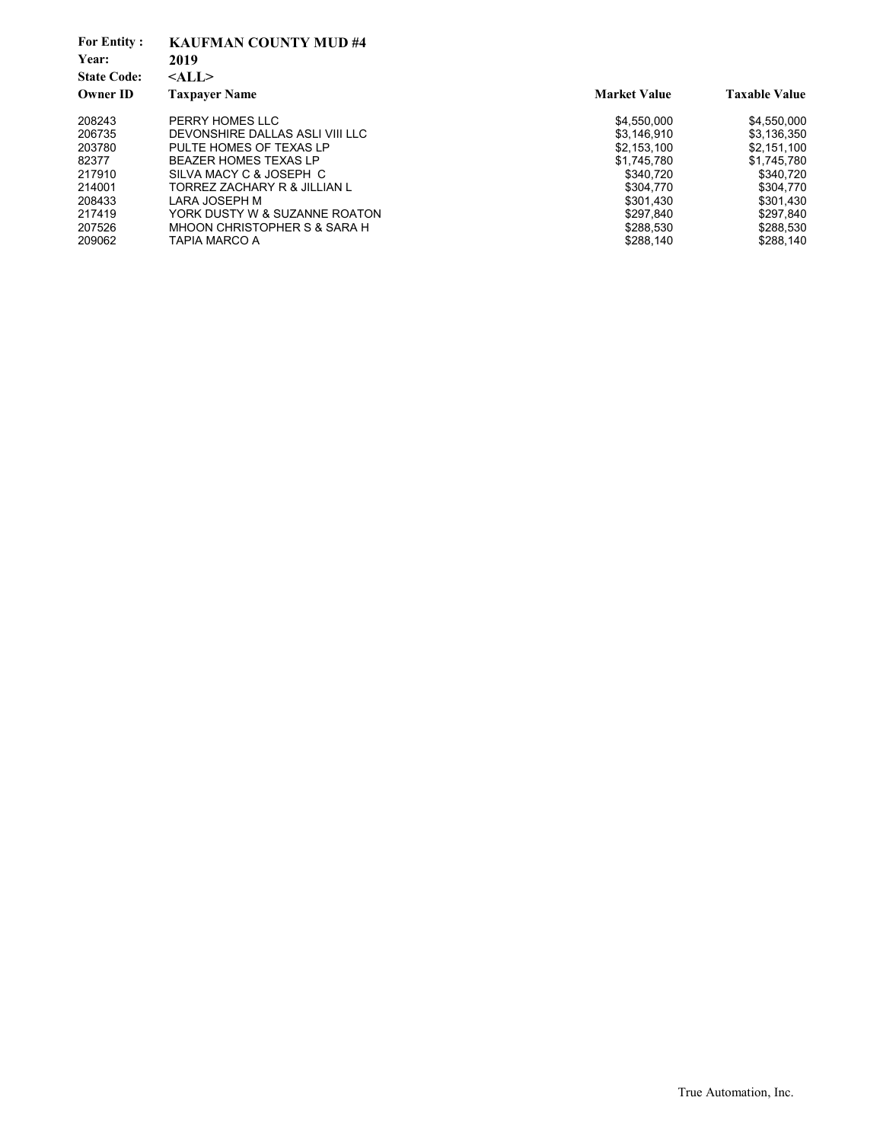| <b>For Entity:</b><br>Year:<br><b>State Code:</b> | <b>KAUFMAN COUNTY MUD #4</b><br>2019<br>$<$ ALL $>$ |                     |                      |
|---------------------------------------------------|-----------------------------------------------------|---------------------|----------------------|
| <b>Owner ID</b>                                   | <b>Taxpayer Name</b>                                | <b>Market Value</b> | <b>Taxable Value</b> |
| 208243                                            | PERRY HOMES LLC                                     | \$4,550,000         | \$4,550,000          |
| 206735                                            | DEVONSHIRE DALLAS ASLI VIII LLC                     | \$3.146.910         | \$3,136,350          |
| 203780                                            | PULTE HOMES OF TEXAS LP                             | \$2,153,100         | \$2.151.100          |
| 82377                                             | BEAZER HOMES TEXAS LP                               | \$1.745.780         | \$1.745.780          |
| 217910                                            | SILVA MACY C & JOSEPH C                             | \$340.720           | \$340,720            |
| 214001                                            | TORREZ ZACHARY R & JILLIAN L                        | \$304.770           | \$304,770            |
| 208433                                            | LARA JOSEPH M                                       | \$301.430           | \$301,430            |
| 217419                                            | YORK DUSTY W & SUZANNE ROATON                       | \$297.840           | \$297,840            |
| 207526                                            | MHOON CHRISTOPHER S & SARA H                        | \$288,530           | \$288,530            |
| 209062                                            | <b>TAPIA MARCO A</b>                                | \$288.140           | \$288.140            |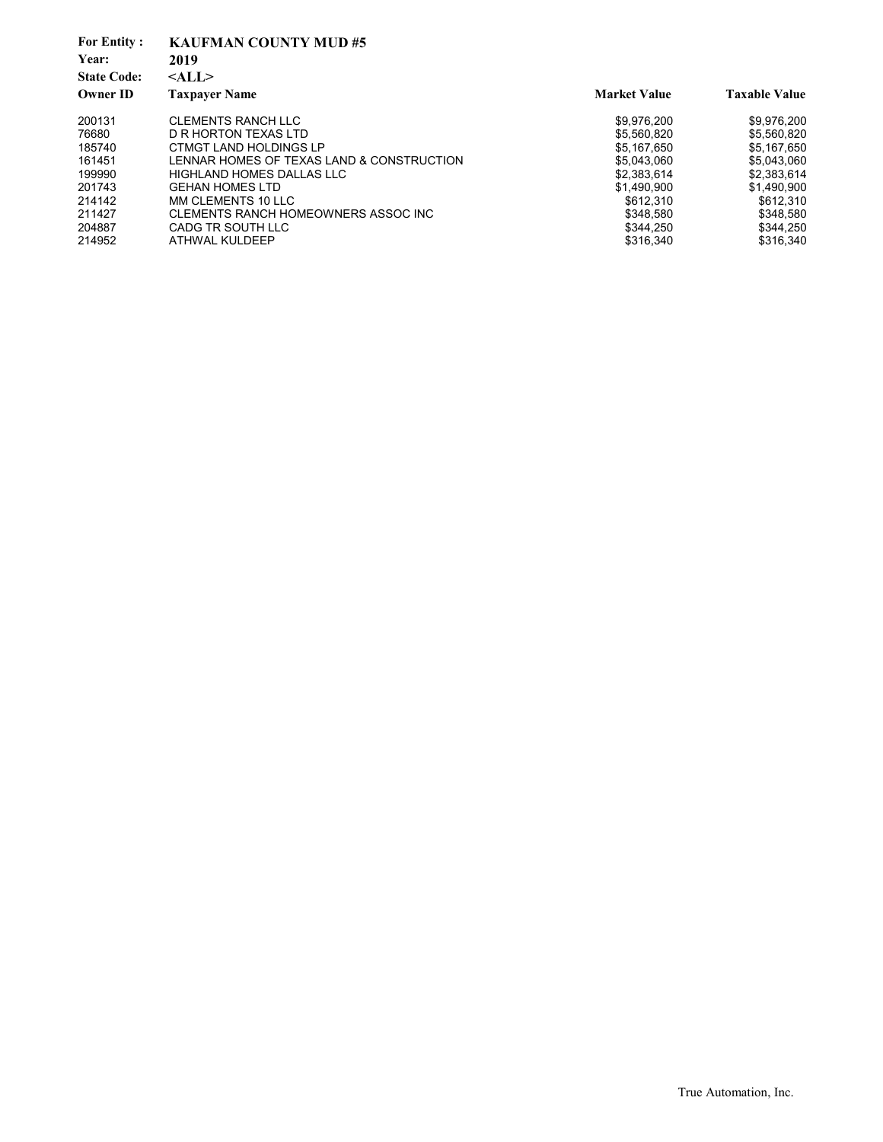| <b>For Entity:</b><br>Year:<br><b>State Code:</b> | <b>KAUFMAN COUNTY MUD#5</b><br>2019<br>$<$ ALL $>$ |                     |                      |  |
|---------------------------------------------------|----------------------------------------------------|---------------------|----------------------|--|
| <b>Owner ID</b>                                   | <b>Taxpayer Name</b>                               | <b>Market Value</b> | <b>Taxable Value</b> |  |
| 200131                                            | <b>CLEMENTS RANCH LLC</b>                          | \$9,976,200         | \$9,976,200          |  |
| 76680                                             | D R HORTON TEXAS LTD                               | \$5,560,820         | \$5.560.820          |  |
| 185740                                            | CTMGT LAND HOLDINGS LP                             | \$5.167.650         | \$5.167.650          |  |
| 161451                                            | LENNAR HOMES OF TEXAS LAND & CONSTRUCTION          | \$5,043,060         | \$5,043,060          |  |
| 199990                                            | HIGHLAND HOMES DALLAS LLC                          | \$2,383,614         | \$2,383,614          |  |
| 201743                                            | <b>GEHAN HOMES LTD</b>                             | \$1.490.900         | \$1.490.900          |  |
| 214142                                            | MM CLEMENTS 10 LLC                                 | \$612.310           | \$612,310            |  |
| 211427                                            | CLEMENTS RANCH HOMEOWNERS ASSOC INC                | \$348.580           | \$348.580            |  |
| 204887                                            | CADG TR SOUTH LLC                                  | \$344.250           | \$344,250            |  |
| 214952                                            | ATHWAL KULDEEP                                     | \$316,340           | \$316,340            |  |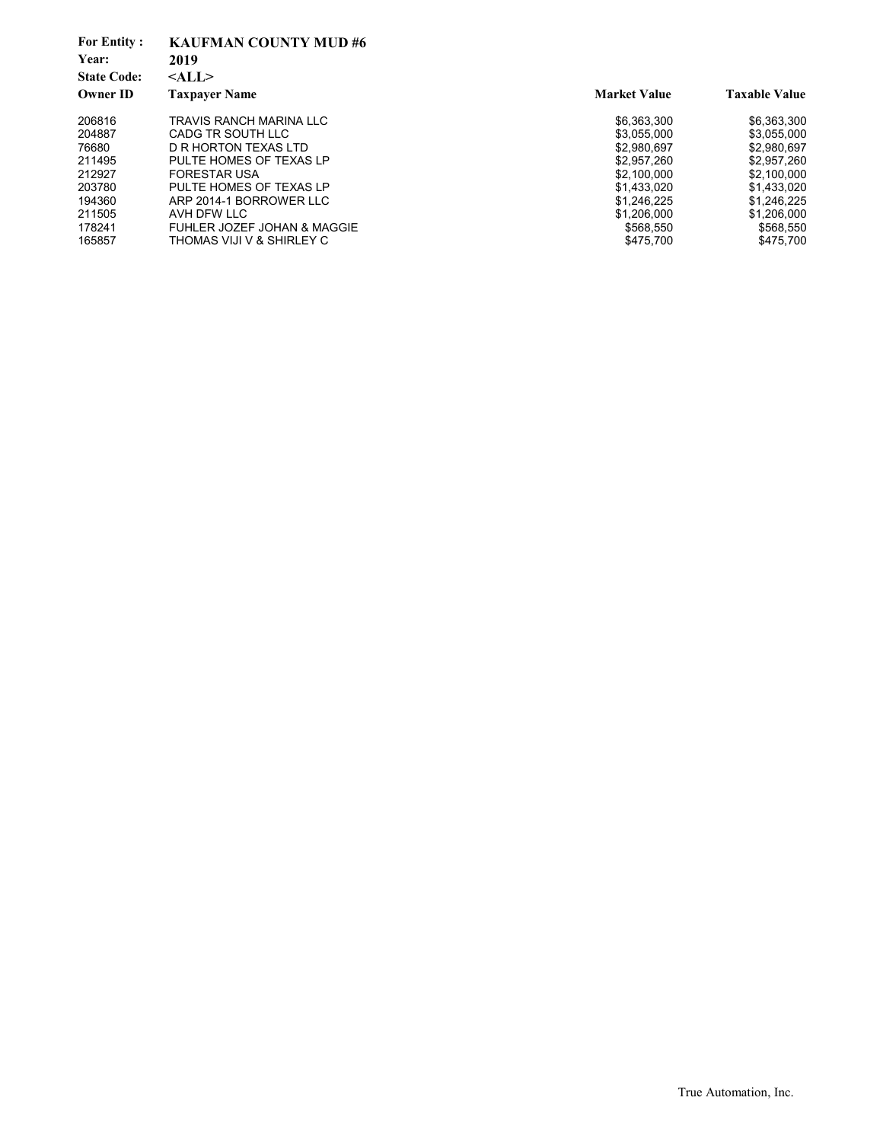| <b>For Entity:</b><br>Year: | <b>KAUFMAN COUNTY MUD#6</b><br>2019 |                     |                      |
|-----------------------------|-------------------------------------|---------------------|----------------------|
| <b>State Code:</b>          | $<$ ALL $>$                         |                     |                      |
| <b>Owner ID</b>             | <b>Taxpayer Name</b>                | <b>Market Value</b> | <b>Taxable Value</b> |
| 206816                      | TRAVIS RANCH MARINA LLC             | \$6,363,300         | \$6,363,300          |
| 204887                      | CADG TR SOUTH LLC                   | \$3,055,000         | \$3,055,000          |
| 76680                       | D R HORTON TEXAS LTD                | \$2.980.697         | \$2.980.697          |
| 211495                      | PULTE HOMES OF TEXAS LP             | \$2.957.260         | \$2.957.260          |
| 212927                      | <b>FORESTAR USA</b>                 | \$2,100,000         | \$2,100,000          |
| 203780                      | PULTE HOMES OF TEXAS LP             | \$1.433.020         | \$1.433.020          |
| 194360                      | ARP 2014-1 BORROWER LLC             | \$1,246,225         | \$1,246,225          |
| 211505                      | AVH DFW LLC                         | \$1,206,000         | \$1,206,000          |
| 178241                      | FUHLER JOZEF JOHAN & MAGGIE         | \$568.550           | \$568,550            |
| 165857                      | THOMAS VIJI V & SHIRLEY C           | \$475.700           | \$475,700            |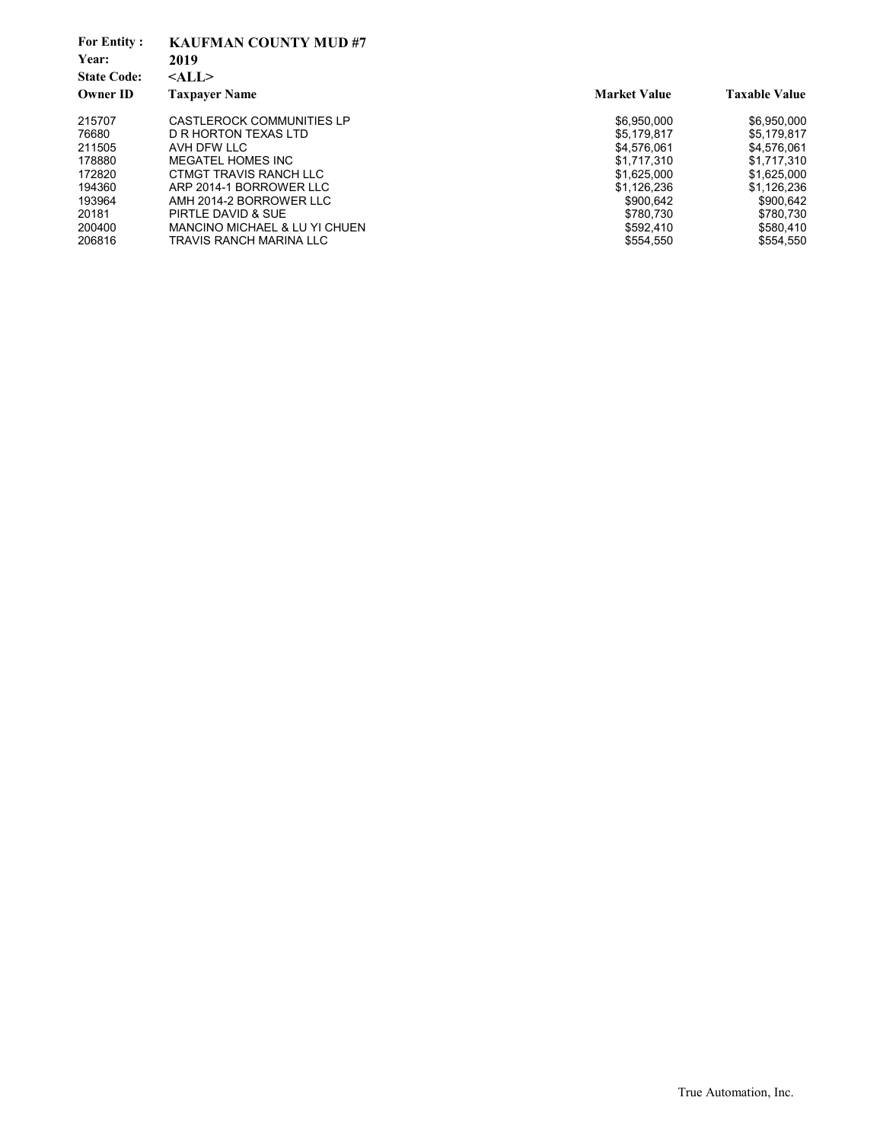| <b>For Entity:</b><br>Year:<br><b>State Code:</b> | <b>KAUFMAN COUNTY MUD#7</b><br>2019<br>$<$ ALL $>$ |                     |                      |
|---------------------------------------------------|----------------------------------------------------|---------------------|----------------------|
| <b>Owner ID</b>                                   | <b>Taxpayer Name</b>                               | <b>Market Value</b> | <b>Taxable Value</b> |
| 215707                                            | CASTLEROCK COMMUNITIES LP                          | \$6,950,000         | \$6,950,000          |
| 76680                                             | D R HORTON TEXAS LTD                               | \$5.179.817         | \$5.179.817          |
| 211505                                            | AVH DFW LLC                                        | \$4,576,061         | \$4,576,061          |
| 178880                                            | MEGATEL HOMES INC                                  | \$1.717.310         | \$1.717.310          |
| 172820                                            | CTMGT TRAVIS RANCH LLC                             | \$1,625,000         | \$1,625,000          |
| 194360                                            | ARP 2014-1 BORROWER LLC                            | \$1,126,236         | \$1.126.236          |
| 193964                                            | AMH 2014-2 BORROWER LLC                            | \$900,642           | \$900,642            |
| 20181                                             | PIRTLE DAVID & SUE                                 | \$780.730           | \$780.730            |
| 200400                                            | MANCINO MICHAEL & LU YI CHUEN                      | \$592.410           | \$580.410            |
| 206816                                            | TRAVIS RANCH MARINA LLC                            | \$554.550           | \$554.550            |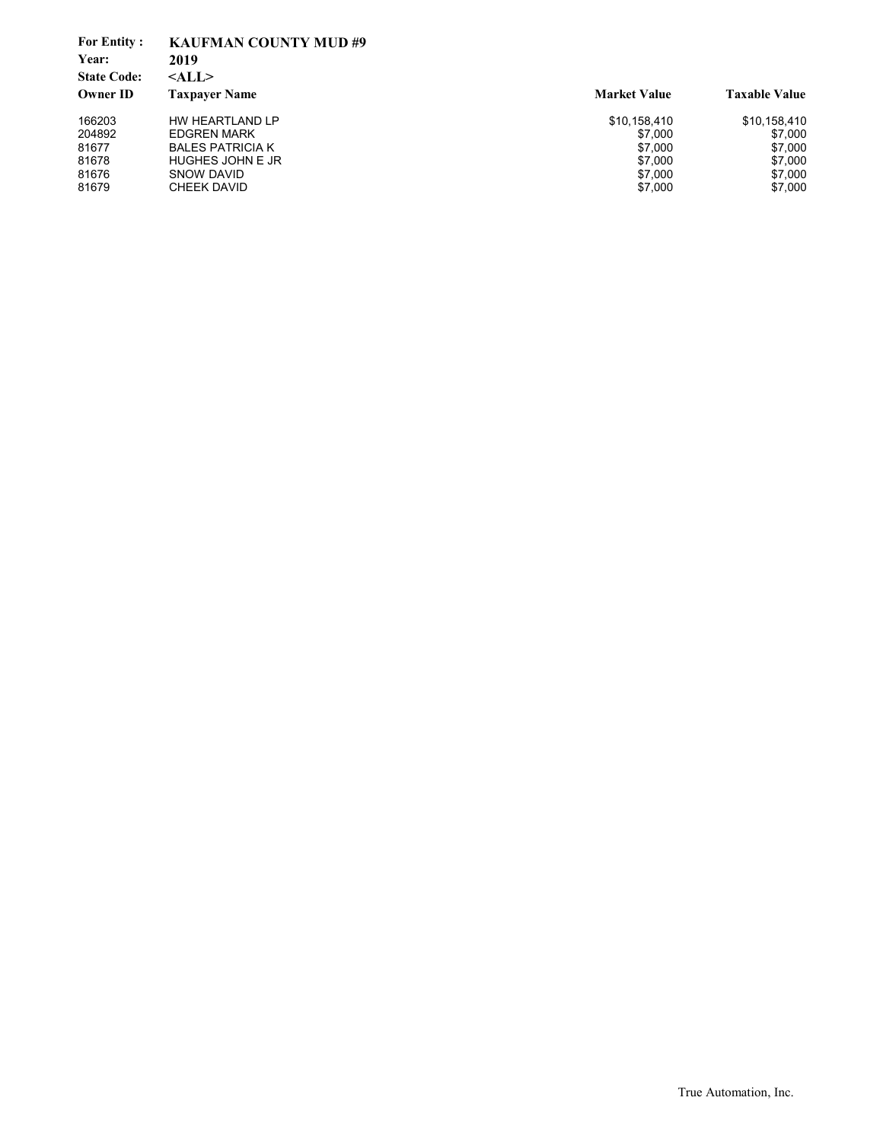| <b>For Entity:</b>          | <b>KAUFMAN COUNTY MUD#9</b> |                     |                      |
|-----------------------------|-----------------------------|---------------------|----------------------|
| Year:<br><b>State Code:</b> | 2019                        |                     |                      |
|                             | $<$ ALL $>$                 |                     |                      |
| Owner ID                    | <b>Taxpayer Name</b>        | <b>Market Value</b> | <b>Taxable Value</b> |
| 166203                      | HW HEARTLAND LP             | \$10,158,410        | \$10,158,410         |
| 204892                      | <b>EDGREN MARK</b>          | \$7.000             | \$7,000              |
| 81677                       | <b>BALES PATRICIA K</b>     | \$7.000             | \$7,000              |
| 81678                       | <b>HUGHES JOHN E JR</b>     | \$7,000             | \$7,000              |
| 81676                       | SNOW DAVID                  | \$7,000             | \$7,000              |
| 81679                       | CHEEK DAVID                 | \$7,000             | \$7,000              |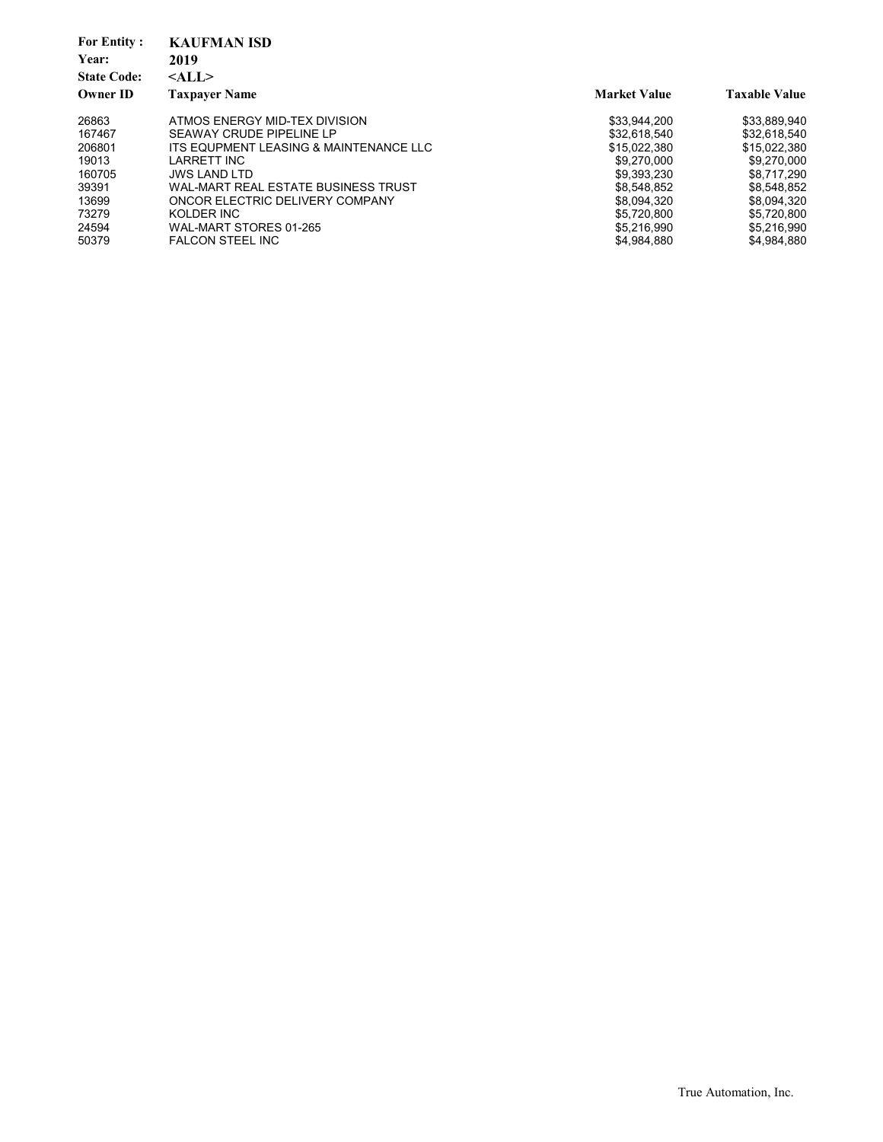| <b>For Entity:</b><br>Year: | <b>KAUFMAN ISD</b><br>2019             |                     |                      |
|-----------------------------|----------------------------------------|---------------------|----------------------|
| <b>State Code:</b>          | $<$ ALL $>$                            |                     |                      |
| <b>Owner ID</b>             | <b>Taxpayer Name</b>                   | <b>Market Value</b> | <b>Taxable Value</b> |
|                             |                                        |                     |                      |
| 26863                       | ATMOS ENERGY MID-TEX DIVISION          | \$33.944.200        | \$33.889.940         |
| 167467                      | SEAWAY CRUDE PIPELINE LP               | \$32.618.540        | \$32,618,540         |
| 206801                      | ITS EQUPMENT LEASING & MAINTENANCE LLC | \$15.022.380        | \$15.022.380         |
| 19013                       | LARRETT INC                            | \$9.270.000         | \$9.270.000          |
| 160705                      | <b>JWS LAND LTD</b>                    | \$9,393,230         | \$8.717.290          |
| 39391                       | WAL-MART REAL ESTATE BUSINESS TRUST    | \$8.548.852         | \$8.548.852          |
| 13699                       | ONCOR ELECTRIC DELIVERY COMPANY        | \$8,094,320         | \$8,094,320          |
| 73279                       | KOLDER INC                             | \$5.720.800         | \$5.720.800          |
| 24594                       | WAL-MART STORES 01-265                 | \$5,216,990         | \$5,216,990          |
| 50379                       | <b>FALCON STEEL INC</b>                | \$4.984.880         | \$4.984.880          |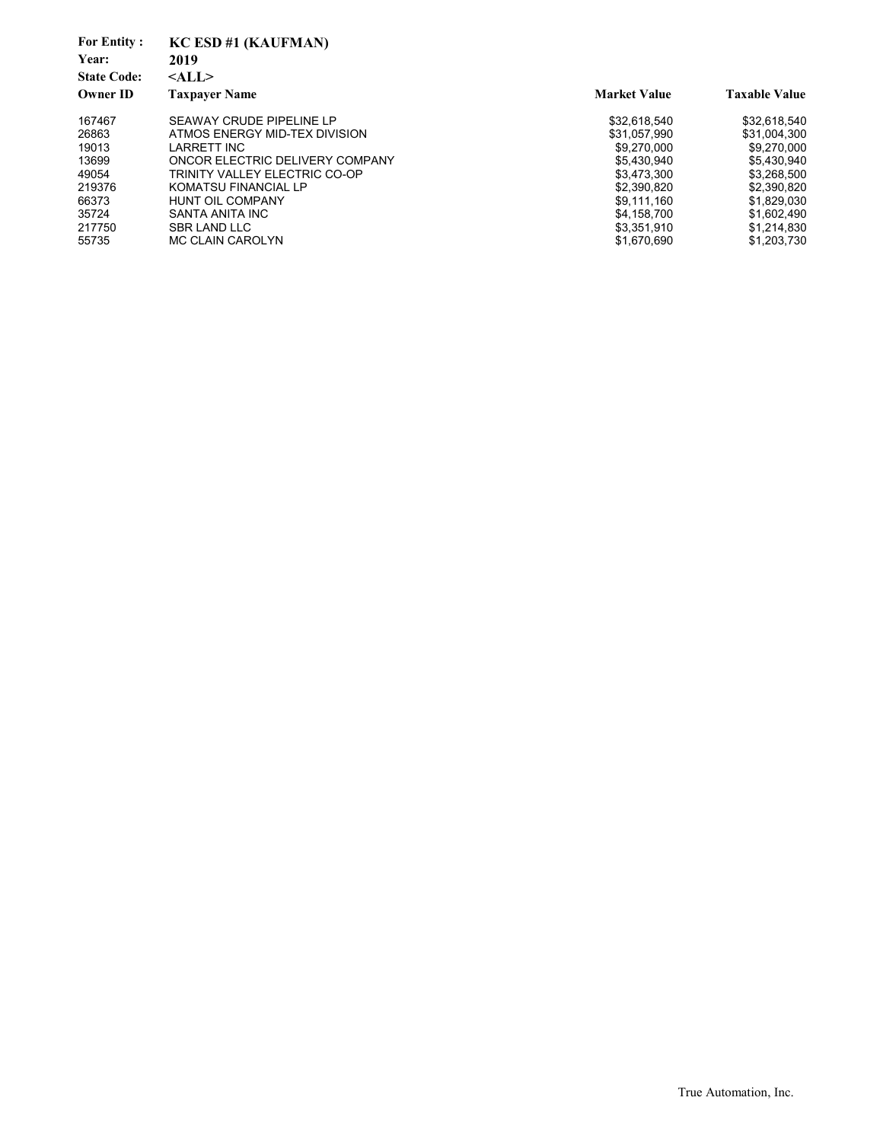| <b>For Entity:</b><br>Year:<br><b>State Code:</b><br><b>Owner ID</b> | KC ESD #1 (KAUFMAN)<br>2019<br>$<$ ALL $>$<br><b>Taxpayer Name</b> | <b>Market Value</b> | <b>Taxable Value</b> |
|----------------------------------------------------------------------|--------------------------------------------------------------------|---------------------|----------------------|
| 167467                                                               | SEAWAY CRUDE PIPELINE LP                                           | \$32,618,540        | \$32,618,540         |
| 26863                                                                | ATMOS ENERGY MID-TEX DIVISION                                      | \$31.057.990        | \$31,004,300         |
| 19013                                                                | <b>LARRETT INC</b>                                                 | \$9.270,000         | \$9,270,000          |
| 13699                                                                | ONCOR ELECTRIC DELIVERY COMPANY                                    | \$5,430,940         | \$5,430,940          |
| 49054                                                                | TRINITY VALLEY ELECTRIC CO-OP                                      | \$3.473.300         | \$3,268,500          |
| 219376                                                               | <b>KOMATSU FINANCIAL LP</b>                                        | \$2.390.820         | \$2,390,820          |
| 66373                                                                | <b>HUNT OIL COMPANY</b>                                            | \$9,111,160         | \$1,829,030          |
| 35724                                                                | SANTA ANITA INC                                                    | \$4.158.700         | \$1,602,490          |
| 217750                                                               | <b>SBR LAND LLC</b>                                                | \$3,351,910         | \$1,214,830          |
| 55735                                                                | <b>MC CLAIN CAROLYN</b>                                            | \$1,670,690         | \$1,203,730          |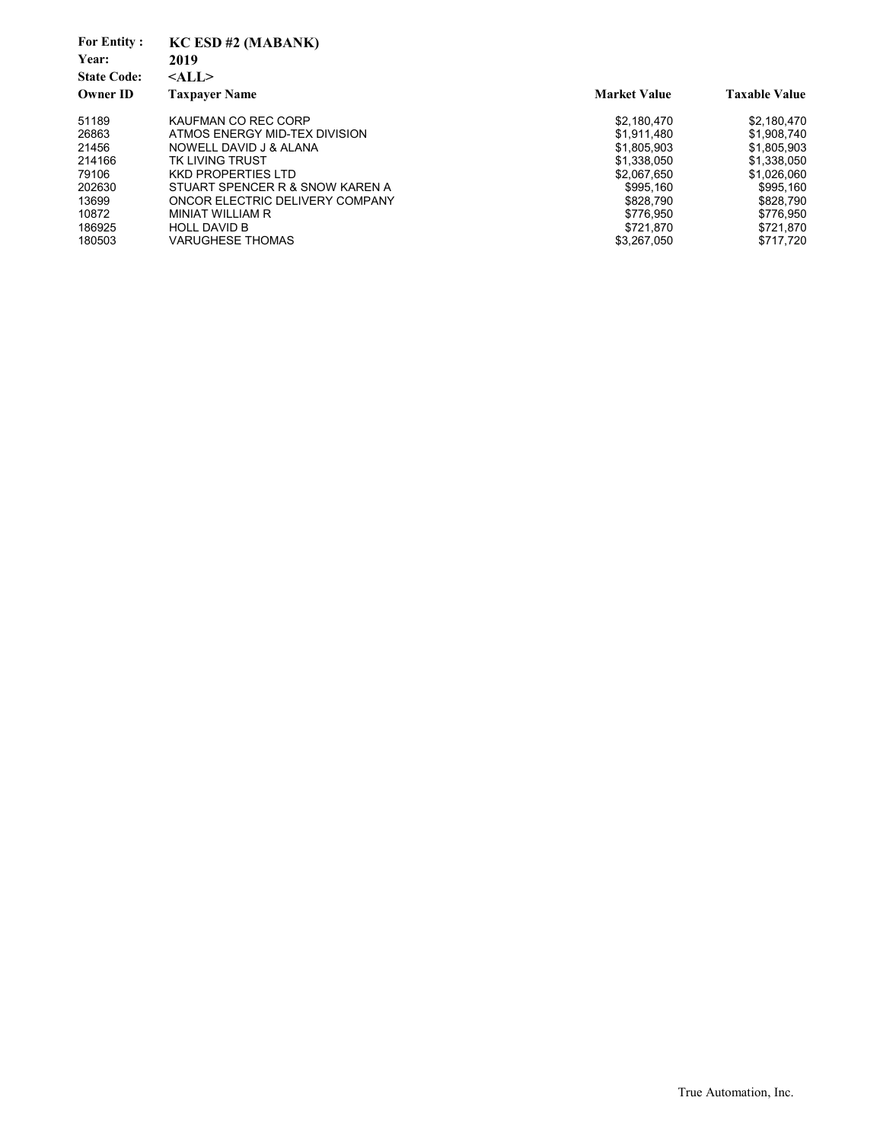| <b>For Entity:</b><br>Year:<br><b>State Code:</b><br><b>Owner ID</b> | KC ESD #2 (MABANK)<br>2019<br>$<$ ALL $>$<br><b>Taxpaver Name</b> | <b>Market Value</b> | <b>Taxable Value</b> |
|----------------------------------------------------------------------|-------------------------------------------------------------------|---------------------|----------------------|
| 51189                                                                | KAUFMAN CO REC CORP                                               | \$2,180,470         | \$2,180,470          |
| 26863                                                                | ATMOS ENERGY MID-TEX DIVISION                                     | \$1.911.480         | \$1,908,740          |
| 21456                                                                | NOWELL DAVID J & ALANA                                            | \$1,805,903         | \$1,805,903          |
| 214166                                                               | TK LIVING TRUST                                                   | \$1.338.050         | \$1,338,050          |
| 79106                                                                | KKD PROPERTIES LTD                                                | \$2.067.650         | \$1,026,060          |
| 202630                                                               | STUART SPENCER R & SNOW KAREN A                                   | \$995.160           | \$995.160            |
| 13699                                                                | ONCOR ELECTRIC DELIVERY COMPANY                                   | \$828,790           | \$828,790            |
| 10872                                                                | <b>MINIAT WILLIAM R</b>                                           | \$776.950           | \$776,950            |
| 186925                                                               | <b>HOLL DAVID B</b>                                               | \$721.870           | \$721.870            |
| 180503                                                               | VARUGHESE THOMAS                                                  | \$3.267.050         | \$717,720            |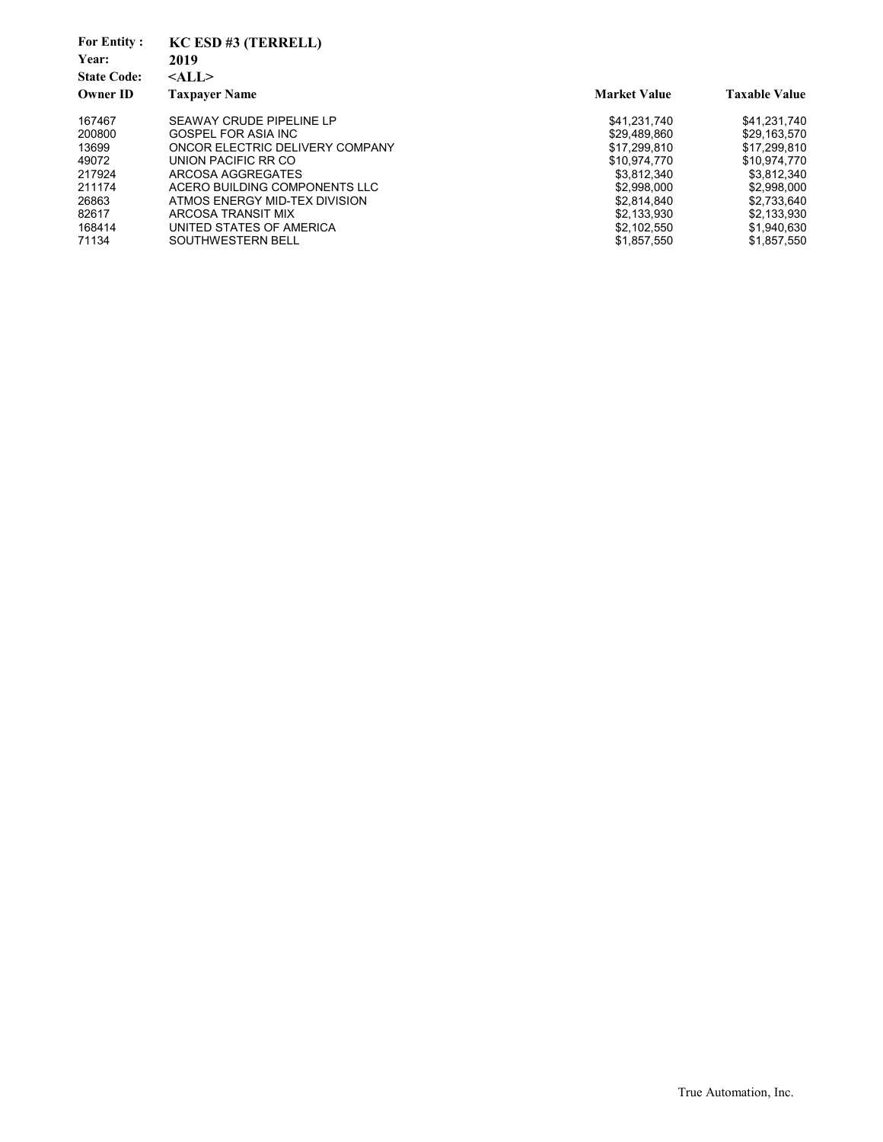| KC ESD #3 (TERRELL)             |                     |                      |
|---------------------------------|---------------------|----------------------|
| 2019                            |                     |                      |
| $<$ ALL $>$                     |                     |                      |
| <b>Taxpaver Name</b>            | <b>Market Value</b> | <b>Taxable Value</b> |
| SEAWAY CRUDE PIPELINE LP        | \$41.231.740        | \$41,231,740         |
| GOSPEL FOR ASIA INC             | \$29,489,860        | \$29,163,570         |
| ONCOR ELECTRIC DELIVERY COMPANY | \$17.299.810        | \$17.299.810         |
| UNION PACIFIC RR CO             | \$10.974.770        | \$10,974,770         |
| ARCOSA AGGREGATES               | \$3.812.340         | \$3,812,340          |
| ACERO BUILDING COMPONENTS LLC   | \$2.998.000         | \$2,998,000          |
| ATMOS ENERGY MID-TEX DIVISION   | \$2,814,840         | \$2,733,640          |
| ARCOSA TRANSIT MIX              | \$2.133.930         | \$2.133.930          |
| UNITED STATES OF AMERICA        | \$2,102,550         | \$1,940,630          |
| SOUTHWESTERN BELL               | \$1,857,550         | \$1,857,550          |
|                                 |                     |                      |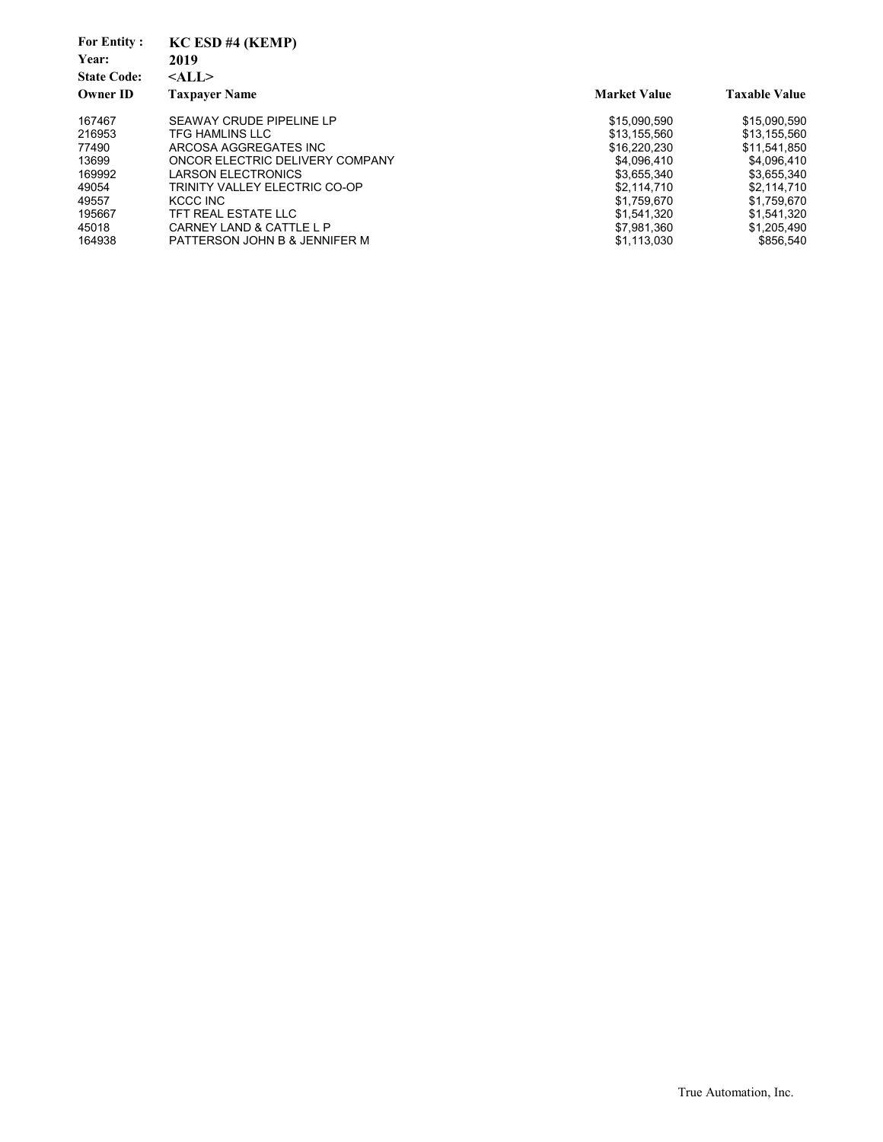| <b>For Entity:</b><br>Year:<br><b>State Code:</b><br><b>Owner ID</b> | $KC$ $ESD$ $#4$ $(KEMP)$<br>2019<br>$<$ ALL $>$<br><b>Taxpaver Name</b> | <b>Market Value</b> | <b>Taxable Value</b> |
|----------------------------------------------------------------------|-------------------------------------------------------------------------|---------------------|----------------------|
| 167467                                                               | SEAWAY CRUDE PIPELINE LP                                                | \$15.090.590        | \$15,090,590         |
| 216953                                                               | TFG HAMLINS LLC                                                         | \$13.155.560        | \$13.155.560         |
| 77490                                                                | ARCOSA AGGREGATES INC                                                   | \$16.220.230        | \$11.541.850         |
| 13699                                                                | ONCOR ELECTRIC DELIVERY COMPANY                                         | \$4.096.410         | \$4,096,410          |
| 169992                                                               | <b>LARSON ELECTRONICS</b>                                               | \$3,655,340         | \$3,655,340          |
| 49054                                                                | TRINITY VALLEY ELECTRIC CO-OP                                           | \$2.114.710         | \$2.114.710          |
| 49557                                                                | KCCC INC                                                                | \$1,759,670         | \$1,759,670          |
| 195667                                                               | TFT REAL ESTATE LLC                                                     | \$1.541.320         | \$1.541.320          |
| 45018                                                                | CARNEY LAND & CATTLE L P                                                | \$7.981.360         | \$1,205,490          |
| 164938                                                               | PATTERSON JOHN B & JENNIFER M                                           | \$1,113,030         | \$856.540            |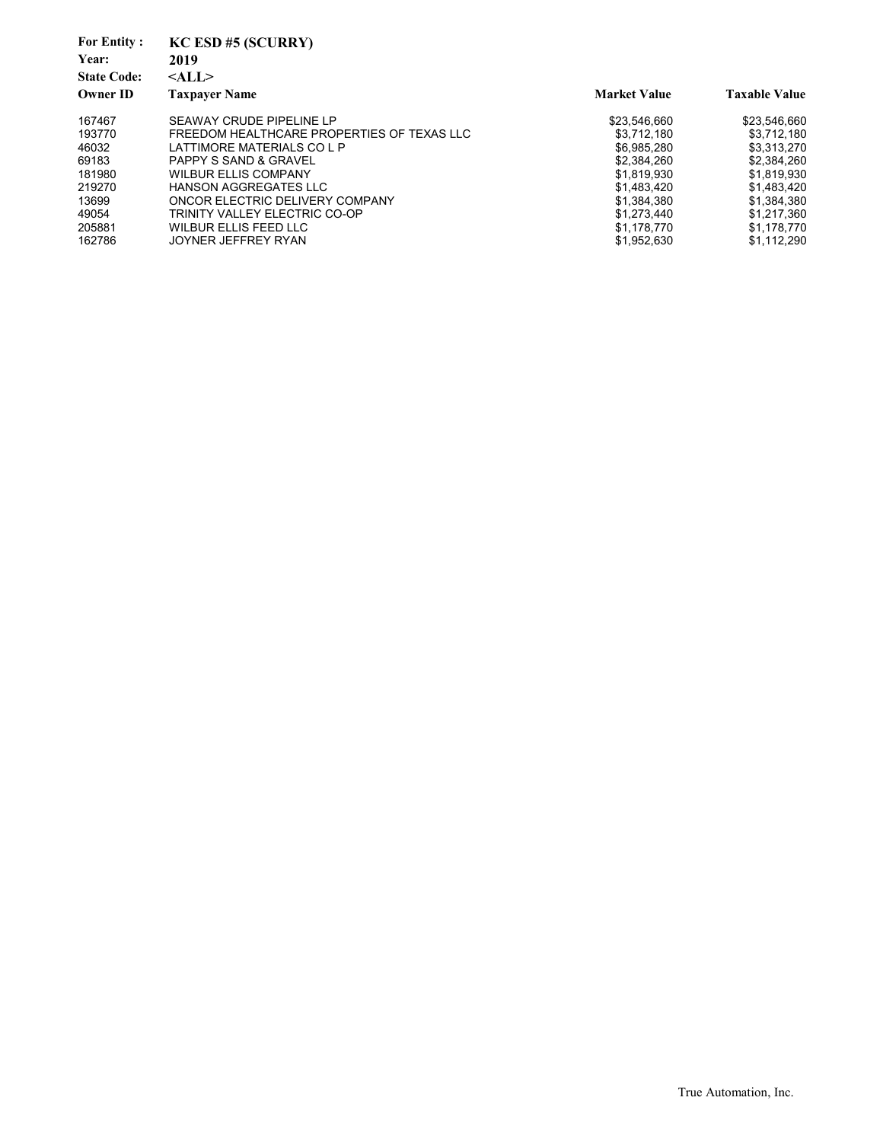| <b>For Entity:</b><br>Year:<br><b>State Code:</b><br><b>Owner ID</b> | $KC$ ESD #5 (SCURRY)<br>2019<br>$<$ ALL $>$<br><b>Taxpayer Name</b> | <b>Market Value</b> | <b>Taxable Value</b> |
|----------------------------------------------------------------------|---------------------------------------------------------------------|---------------------|----------------------|
|                                                                      |                                                                     |                     |                      |
| 167467                                                               | SEAWAY CRUDE PIPELINE LP                                            | \$23.546.660        | \$23.546.660         |
| 193770                                                               | FREEDOM HEALTHCARE PROPERTIES OF TEXAS LLC                          | \$3.712.180         | \$3,712,180          |
| 46032                                                                | LATTIMORE MATERIALS CO L P                                          | \$6.985.280         | \$3.313.270          |
| 69183                                                                | <b>PAPPY S SAND &amp; GRAVEL</b>                                    | \$2,384,260         | \$2.384.260          |
| 181980                                                               | <b>WILBUR ELLIS COMPANY</b>                                         | \$1,819,930         | \$1,819,930          |
| 219270                                                               | <b>HANSON AGGREGATES LLC</b>                                        | \$1,483,420         | \$1,483,420          |
| 13699                                                                | ONCOR ELECTRIC DELIVERY COMPANY                                     | \$1.384.380         | \$1.384.380          |
| 49054                                                                | TRINITY VALLEY ELECTRIC CO-OP                                       | \$1.273.440         | \$1.217.360          |
| 205881                                                               | <b>WILBUR ELLIS FEED LLC</b>                                        | \$1,178,770         | \$1,178,770          |
| 162786                                                               | JOYNER JEFFREY RYAN                                                 | \$1,952,630         | \$1,112,290          |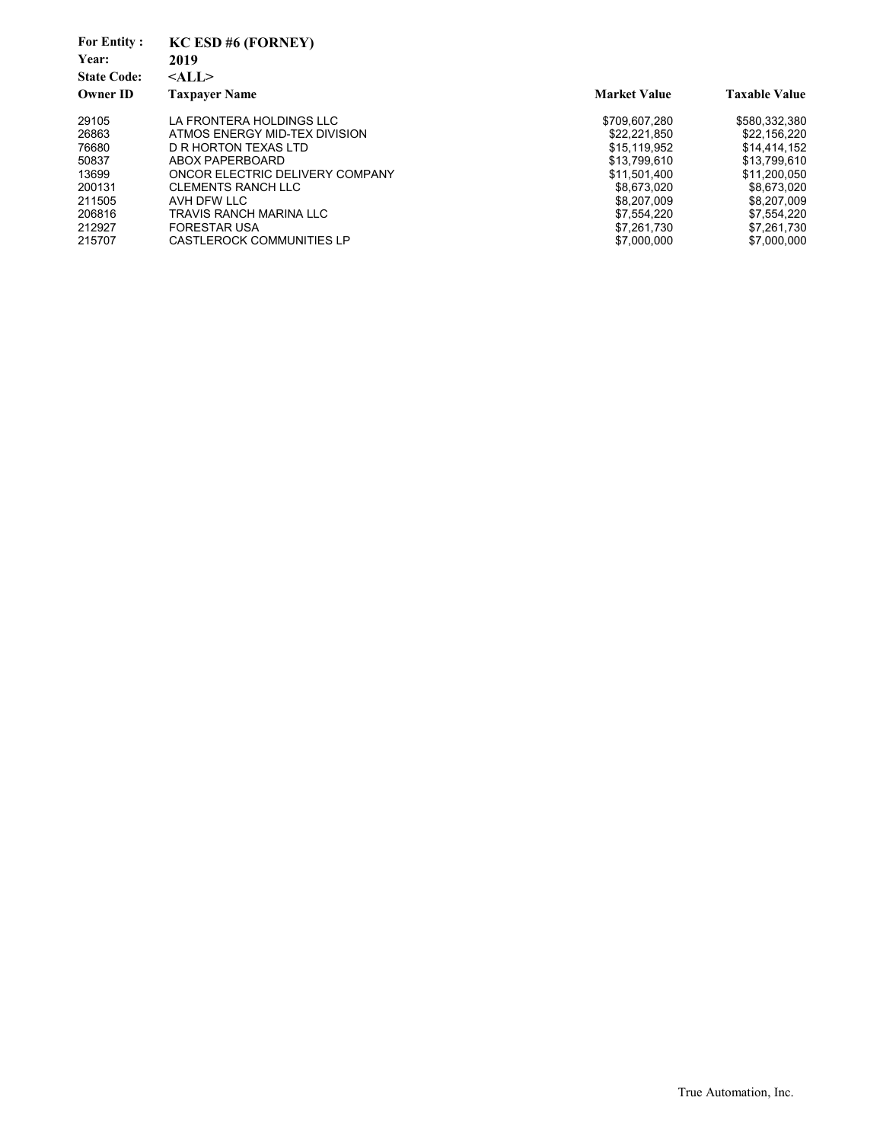| <b>For Entity:</b><br>Year:<br><b>State Code:</b><br><b>Owner ID</b> | $KC$ ESD #6 (FORNEY)<br>2019<br>$<$ ALL $>$<br><b>Taxpayer Name</b> | <b>Market Value</b> | <b>Taxable Value</b> |
|----------------------------------------------------------------------|---------------------------------------------------------------------|---------------------|----------------------|
| 29105                                                                | LA FRONTERA HOLDINGS LLC                                            | \$709.607.280       | \$580,332,380        |
| 26863                                                                | ATMOS ENERGY MID-TEX DIVISION                                       | \$22.221.850        | \$22.156.220         |
| 76680                                                                | D R HORTON TEXAS LTD                                                | \$15.119.952        | \$14.414.152         |
| 50837                                                                | ABOX PAPERBOARD                                                     | \$13.799.610        | \$13,799,610         |
| 13699                                                                | ONCOR ELECTRIC DELIVERY COMPANY                                     | \$11.501.400        | \$11.200.050         |
| 200131                                                               | <b>CLEMENTS RANCH LLC</b>                                           | \$8.673.020         | \$8.673.020          |
| 211505                                                               | AVH DFW LLC                                                         | \$8,207,009         | \$8,207,009          |
| 206816                                                               | TRAVIS RANCH MARINA LLC                                             | \$7.554.220         | \$7,554,220          |
| 212927                                                               | <b>FORESTAR USA</b>                                                 | \$7,261,730         | \$7,261,730          |
| 215707                                                               | <b>CASTLEROCK COMMUNITIES LP</b>                                    | \$7,000,000         | \$7,000,000          |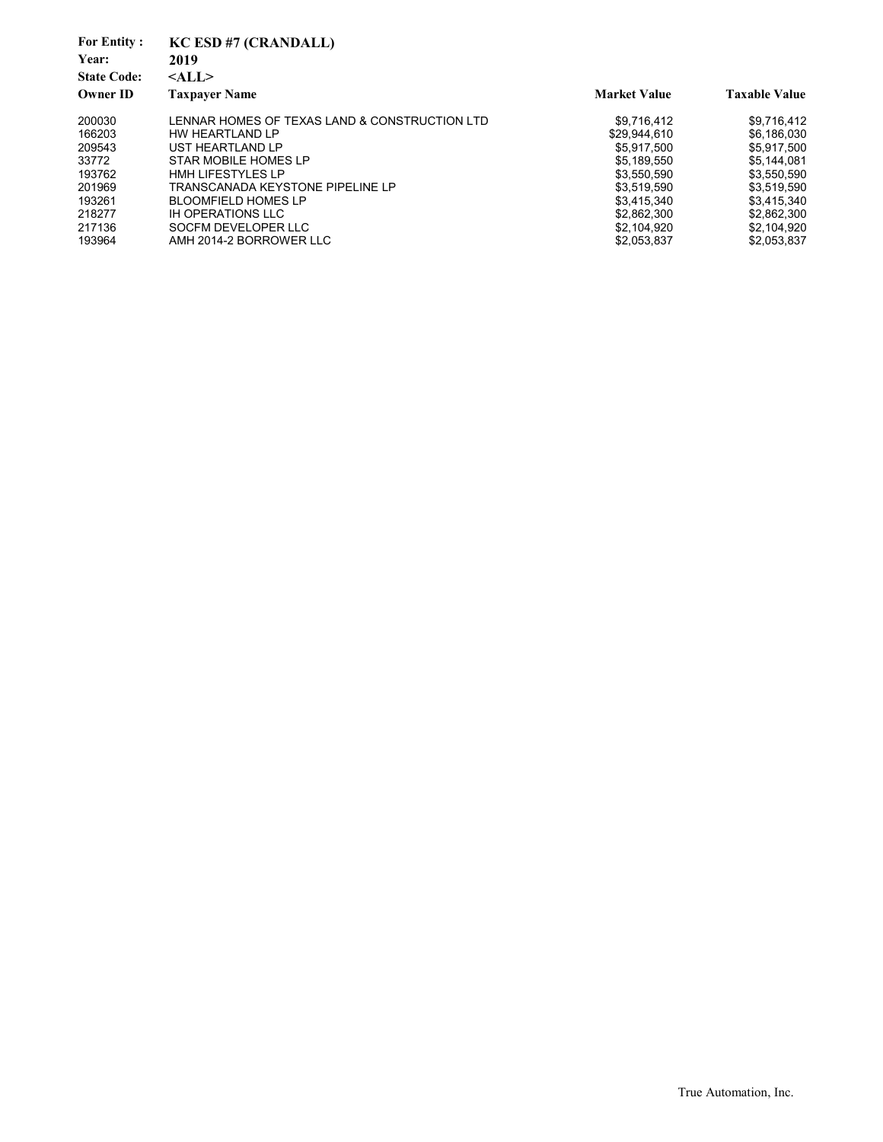| <b>For Entity:</b><br>Year:<br><b>State Code:</b><br><b>Owner ID</b> | KC ESD #7 (CRANDALL)<br>2019<br>$<$ ALL $>$<br><b>Taxpayer Name</b> | <b>Market Value</b> | <b>Taxable Value</b> |
|----------------------------------------------------------------------|---------------------------------------------------------------------|---------------------|----------------------|
| 200030                                                               | LENNAR HOMES OF TEXAS LAND & CONSTRUCTION LTD                       | \$9,716,412         | \$9,716,412          |
| 166203                                                               | HW HEARTLAND LP                                                     | \$29.944.610        | \$6,186,030          |
| 209543                                                               | UST HEARTLAND LP                                                    | \$5.917.500         | \$5,917,500          |
| 33772                                                                | STAR MOBILE HOMES LP                                                | \$5,189,550         | \$5,144,081          |
| 193762                                                               | <b>HMH LIFESTYLES LP</b>                                            | \$3,550,590         | \$3,550,590          |
| 201969                                                               | TRANSCANADA KEYSTONE PIPELINE LP                                    | \$3,519,590         | \$3,519,590          |
| 193261                                                               | <b>BLOOMFIELD HOMES LP</b>                                          | \$3,415,340         | \$3,415,340          |
| 218277                                                               | IH OPERATIONS LLC                                                   | \$2,862,300         | \$2.862.300          |
| 217136                                                               | SOCFM DEVELOPER LLC                                                 | \$2,104,920         | \$2,104,920          |
| 193964                                                               | AMH 2014-2 BORROWER LLC                                             | \$2,053,837         | \$2,053,837          |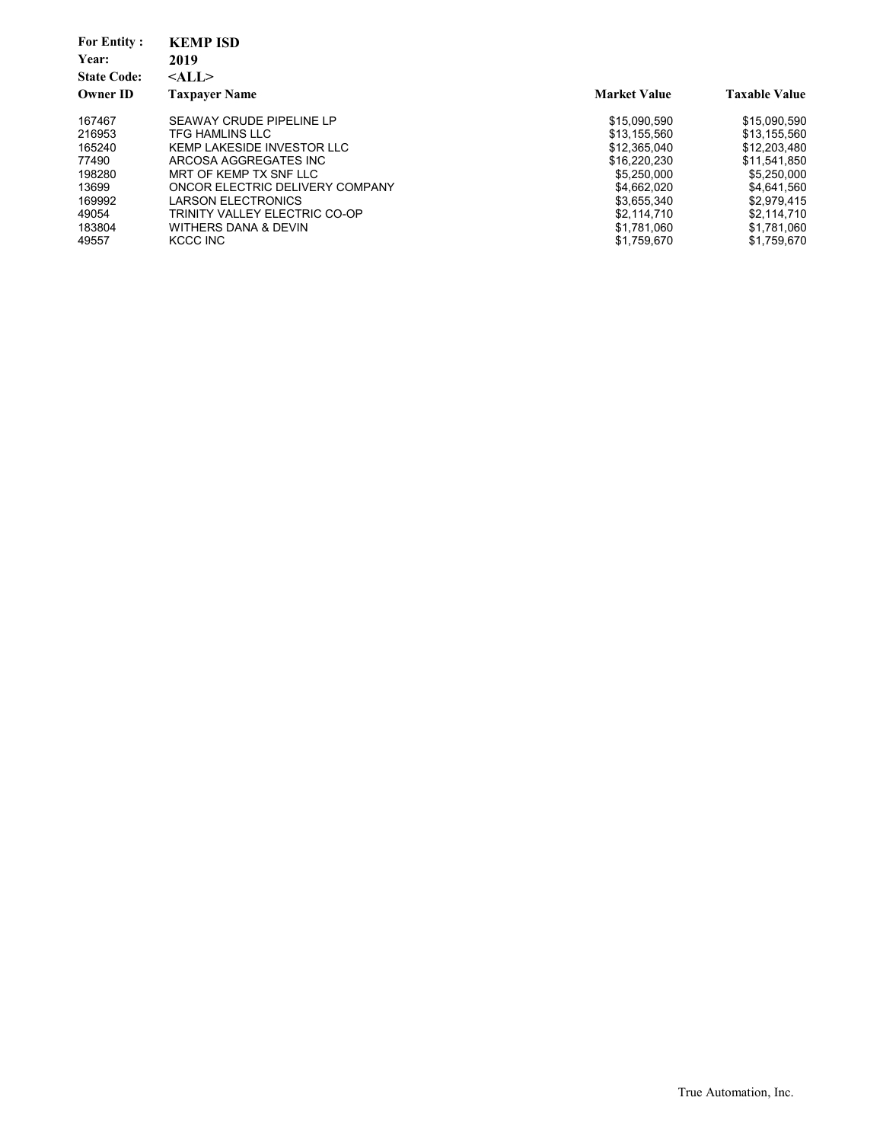| <b>For Entity:</b><br>Year: | <b>KEMP ISD</b><br>2019         |                     |                      |
|-----------------------------|---------------------------------|---------------------|----------------------|
| <b>State Code:</b>          | $<$ ALL $>$                     |                     |                      |
| <b>Owner ID</b>             | <b>Taxpayer Name</b>            | <b>Market Value</b> | <b>Taxable Value</b> |
| 167467                      | SEAWAY CRUDE PIPELINE LP        | \$15,090,590        | \$15,090,590         |
| 216953                      | <b>TFG HAMLINS LLC</b>          | \$13.155.560        | \$13,155,560         |
| 165240                      | KEMP LAKESIDE INVESTOR LLC      | \$12.365.040        | \$12,203,480         |
| 77490                       | ARCOSA AGGREGATES INC           | \$16,220,230        | \$11.541.850         |
| 198280                      | MRT OF KEMP TX SNF LLC          | \$5.250,000         | \$5,250,000          |
| 13699                       | ONCOR ELECTRIC DELIVERY COMPANY | \$4.662.020         | \$4,641,560          |
| 169992                      | <b>LARSON ELECTRONICS</b>       | \$3,655,340         | \$2,979,415          |
| 49054                       | TRINITY VALLEY ELECTRIC CO-OP   | \$2.114.710         | \$2.114.710          |
| 183804                      | WITHERS DANA & DEVIN            | \$1,781,060         | \$1,781,060          |
| 49557                       | KCCC INC                        | \$1,759,670         | \$1.759.670          |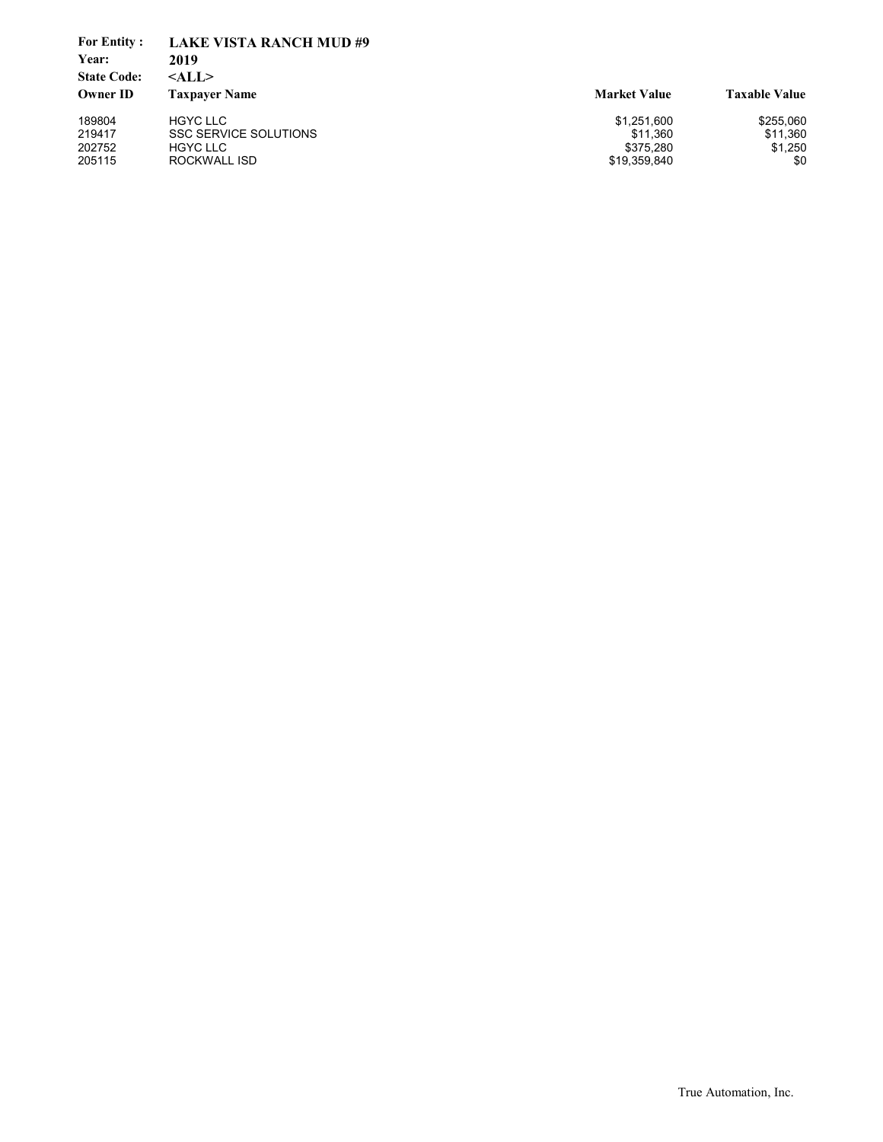| <b>For Entity:</b><br>Year:<br><b>State Code:</b><br><b>Owner ID</b> | <b>LAKE VISTA RANCH MUD#9</b><br>2019<br>$<$ ALL $>$<br><b>Taxpayer Name</b> | <b>Market Value</b> | <b>Taxable Value</b> |
|----------------------------------------------------------------------|------------------------------------------------------------------------------|---------------------|----------------------|
| 189804                                                               | <b>HGYC LLC</b>                                                              | \$1,251,600         | \$255,060            |
| 219417                                                               | <b>SSC SERVICE SOLUTIONS</b>                                                 | \$11.360            | \$11,360             |
| 202752                                                               | <b>HGYC LLC</b>                                                              | \$375.280           | \$1,250              |
| 205115                                                               | ROCKWALL ISD                                                                 | \$19,359,840        | \$0                  |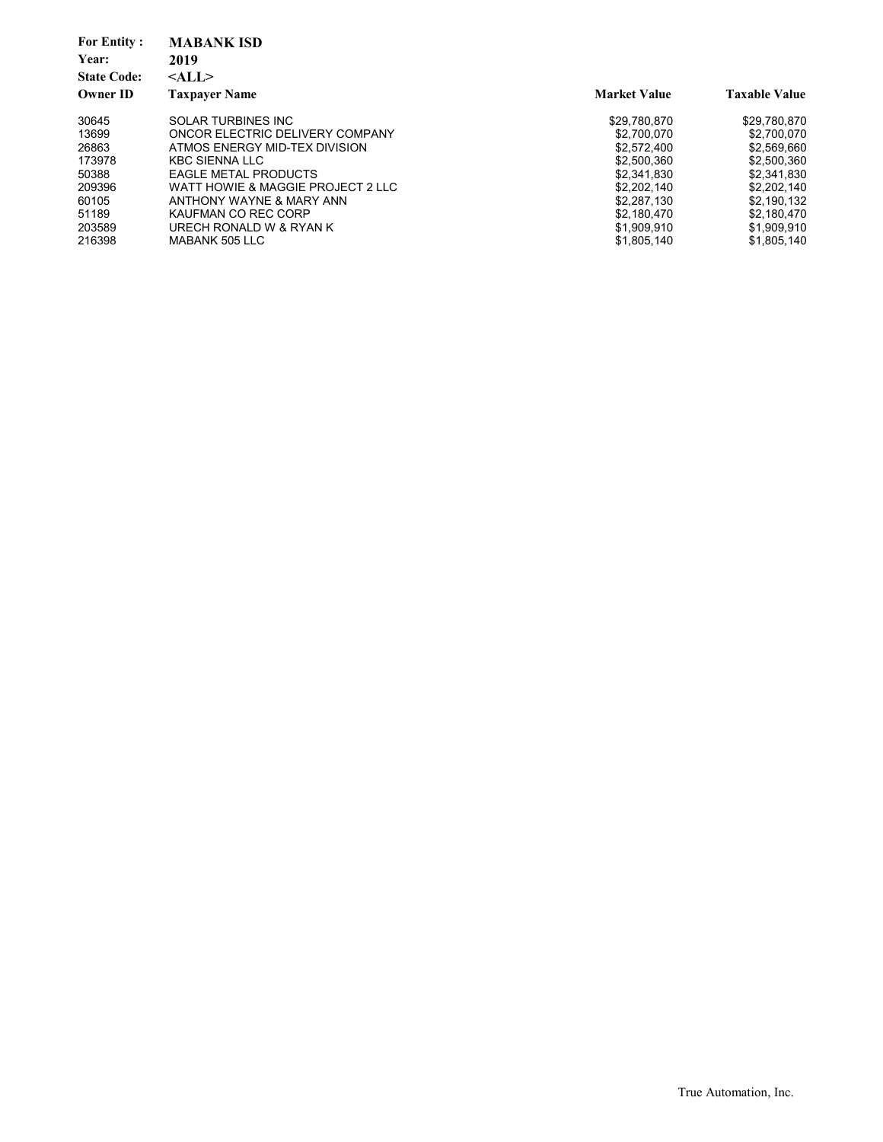| <b>For Entity:</b><br>Year: | <b>MABANK ISD</b><br>2019         |                     |                      |
|-----------------------------|-----------------------------------|---------------------|----------------------|
| <b>State Code:</b>          | $<$ ALL $>$                       |                     |                      |
| <b>Owner ID</b>             | <b>Taxpayer Name</b>              | <b>Market Value</b> | <b>Taxable Value</b> |
| 30645                       | SOLAR TURBINES INC                | \$29.780.870        | \$29,780,870         |
| 13699                       | ONCOR ELECTRIC DELIVERY COMPANY   | \$2,700,070         | \$2,700,070          |
| 26863                       | ATMOS ENERGY MID-TEX DIVISION     | \$2.572.400         | \$2,569,660          |
| 173978                      | KBC SIENNA LLC                    | \$2,500,360         | \$2,500,360          |
| 50388                       | <b>EAGLE METAL PRODUCTS</b>       | \$2,341,830         | \$2,341,830          |
| 209396                      | WATT HOWIE & MAGGIE PROJECT 2 LLC | \$2.202.140         | \$2,202,140          |
| 60105                       | ANTHONY WAYNE & MARY ANN          | \$2.287.130         | \$2,190,132          |
| 51189                       | KAUFMAN CO REC CORP               | \$2.180.470         | \$2,180,470          |
| 203589                      | URECH RONALD W & RYAN K           | \$1,909,910         | \$1,909,910          |
| 216398                      | MABANK 505 LLC                    | \$1.805.140         | \$1.805.140          |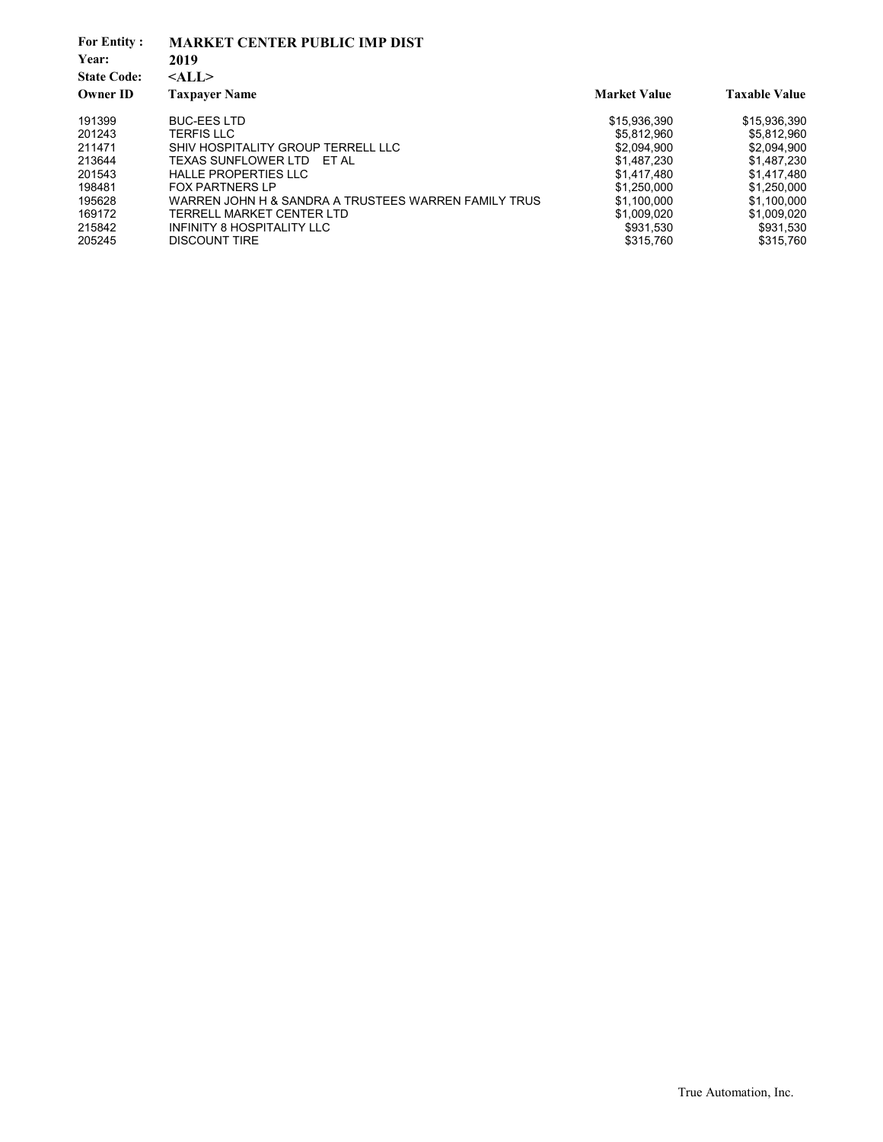| <b>For Entity:</b><br>Year:<br><b>State Code:</b><br><b>Owner ID</b> | <b>MARKET CENTER PUBLIC IMP DIST</b><br>2019<br>$<$ ALL $>$<br><b>Taxpayer Name</b> | <b>Market Value</b> | <b>Taxable Value</b> |
|----------------------------------------------------------------------|-------------------------------------------------------------------------------------|---------------------|----------------------|
|                                                                      |                                                                                     |                     |                      |
| 191399                                                               | <b>BUC-EES LTD</b>                                                                  | \$15,936,390        | \$15,936,390         |
| 201243                                                               | <b>TERFIS LLC</b>                                                                   | \$5.812.960         | \$5,812,960          |
| 211471                                                               | SHIV HOSPITALITY GROUP TERRELL LLC                                                  | \$2,094,900         | \$2.094.900          |
| 213644                                                               | TEXAS SUNFLOWER LTD ET AL                                                           | \$1,487,230         | \$1,487,230          |
| 201543                                                               | <b>HALLE PROPERTIES LLC</b>                                                         | \$1,417,480         | \$1,417,480          |
| 198481                                                               | <b>FOX PARTNERS LP</b>                                                              | \$1,250,000         | \$1.250.000          |
| 195628                                                               | WARREN JOHN H & SANDRA A TRUSTEES WARREN FAMILY TRUS                                | \$1,100,000         | \$1,100,000          |
| 169172                                                               | TERRELL MARKET CENTER LTD                                                           | \$1.009.020         | \$1.009.020          |
| 215842                                                               | INFINITY 8 HOSPITALITY LLC                                                          | \$931.530           | \$931,530            |
| 205245                                                               | <b>DISCOUNT TIRE</b>                                                                | \$315.760           | \$315.760            |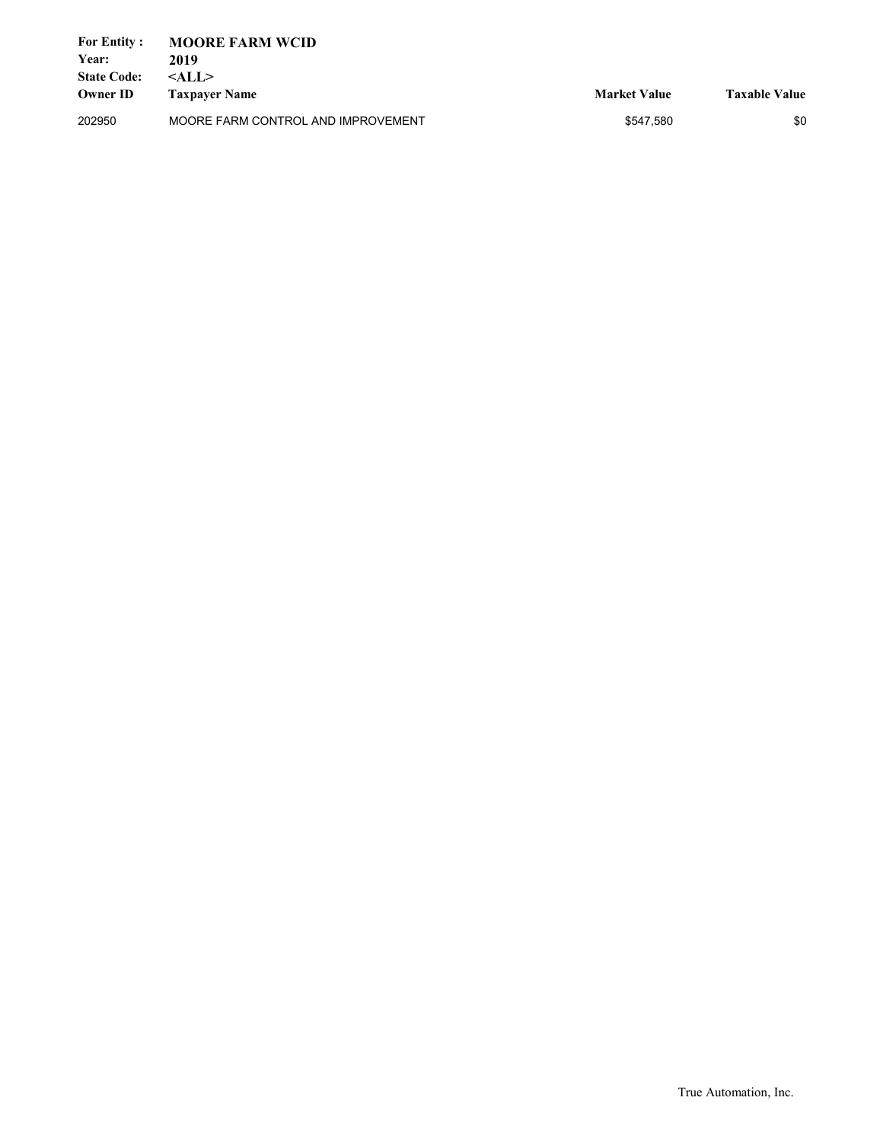| <b>For Entity :</b><br>Year:<br><b>State Code:</b><br><b>Owner ID</b> | <b>MOORE FARM WCID</b><br>2019<br>$<$ ALL $>$<br><b>Taxpaver Name</b> | <b>Market Value</b> | <b>Taxable Value</b> |
|-----------------------------------------------------------------------|-----------------------------------------------------------------------|---------------------|----------------------|
| 202950                                                                | MOORE FARM CONTROL AND IMPROVEMENT                                    | \$547.580           | \$0                  |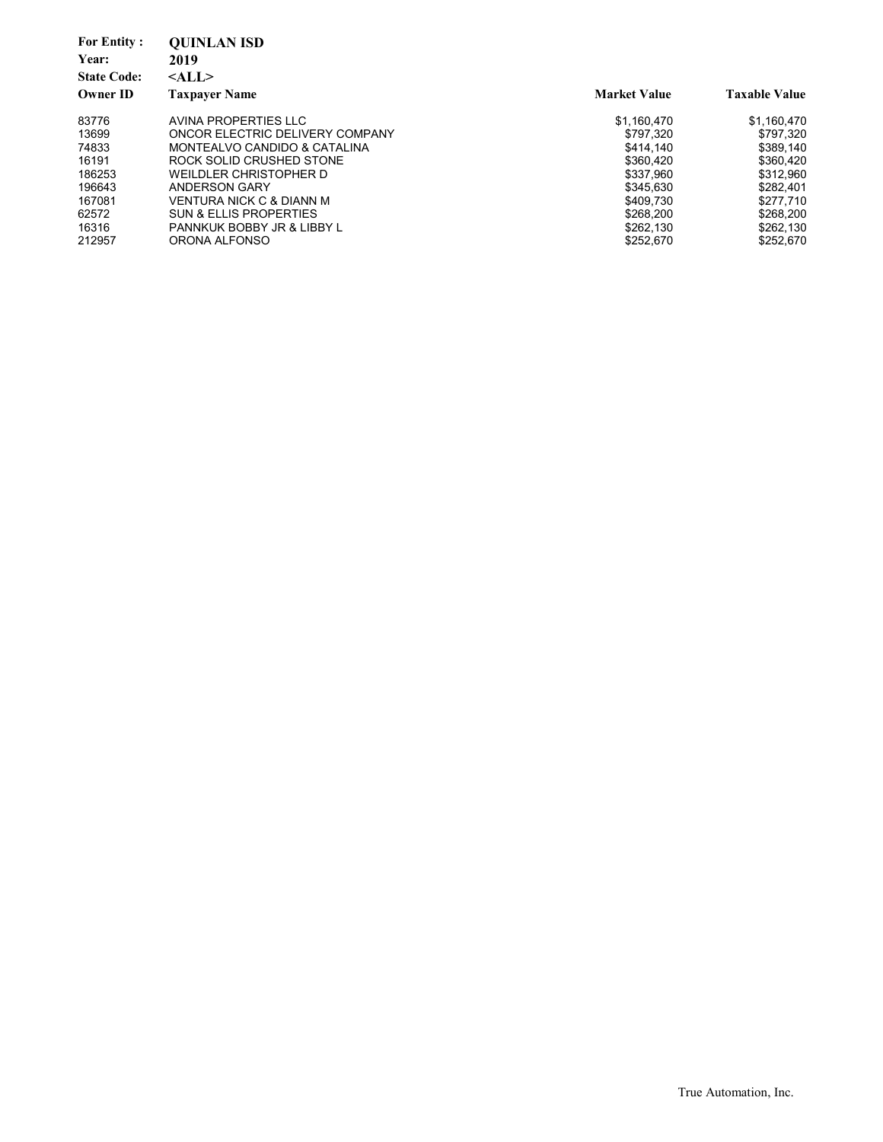| <b>For Entity:</b><br>Year:<br><b>State Code:</b> | <b>OUINLAN ISD</b><br>2019<br>$<$ ALL $>$ |                     |                      |
|---------------------------------------------------|-------------------------------------------|---------------------|----------------------|
| <b>Owner ID</b>                                   | <b>Taxpaver Name</b>                      | <b>Market Value</b> | <b>Taxable Value</b> |
| 83776                                             | AVINA PROPERTIES LLC                      | \$1,160,470         | \$1,160,470          |
| 13699                                             | ONCOR ELECTRIC DELIVERY COMPANY           | \$797,320           | \$797.320            |
| 74833                                             | MONTEALVO CANDIDO & CATALINA              | \$414.140           | \$389.140            |
| 16191                                             | ROCK SOLID CRUSHED STONE                  | \$360.420           | \$360.420            |
| 186253                                            | WEILDLER CHRISTOPHER D                    | \$337.960           | \$312,960            |
| 196643                                            | ANDERSON GARY                             | \$345.630           | \$282,401            |
| 167081                                            | <b>VENTURA NICK C &amp; DIANN M</b>       | \$409.730           | \$277.710            |
| 62572                                             | <b>SUN &amp; ELLIS PROPERTIES</b>         | \$268.200           | \$268.200            |
| 16316                                             | PANNKUK BOBBY JR & LIBBY L                | \$262.130           | \$262,130            |
| 212957                                            | ORONA ALFONSO                             | \$252.670           | \$252.670            |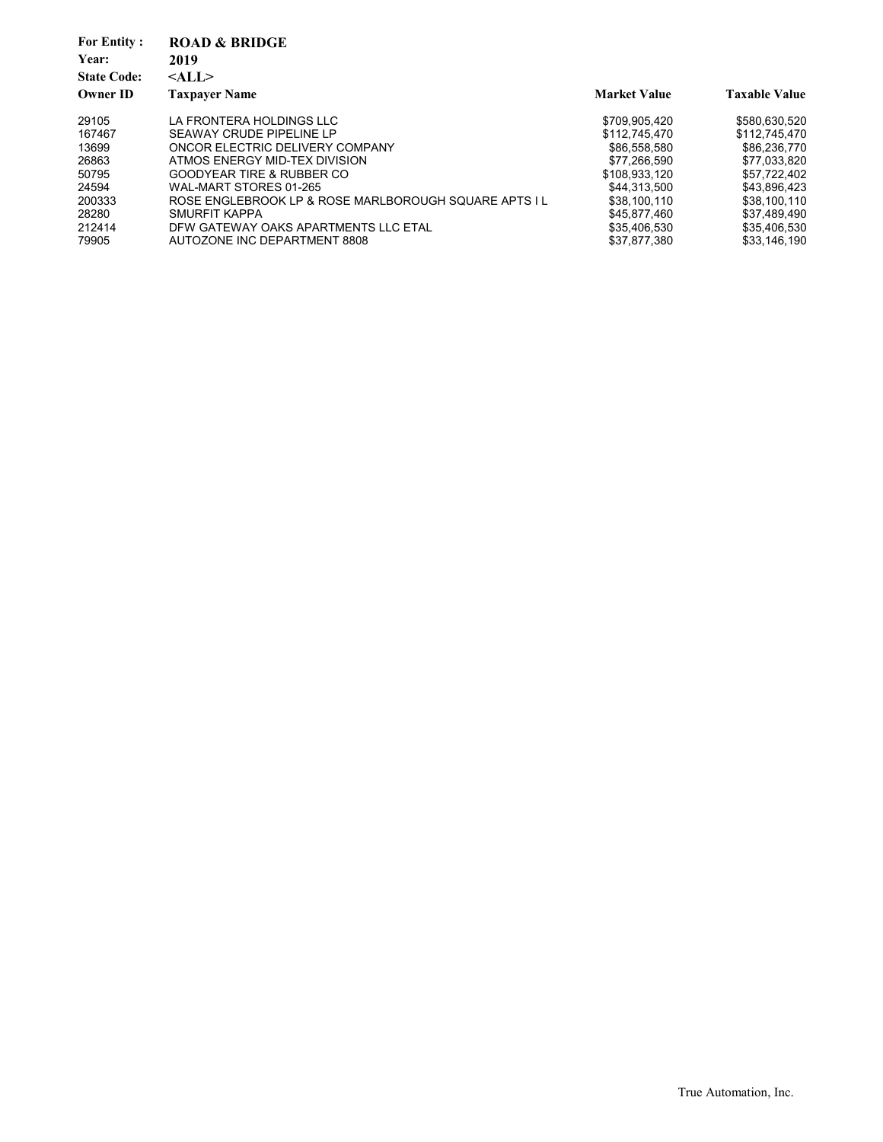| <b>For Entity:</b> | <b>ROAD &amp; BRIDGE</b>                              |                     |                      |
|--------------------|-------------------------------------------------------|---------------------|----------------------|
| Year:              | 2019                                                  |                     |                      |
| <b>State Code:</b> | $<$ ALL $>$                                           |                     |                      |
| <b>Owner ID</b>    | <b>Taxpayer Name</b>                                  | <b>Market Value</b> | <b>Taxable Value</b> |
| 29105              | LA FRONTERA HOLDINGS LLC                              | \$709.905.420       | \$580.630.520        |
| 167467             | SEAWAY CRUDE PIPELINE LP                              | \$112,745,470       | \$112,745,470        |
| 13699              | ONCOR ELECTRIC DELIVERY COMPANY                       | \$86,558,580        | \$86,236,770         |
| 26863              | ATMOS ENERGY MID-TEX DIVISION                         | \$77.266.590        | \$77,033,820         |
| 50795              | <b>GOODYEAR TIRE &amp; RUBBER CO</b>                  | \$108.933.120       | \$57.722.402         |
| 24594              | WAL-MART STORES 01-265                                | \$44.313.500        | \$43.896.423         |
| 200333             | ROSE ENGLEBROOK LP & ROSE MARLBOROUGH SQUARE APTS I L | \$38,100,110        | \$38,100,110         |
| 28280              | <b>SMURFIT KAPPA</b>                                  | \$45.877.460        | \$37,489,490         |
| 212414             | DFW GATEWAY OAKS APARTMENTS LLC ETAL                  | \$35,406,530        | \$35.406.530         |
| 79905              | AUTOZONE INC DEPARTMENT 8808                          | \$37.877.380        | \$33.146.190         |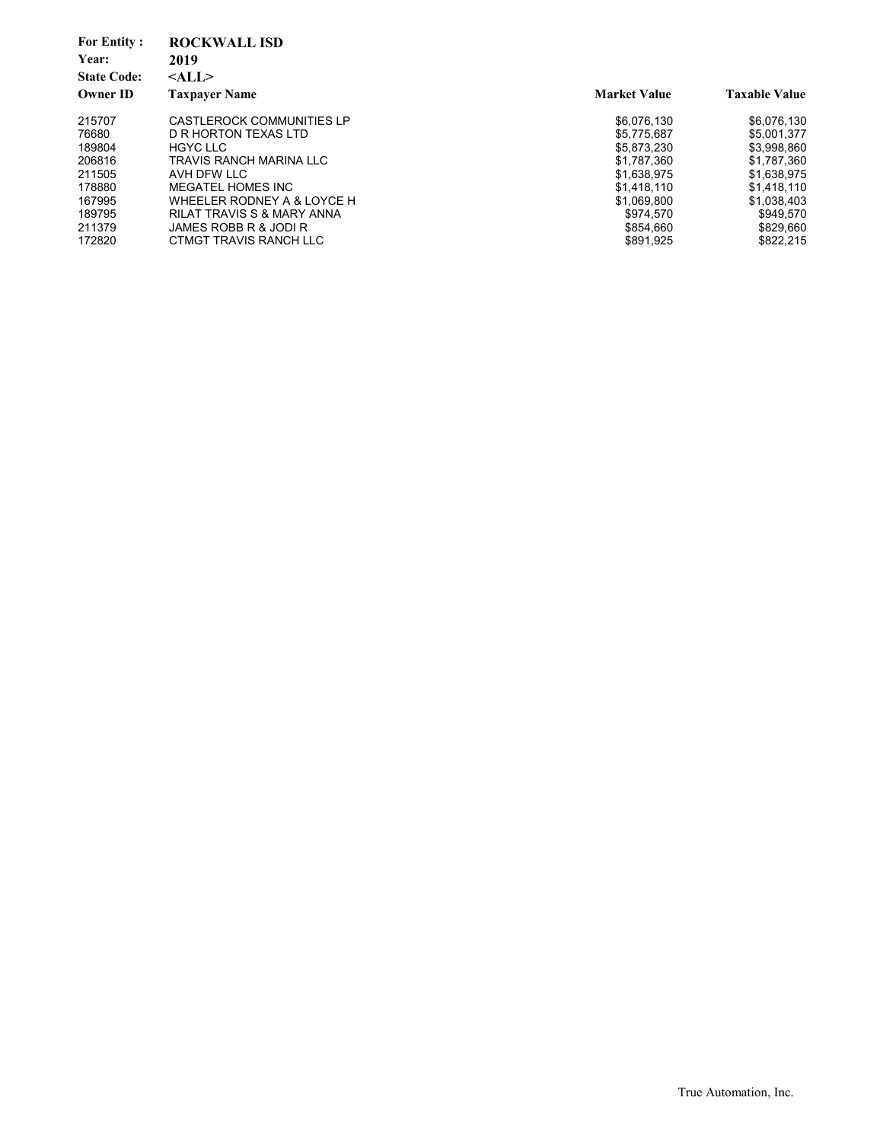| <b>For Entity:</b><br>Year:<br><b>State Code:</b> | <b>ROCKWALL ISD</b><br>2019<br>$<$ ALL $>$ |                     |                      |
|---------------------------------------------------|--------------------------------------------|---------------------|----------------------|
| <b>Owner ID</b>                                   | <b>Taxpayer Name</b>                       | <b>Market Value</b> | <b>Taxable Value</b> |
| 215707                                            | CASTLEROCK COMMUNITIES LP                  | \$6,076,130         | \$6,076,130          |
| 76680                                             | D R HORTON TEXAS LTD                       | \$5.775.687         | \$5,001,377          |
| 189804                                            | <b>HGYC LLC</b>                            | \$5,873,230         | \$3,998,860          |
| 206816                                            | <b>TRAVIS RANCH MARINA LLC</b>             | \$1.787.360         | \$1,787,360          |
| 211505                                            | AVH DFW LLC                                | \$1,638,975         | \$1,638,975          |
| 178880                                            | MEGATEL HOMES INC                          | \$1.418.110         | \$1.418.110          |
| 167995                                            | WHEELER RODNEY A & LOYCE H                 | \$1,069,800         | \$1,038,403          |
| 189795                                            | RILAT TRAVIS S & MARY ANNA                 | \$974.570           | \$949.570            |
| 211379                                            | JAMES ROBB R & JODI R                      | \$854.660           | \$829,660            |
| 172820                                            | CTMGT TRAVIS RANCH LLC                     | \$891,925           | \$822,215            |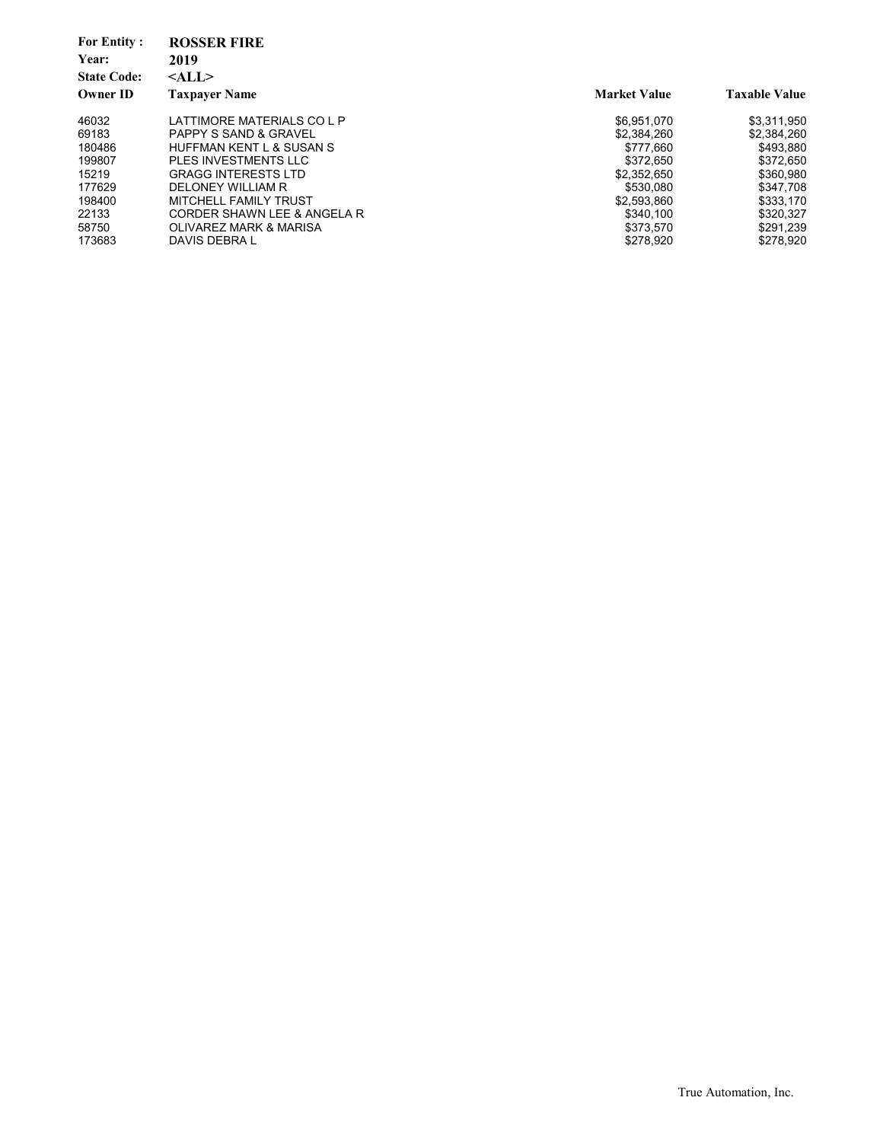| <b>For Entity:</b><br>Year:<br><b>State Code:</b> | <b>ROSSER FIRE</b><br>2019<br>$<$ ALL $>$ |                     |                      |
|---------------------------------------------------|-------------------------------------------|---------------------|----------------------|
| <b>Owner ID</b>                                   | <b>Taxpayer Name</b>                      | <b>Market Value</b> | <b>Taxable Value</b> |
| 46032                                             | LATTIMORE MATERIALS CO L P                | \$6.951.070         | \$3,311,950          |
| 69183                                             | <b>PAPPY S SAND &amp; GRAVEL</b>          | \$2.384.260         | \$2,384,260          |
| 180486                                            | HUFFMAN KENT L & SUSAN S                  | \$777.660           | \$493.880            |
| 199807                                            | PLES INVESTMENTS LLC                      | \$372.650           | \$372.650            |
| 15219                                             | <b>GRAGG INTERESTS LTD</b>                | \$2.352.650         | \$360,980            |
| 177629                                            | DELONEY WILLIAM R                         | \$530.080           | \$347.708            |
| 198400                                            | MITCHELL FAMILY TRUST                     | \$2,593,860         | \$333,170            |
| 22133                                             | CORDER SHAWN LEE & ANGELA R               | \$340.100           | \$320.327            |
| 58750                                             | OLIVAREZ MARK & MARISA                    | \$373.570           | \$291.239            |
| 173683                                            | DAVIS DEBRA L                             | \$278.920           | \$278,920            |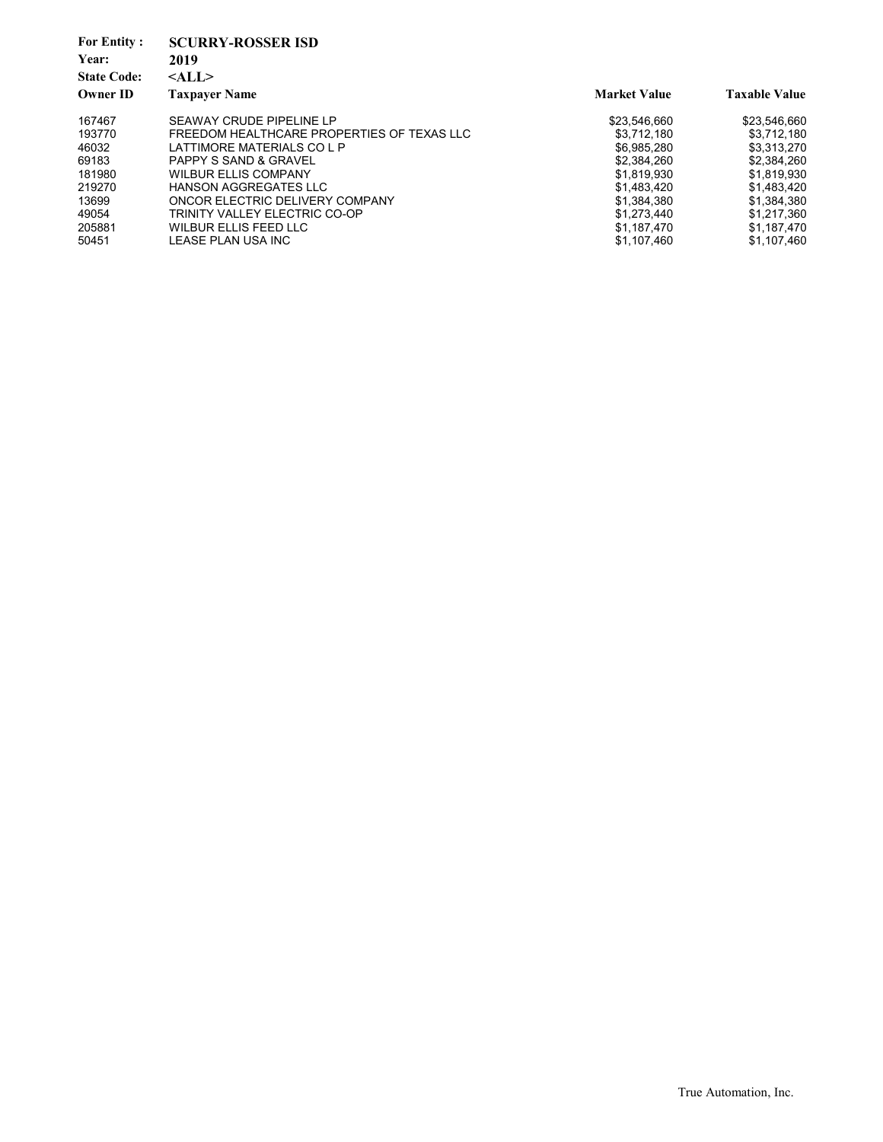| <b>For Entity:</b><br>Year:<br><b>State Code:</b> | <b>SCURRY-ROSSER ISD</b><br>2019<br>$<$ ALL $>$ |                     |                      |
|---------------------------------------------------|-------------------------------------------------|---------------------|----------------------|
| <b>Owner ID</b>                                   | <b>Taxpayer Name</b>                            | <b>Market Value</b> | <b>Taxable Value</b> |
| 167467                                            | SEAWAY CRUDE PIPELINE LP                        | \$23,546,660        | \$23,546,660         |
| 193770                                            | FREEDOM HEALTHCARE PROPERTIES OF TEXAS LLC      | \$3.712.180         | \$3.712.180          |
| 46032                                             | LATTIMORE MATERIALS CO L P                      | \$6.985.280         | \$3.313.270          |
| 69183                                             | <b>PAPPY S SAND &amp; GRAVEL</b>                | \$2,384,260         | \$2.384.260          |
| 181980                                            | <b>WILBUR ELLIS COMPANY</b>                     | \$1,819,930         | \$1.819.930          |
| 219270                                            | <b>HANSON AGGREGATES LLC</b>                    | \$1,483,420         | \$1,483,420          |
| 13699                                             | ONCOR ELECTRIC DELIVERY COMPANY                 | \$1,384,380         | \$1,384,380          |
| 49054                                             | TRINITY VALLEY ELECTRIC CO-OP                   | \$1.273.440         | \$1.217.360          |
| 205881                                            | <b>WILBUR ELLIS FEED LLC</b>                    | \$1,187,470         | \$1,187,470          |
| 50451                                             | LEASE PLAN USA INC                              | \$1,107,460         | \$1,107,460          |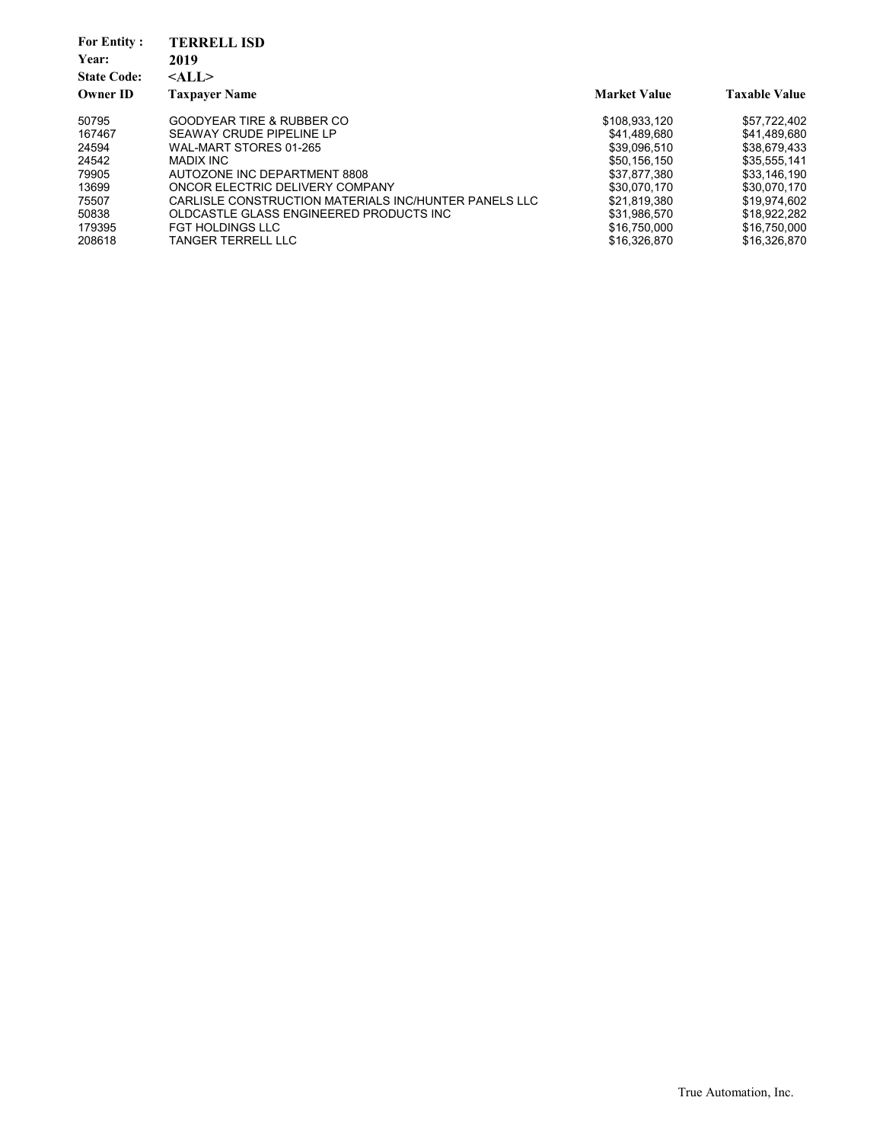| <b>For Entity:</b> | <b>TERRELL ISD</b>                                    |                     |                      |
|--------------------|-------------------------------------------------------|---------------------|----------------------|
| Year:              | 2019                                                  |                     |                      |
| <b>State Code:</b> | $<$ ALL $>$                                           |                     |                      |
| <b>Owner ID</b>    | <b>Taxpayer Name</b>                                  | <b>Market Value</b> | <b>Taxable Value</b> |
| 50795              | GOODYEAR TIRE & RUBBER CO                             | \$108.933.120       | \$57.722.402         |
| 167467             | SEAWAY CRUDE PIPELINE LP                              | \$41.489.680        | \$41.489.680         |
| 24594              | WAL-MART STORES 01-265                                | \$39.096.510        | \$38,679,433         |
| 24542              | MADIX INC                                             | \$50.156.150        | \$35,555,141         |
| 79905              | AUTOZONE INC DEPARTMENT 8808                          | \$37.877.380        | \$33,146,190         |
| 13699              | ONCOR ELECTRIC DELIVERY COMPANY                       | \$30.070.170        | \$30.070.170         |
| 75507              | CARLISLE CONSTRUCTION MATERIALS INC/HUNTER PANELS LLC | \$21.819.380        | \$19.974.602         |
| 50838              | OLDCASTLE GLASS ENGINEERED PRODUCTS INC               | \$31.986.570        | \$18.922.282         |
| 179395             | <b>FGT HOLDINGS LLC</b>                               | \$16,750,000        | \$16,750,000         |
| 208618             | TANGER TERRELL LLC                                    | \$16,326,870        | \$16.326.870         |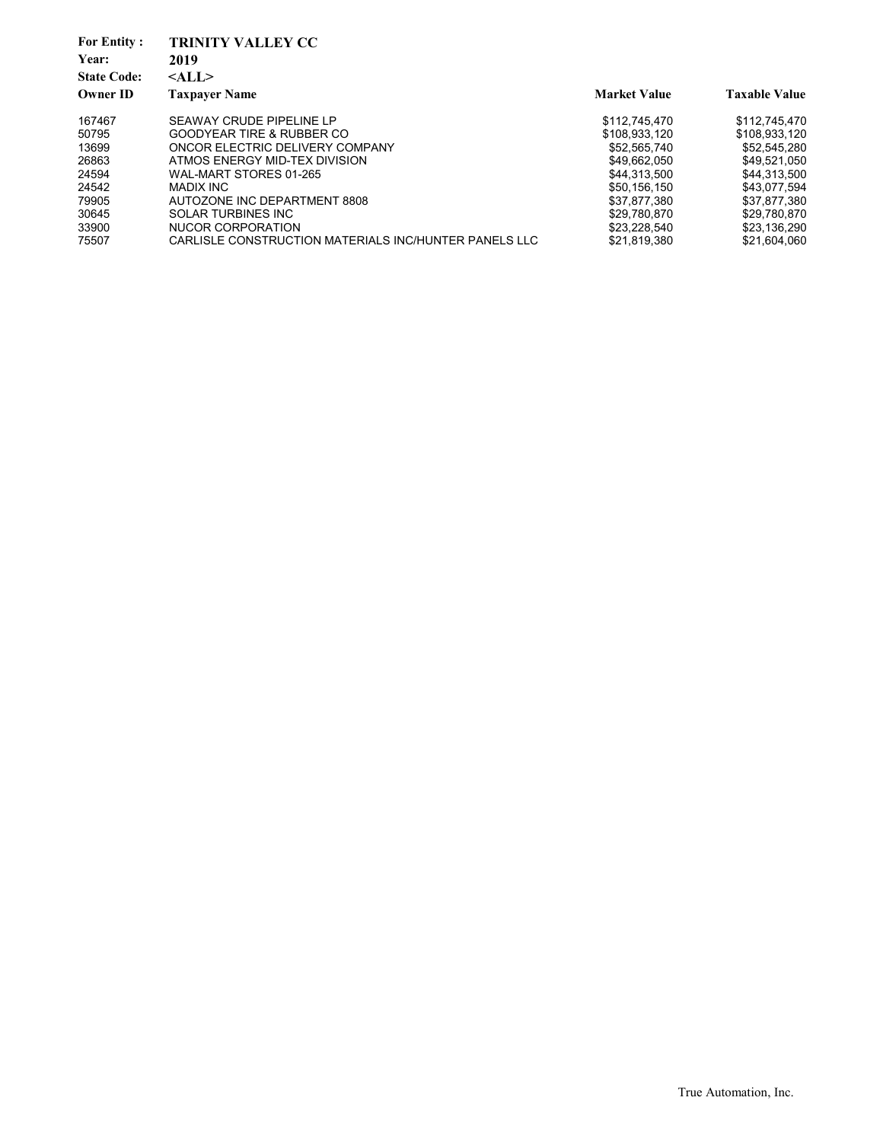| <b>For Entity:</b> | <b>TRINITY VALLEY CC</b>                              |                     |                      |
|--------------------|-------------------------------------------------------|---------------------|----------------------|
| Year:              | 2019                                                  |                     |                      |
| <b>State Code:</b> | $<$ ALL $>$                                           |                     |                      |
| <b>Owner ID</b>    | <b>Taxpayer Name</b>                                  | <b>Market Value</b> | <b>Taxable Value</b> |
| 167467             | SEAWAY CRUDE PIPELINE LP                              | \$112,745,470       | \$112,745,470        |
| 50795              | <b>GOODYEAR TIRE &amp; RUBBER CO</b>                  | \$108.933.120       | \$108.933.120        |
| 13699              | ONCOR ELECTRIC DELIVERY COMPANY                       | \$52,565,740        | \$52.545.280         |
| 26863              | ATMOS ENERGY MID-TEX DIVISION                         | \$49.662.050        | \$49.521.050         |
| 24594              | WAL-MART STORES 01-265                                | \$44.313.500        | \$44.313.500         |
| 24542              | MADIX INC                                             | \$50.156.150        | \$43.077.594         |
| 79905              | AUTOZONE INC DEPARTMENT 8808                          | \$37.877.380        | \$37.877.380         |
| 30645              | <b>SOLAR TURBINES INC</b>                             | \$29.780.870        | \$29,780,870         |
| 33900              | NUCOR CORPORATION                                     | \$23,228,540        | \$23,136,290         |
| 75507              | CARLISLE CONSTRUCTION MATERIALS INC/HUNTER PANELS LLC | \$21,819,380        | \$21.604.060         |